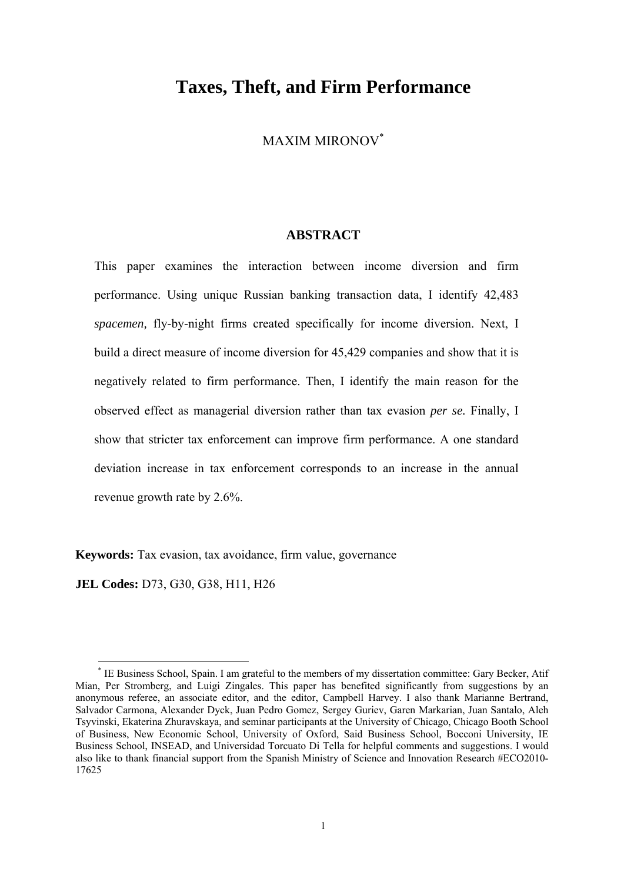# **Taxes, Theft, and Firm Performance**

MAXIM MIRONOV\*

# **ABSTRACT**

This paper examines the interaction between income diversion and firm performance. Using unique Russian banking transaction data, I identify 42,483 *spacemen,* fly-by-night firms created specifically for income diversion. Next, I build a direct measure of income diversion for 45,429 companies and show that it is negatively related to firm performance. Then, I identify the main reason for the observed effect as managerial diversion rather than tax evasion *per se.* Finally, I show that stricter tax enforcement can improve firm performance. A one standard deviation increase in tax enforcement corresponds to an increase in the annual revenue growth rate by 2.6%.

**Keywords:** Tax evasion, tax avoidance, firm value, governance

**JEL Codes:** D73, G30, G38, H11, H26

 $\overline{a}$ 

<sup>\*</sup> IE Business School, Spain. I am grateful to the members of my dissertation committee: Gary Becker, Atif Mian, Per Stromberg, and Luigi Zingales. This paper has benefited significantly from suggestions by an anonymous referee, an associate editor, and the editor, Campbell Harvey. I also thank Marianne Bertrand, Salvador Carmona, Alexander Dyck, Juan Pedro Gomez, Sergey Guriev, Garen Markarian, Juan Santalo, Aleh Tsyvinski, Ekaterina Zhuravskaya, and seminar participants at the University of Chicago, Chicago Booth School of Business, New Economic School, University of Oxford, Said Business School, Bocconi University, IE Business School, INSEAD, and Universidad Torcuato Di Tella for helpful comments and suggestions. I would also like to thank financial support from the Spanish Ministry of Science and Innovation Research #ECO2010- 17625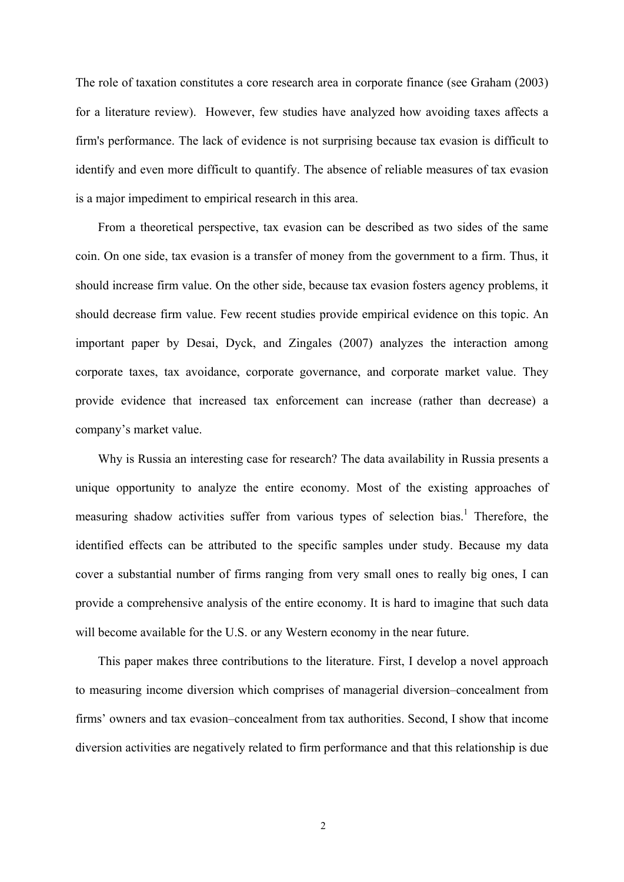The role of taxation constitutes a core research area in corporate finance (see Graham (2003) for a literature review). However, few studies have analyzed how avoiding taxes affects a firm's performance. The lack of evidence is not surprising because tax evasion is difficult to identify and even more difficult to quantify. The absence of reliable measures of tax evasion is a major impediment to empirical research in this area.

From a theoretical perspective, tax evasion can be described as two sides of the same coin. On one side, tax evasion is a transfer of money from the government to a firm. Thus, it should increase firm value. On the other side, because tax evasion fosters agency problems, it should decrease firm value. Few recent studies provide empirical evidence on this topic. An important paper by Desai, Dyck, and Zingales (2007) analyzes the interaction among corporate taxes, tax avoidance, corporate governance, and corporate market value. They provide evidence that increased tax enforcement can increase (rather than decrease) a company's market value.

Why is Russia an interesting case for research? The data availability in Russia presents a unique opportunity to analyze the entire economy. Most of the existing approaches of measuring shadow activities suffer from various types of selection bias.<sup>1</sup> Therefore, the identified effects can be attributed to the specific samples under study. Because my data cover a substantial number of firms ranging from very small ones to really big ones, I can provide a comprehensive analysis of the entire economy. It is hard to imagine that such data will become available for the U.S. or any Western economy in the near future.

This paper makes three contributions to the literature. First, I develop a novel approach to measuring income diversion which comprises of managerial diversion–concealment from firms' owners and tax evasion–concealment from tax authorities. Second, I show that income diversion activities are negatively related to firm performance and that this relationship is due

2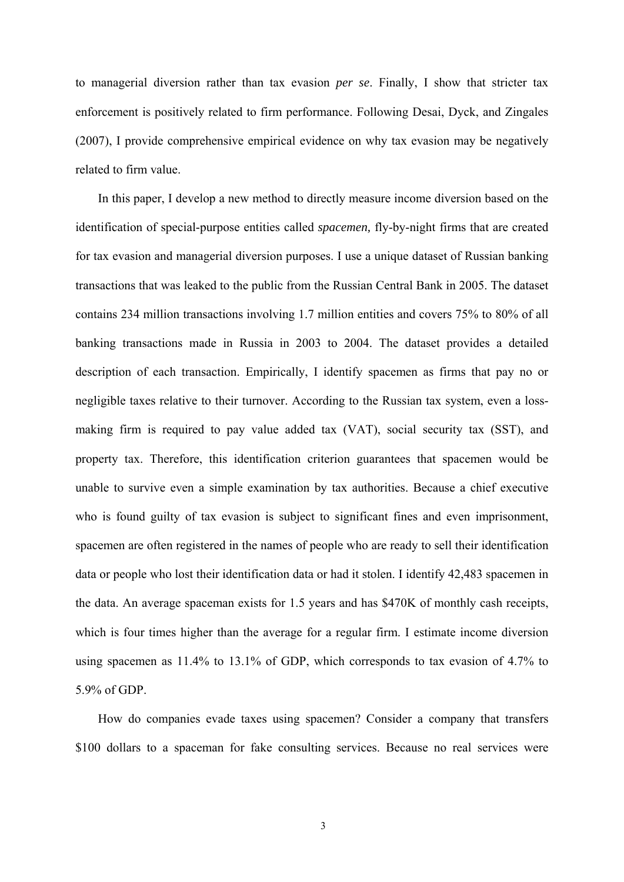to managerial diversion rather than tax evasion *per se*. Finally, I show that stricter tax enforcement is positively related to firm performance. Following Desai, Dyck, and Zingales (2007), I provide comprehensive empirical evidence on why tax evasion may be negatively related to firm value.

In this paper, I develop a new method to directly measure income diversion based on the identification of special-purpose entities called *spacemen,* fly-by-night firms that are created for tax evasion and managerial diversion purposes. I use a unique dataset of Russian banking transactions that was leaked to the public from the Russian Central Bank in 2005. The dataset contains 234 million transactions involving 1.7 million entities and covers 75% to 80% of all banking transactions made in Russia in 2003 to 2004. The dataset provides a detailed description of each transaction. Empirically, I identify spacemen as firms that pay no or negligible taxes relative to their turnover. According to the Russian tax system, even a lossmaking firm is required to pay value added tax (VAT), social security tax (SST), and property tax. Therefore, this identification criterion guarantees that spacemen would be unable to survive even a simple examination by tax authorities. Because a chief executive who is found guilty of tax evasion is subject to significant fines and even imprisonment, spacemen are often registered in the names of people who are ready to sell their identification data or people who lost their identification data or had it stolen. I identify 42,483 spacemen in the data. An average spaceman exists for 1.5 years and has \$470K of monthly cash receipts, which is four times higher than the average for a regular firm. I estimate income diversion using spacemen as 11.4% to 13.1% of GDP, which corresponds to tax evasion of 4.7% to 5.9% of GDP.

How do companies evade taxes using spacemen? Consider a company that transfers \$100 dollars to a spaceman for fake consulting services. Because no real services were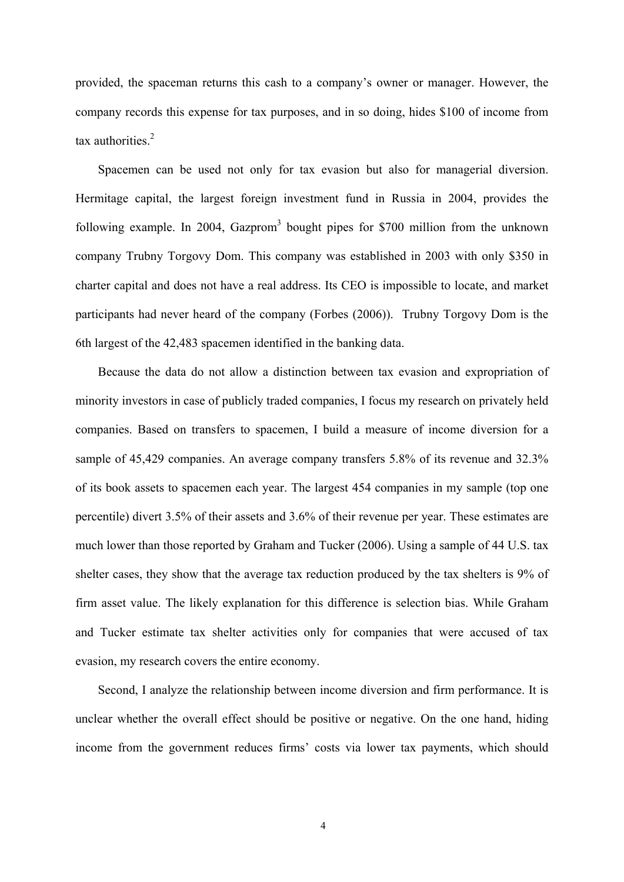provided, the spaceman returns this cash to a company's owner or manager. However, the company records this expense for tax purposes, and in so doing, hides \$100 of income from tax authorities. $2$ 

Spacemen can be used not only for tax evasion but also for managerial diversion. Hermitage capital, the largest foreign investment fund in Russia in 2004, provides the following example. In 2004, Gazprom<sup>3</sup> bought pipes for \$700 million from the unknown company Trubny Torgovy Dom. This company was established in 2003 with only \$350 in charter capital and does not have a real address. Its CEO is impossible to locate, and market participants had never heard of the company (Forbes (2006)). Trubny Torgovy Dom is the 6th largest of the 42,483 spacemen identified in the banking data.

Because the data do not allow a distinction between tax evasion and expropriation of minority investors in case of publicly traded companies, I focus my research on privately held companies. Based on transfers to spacemen, I build a measure of income diversion for a sample of 45,429 companies. An average company transfers 5.8% of its revenue and 32.3% of its book assets to spacemen each year. The largest 454 companies in my sample (top one percentile) divert 3.5% of their assets and 3.6% of their revenue per year. These estimates are much lower than those reported by Graham and Tucker (2006). Using a sample of 44 U.S. tax shelter cases, they show that the average tax reduction produced by the tax shelters is 9% of firm asset value. The likely explanation for this difference is selection bias. While Graham and Tucker estimate tax shelter activities only for companies that were accused of tax evasion, my research covers the entire economy.

Second, I analyze the relationship between income diversion and firm performance. It is unclear whether the overall effect should be positive or negative. On the one hand, hiding income from the government reduces firms' costs via lower tax payments, which should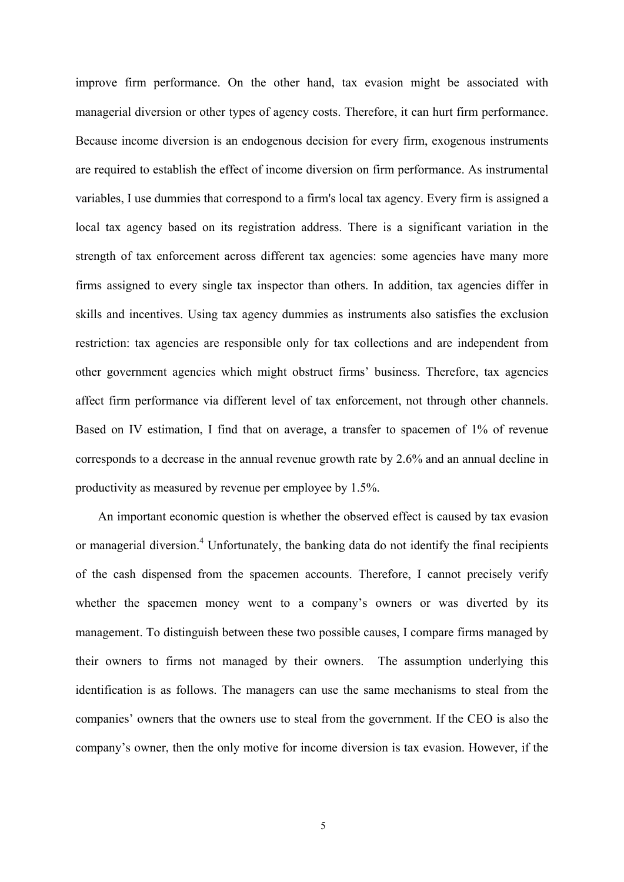improve firm performance. On the other hand, tax evasion might be associated with managerial diversion or other types of agency costs. Therefore, it can hurt firm performance. Because income diversion is an endogenous decision for every firm, exogenous instruments are required to establish the effect of income diversion on firm performance. As instrumental variables, I use dummies that correspond to a firm's local tax agency. Every firm is assigned a local tax agency based on its registration address. There is a significant variation in the strength of tax enforcement across different tax agencies: some agencies have many more firms assigned to every single tax inspector than others. In addition, tax agencies differ in skills and incentives. Using tax agency dummies as instruments also satisfies the exclusion restriction: tax agencies are responsible only for tax collections and are independent from other government agencies which might obstruct firms' business. Therefore, tax agencies affect firm performance via different level of tax enforcement, not through other channels. Based on IV estimation, I find that on average, a transfer to spacemen of 1% of revenue corresponds to a decrease in the annual revenue growth rate by 2.6% and an annual decline in productivity as measured by revenue per employee by 1.5%.

An important economic question is whether the observed effect is caused by tax evasion or managerial diversion.<sup>4</sup> Unfortunately, the banking data do not identify the final recipients of the cash dispensed from the spacemen accounts. Therefore, I cannot precisely verify whether the spacemen money went to a company's owners or was diverted by its management. To distinguish between these two possible causes, I compare firms managed by their owners to firms not managed by their owners. The assumption underlying this identification is as follows. The managers can use the same mechanisms to steal from the companies' owners that the owners use to steal from the government. If the CEO is also the company's owner, then the only motive for income diversion is tax evasion. However, if the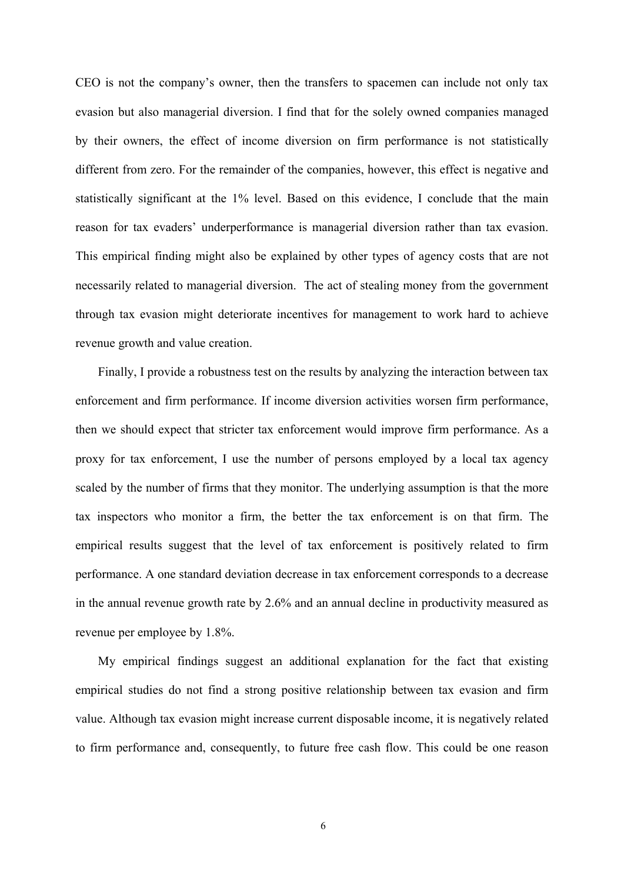CEO is not the company's owner, then the transfers to spacemen can include not only tax evasion but also managerial diversion. I find that for the solely owned companies managed by their owners, the effect of income diversion on firm performance is not statistically different from zero. For the remainder of the companies, however, this effect is negative and statistically significant at the 1% level. Based on this evidence, I conclude that the main reason for tax evaders' underperformance is managerial diversion rather than tax evasion. This empirical finding might also be explained by other types of agency costs that are not necessarily related to managerial diversion. The act of stealing money from the government through tax evasion might deteriorate incentives for management to work hard to achieve revenue growth and value creation.

Finally, I provide a robustness test on the results by analyzing the interaction between tax enforcement and firm performance. If income diversion activities worsen firm performance, then we should expect that stricter tax enforcement would improve firm performance. As a proxy for tax enforcement, I use the number of persons employed by a local tax agency scaled by the number of firms that they monitor. The underlying assumption is that the more tax inspectors who monitor a firm, the better the tax enforcement is on that firm. The empirical results suggest that the level of tax enforcement is positively related to firm performance. A one standard deviation decrease in tax enforcement corresponds to a decrease in the annual revenue growth rate by 2.6% and an annual decline in productivity measured as revenue per employee by 1.8%.

My empirical findings suggest an additional explanation for the fact that existing empirical studies do not find a strong positive relationship between tax evasion and firm value. Although tax evasion might increase current disposable income, it is negatively related to firm performance and, consequently, to future free cash flow. This could be one reason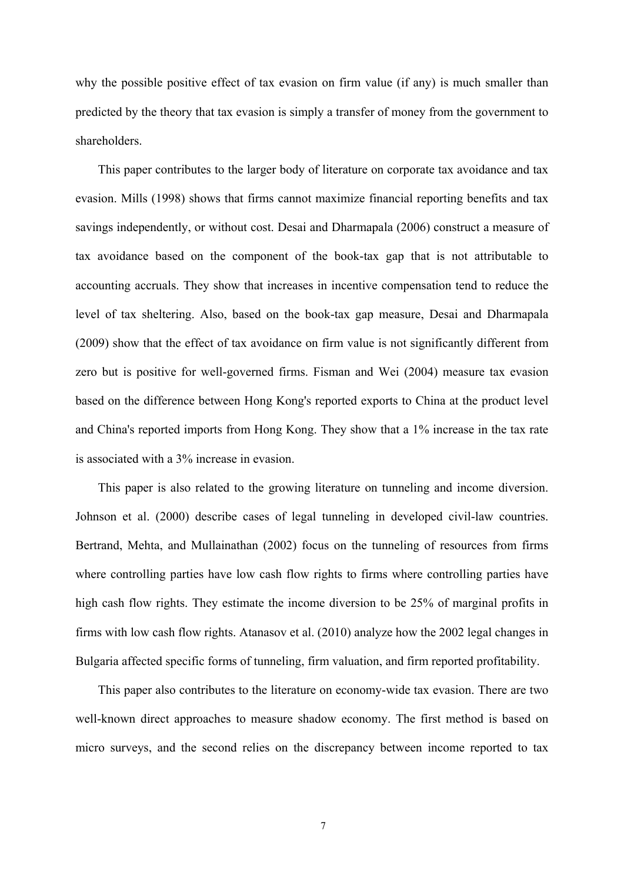why the possible positive effect of tax evasion on firm value (if any) is much smaller than predicted by the theory that tax evasion is simply a transfer of money from the government to shareholders.

This paper contributes to the larger body of literature on corporate tax avoidance and tax evasion. Mills (1998) shows that firms cannot maximize financial reporting benefits and tax savings independently, or without cost. Desai and Dharmapala (2006) construct a measure of tax avoidance based on the component of the book-tax gap that is not attributable to accounting accruals. They show that increases in incentive compensation tend to reduce the level of tax sheltering. Also, based on the book-tax gap measure, Desai and Dharmapala (2009) show that the effect of tax avoidance on firm value is not significantly different from zero but is positive for well-governed firms. Fisman and Wei (2004) measure tax evasion based on the difference between Hong Kong's reported exports to China at the product level and China's reported imports from Hong Kong. They show that a 1% increase in the tax rate is associated with a 3% increase in evasion.

This paper is also related to the growing literature on tunneling and income diversion. Johnson et al. (2000) describe cases of legal tunneling in developed civil-law countries. Bertrand, Mehta, and Mullainathan (2002) focus on the tunneling of resources from firms where controlling parties have low cash flow rights to firms where controlling parties have high cash flow rights. They estimate the income diversion to be 25% of marginal profits in firms with low cash flow rights. Atanasov et al. (2010) analyze how the 2002 legal changes in Bulgaria affected specific forms of tunneling, firm valuation, and firm reported profitability.

This paper also contributes to the literature on economy-wide tax evasion. There are two well-known direct approaches to measure shadow economy. The first method is based on micro surveys, and the second relies on the discrepancy between income reported to tax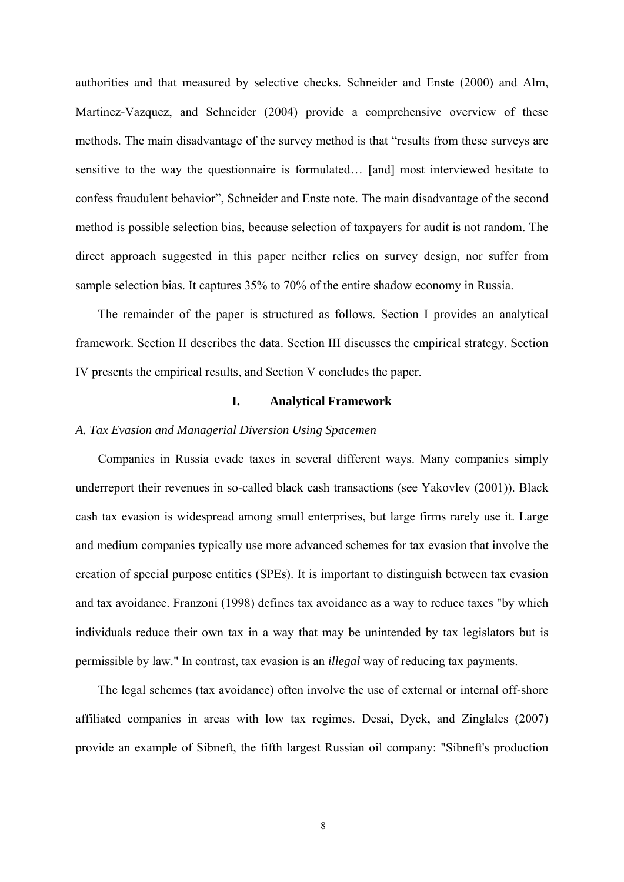authorities and that measured by selective checks. Schneider and Enste (2000) and Alm, Martinez-Vazquez, and Schneider (2004) provide a comprehensive overview of these methods. The main disadvantage of the survey method is that "results from these surveys are sensitive to the way the questionnaire is formulated… [and] most interviewed hesitate to confess fraudulent behavior", Schneider and Enste note. The main disadvantage of the second method is possible selection bias, because selection of taxpayers for audit is not random. The direct approach suggested in this paper neither relies on survey design, nor suffer from sample selection bias. It captures 35% to 70% of the entire shadow economy in Russia.

The remainder of the paper is structured as follows. Section I provides an analytical framework. Section II describes the data. Section III discusses the empirical strategy. Section IV presents the empirical results, and Section V concludes the paper.

# **I. Analytical Framework**

# *A. Tax Evasion and Managerial Diversion Using Spacemen*

Companies in Russia evade taxes in several different ways. Many companies simply underreport their revenues in so-called black cash transactions (see Yakovlev (2001)). Black cash tax evasion is widespread among small enterprises, but large firms rarely use it. Large and medium companies typically use more advanced schemes for tax evasion that involve the creation of special purpose entities (SPEs). It is important to distinguish between tax evasion and tax avoidance. Franzoni (1998) defines tax avoidance as a way to reduce taxes "by which individuals reduce their own tax in a way that may be unintended by tax legislators but is permissible by law." In contrast, tax evasion is an *illegal* way of reducing tax payments.

The legal schemes (tax avoidance) often involve the use of external or internal off-shore affiliated companies in areas with low tax regimes. Desai, Dyck, and Zinglales (2007) provide an example of Sibneft, the fifth largest Russian oil company: "Sibneft's production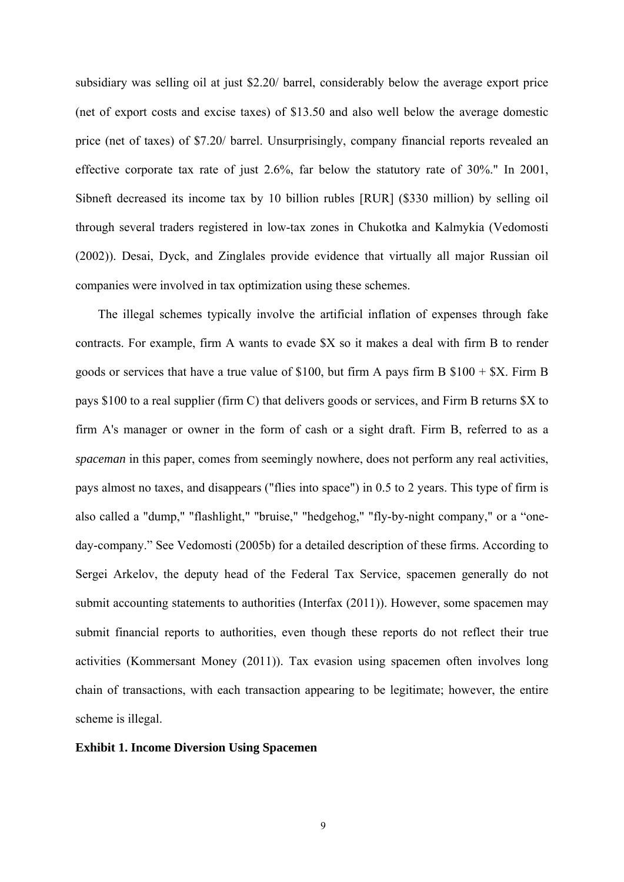subsidiary was selling oil at just \$2.20/ barrel, considerably below the average export price (net of export costs and excise taxes) of \$13.50 and also well below the average domestic price (net of taxes) of \$7.20/ barrel. Unsurprisingly, company financial reports revealed an effective corporate tax rate of just 2.6%, far below the statutory rate of 30%." In 2001, Sibneft decreased its income tax by 10 billion rubles [RUR] (\$330 million) by selling oil through several traders registered in low-tax zones in Chukotka and Kalmykia (Vedomosti (2002)). Desai, Dyck, and Zinglales provide evidence that virtually all major Russian oil companies were involved in tax optimization using these schemes.

The illegal schemes typically involve the artificial inflation of expenses through fake contracts. For example, firm A wants to evade \$X so it makes a deal with firm B to render goods or services that have a true value of \$100, but firm A pays firm B  $$100 + $X$ . Firm B pays \$100 to a real supplier (firm C) that delivers goods or services, and Firm B returns \$X to firm A's manager or owner in the form of cash or a sight draft. Firm B, referred to as a *spaceman* in this paper, comes from seemingly nowhere, does not perform any real activities, pays almost no taxes, and disappears ("flies into space") in 0.5 to 2 years. This type of firm is also called a "dump," "flashlight," "bruise," "hedgehog," "fly-by-night company," or a "oneday-company." See Vedomosti (2005b) for a detailed description of these firms. According to Sergei Arkelov, the deputy head of the Federal Tax Service, spacemen generally do not submit accounting statements to authorities (Interfax (2011)). However, some spacemen may submit financial reports to authorities, even though these reports do not reflect their true activities (Kommersant Money (2011)). Tax evasion using spacemen often involves long chain of transactions, with each transaction appearing to be legitimate; however, the entire scheme is illegal.

# **Exhibit 1. Income Diversion Using Spacemen**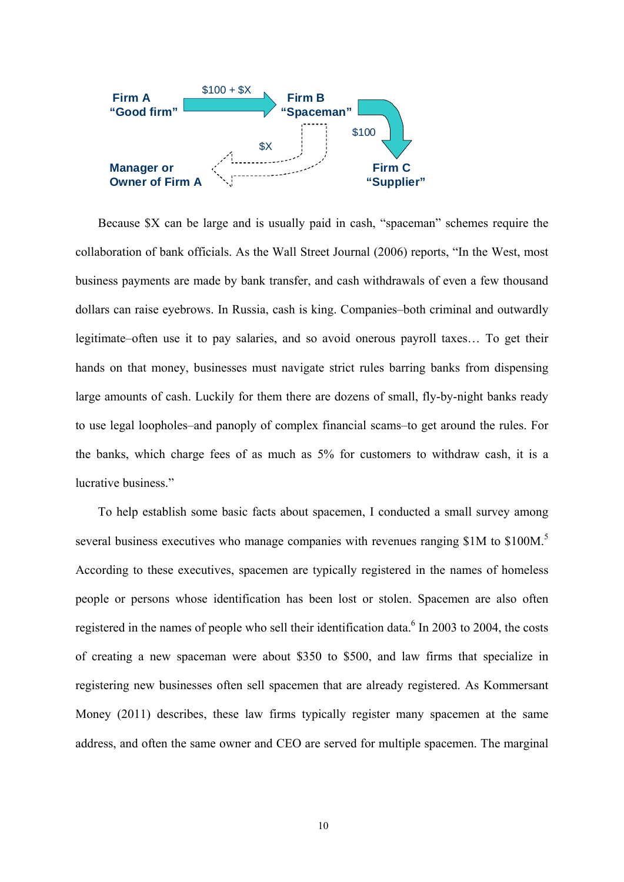

Because \$X can be large and is usually paid in cash, "spaceman" schemes require the collaboration of bank officials. As the Wall Street Journal (2006) reports, "In the West, most business payments are made by bank transfer, and cash withdrawals of even a few thousand dollars can raise eyebrows. In Russia, cash is king. Companies–both criminal and outwardly legitimate–often use it to pay salaries, and so avoid onerous payroll taxes… To get their hands on that money, businesses must navigate strict rules barring banks from dispensing large amounts of cash. Luckily for them there are dozens of small, fly-by-night banks ready to use legal loopholes–and panoply of complex financial scams–to get around the rules. For the banks, which charge fees of as much as 5% for customers to withdraw cash, it is a lucrative business."

To help establish some basic facts about spacemen, I conducted a small survey among several business executives who manage companies with revenues ranging \$1M to \$100M.<sup>5</sup> According to these executives, spacemen are typically registered in the names of homeless people or persons whose identification has been lost or stolen. Spacemen are also often registered in the names of people who sell their identification data.<sup>6</sup> In 2003 to 2004, the costs of creating a new spaceman were about \$350 to \$500, and law firms that specialize in registering new businesses often sell spacemen that are already registered. As Kommersant Money (2011) describes, these law firms typically register many spacemen at the same address, and often the same owner and CEO are served for multiple spacemen. The marginal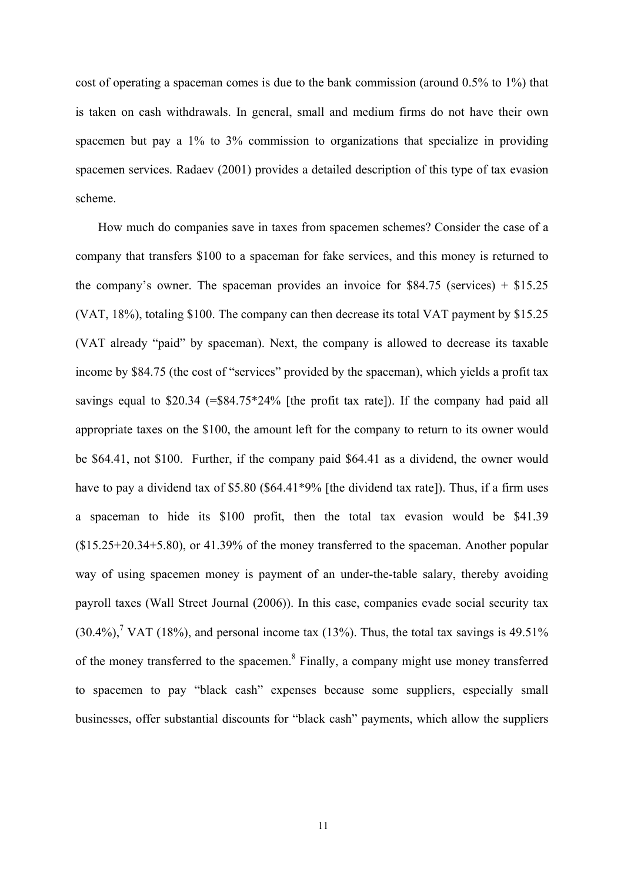cost of operating a spaceman comes is due to the bank commission (around 0.5% to 1%) that is taken on cash withdrawals. In general, small and medium firms do not have their own spacemen but pay a 1% to 3% commission to organizations that specialize in providing spacemen services. Radaev (2001) provides a detailed description of this type of tax evasion scheme.

How much do companies save in taxes from spacemen schemes? Consider the case of a company that transfers \$100 to a spaceman for fake services, and this money is returned to the company's owner. The spaceman provides an invoice for  $$84.75$  (services) +  $$15.25$ (VAT, 18%), totaling \$100. The company can then decrease its total VAT payment by \$15.25 (VAT already "paid" by spaceman). Next, the company is allowed to decrease its taxable income by \$84.75 (the cost of "services" provided by the spaceman), which yields a profit tax savings equal to \$20.34 (=\$84.75\*24% [the profit tax rate]). If the company had paid all appropriate taxes on the \$100, the amount left for the company to return to its owner would be \$64.41, not \$100. Further, if the company paid \$64.41 as a dividend, the owner would have to pay a dividend tax of \$5.80 (\$64.41\*9% [the dividend tax rate]). Thus, if a firm uses a spaceman to hide its \$100 profit, then the total tax evasion would be \$41.39  $($15.25+20.34+5.80)$ , or  $41.39\%$  of the money transferred to the spaceman. Another popular way of using spacemen money is payment of an under-the-table salary, thereby avoiding payroll taxes (Wall Street Journal (2006)). In this case, companies evade social security tax  $(30.4\%)$ , VAT (18%), and personal income tax (13%). Thus, the total tax savings is 49.51% of the money transferred to the spacemen.<sup>8</sup> Finally, a company might use money transferred to spacemen to pay "black cash" expenses because some suppliers, especially small businesses, offer substantial discounts for "black cash" payments, which allow the suppliers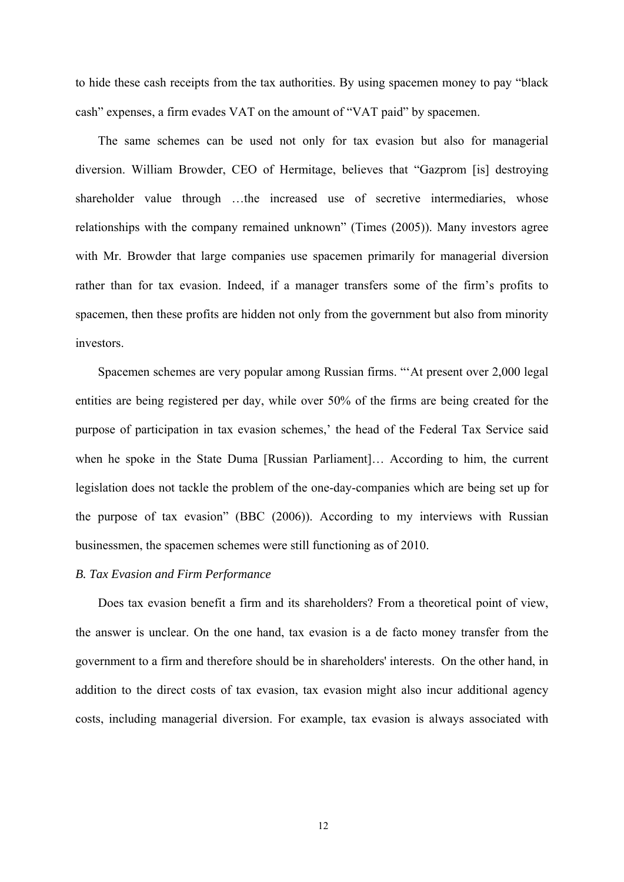to hide these cash receipts from the tax authorities. By using spacemen money to pay "black cash" expenses, a firm evades VAT on the amount of "VAT paid" by spacemen.

The same schemes can be used not only for tax evasion but also for managerial diversion. William Browder, CEO of Hermitage, believes that "Gazprom [is] destroying shareholder value through …the increased use of secretive intermediaries, whose relationships with the company remained unknown" (Times (2005)). Many investors agree with Mr. Browder that large companies use spacemen primarily for managerial diversion rather than for tax evasion. Indeed, if a manager transfers some of the firm's profits to spacemen, then these profits are hidden not only from the government but also from minority investors.

Spacemen schemes are very popular among Russian firms. "'At present over 2,000 legal entities are being registered per day, while over 50% of the firms are being created for the purpose of participation in tax evasion schemes,' the head of the Federal Tax Service said when he spoke in the State Duma [Russian Parliament]… According to him, the current legislation does not tackle the problem of the one-day-companies which are being set up for the purpose of tax evasion" (BBC (2006)). According to my interviews with Russian businessmen, the spacemen schemes were still functioning as of 2010.

# *B. Tax Evasion and Firm Performance*

Does tax evasion benefit a firm and its shareholders? From a theoretical point of view, the answer is unclear. On the one hand, tax evasion is a de facto money transfer from the government to a firm and therefore should be in shareholders' interests. On the other hand, in addition to the direct costs of tax evasion, tax evasion might also incur additional agency costs, including managerial diversion. For example, tax evasion is always associated with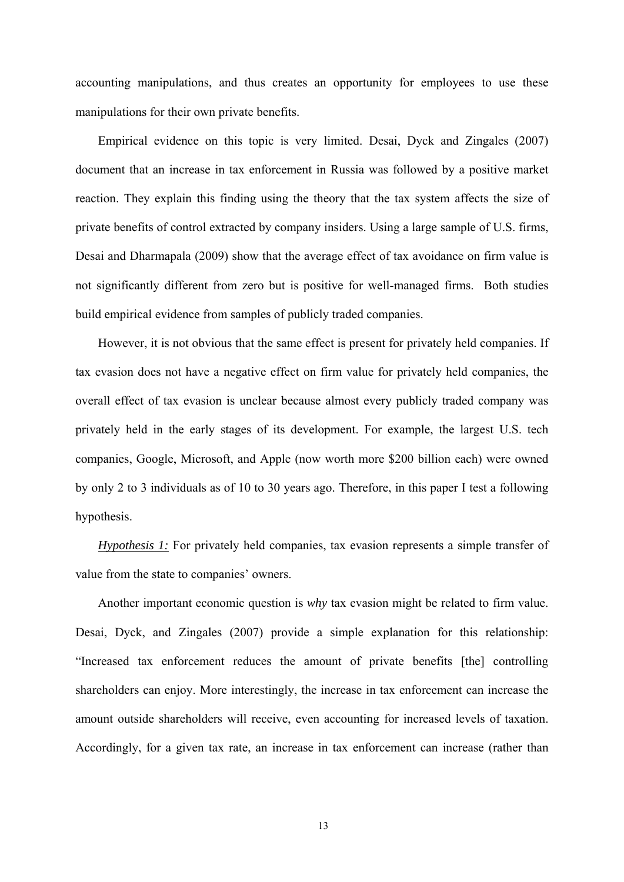accounting manipulations, and thus creates an opportunity for employees to use these manipulations for their own private benefits.

Empirical evidence on this topic is very limited. Desai, Dyck and Zingales (2007) document that an increase in tax enforcement in Russia was followed by a positive market reaction. They explain this finding using the theory that the tax system affects the size of private benefits of control extracted by company insiders. Using a large sample of U.S. firms, Desai and Dharmapala (2009) show that the average effect of tax avoidance on firm value is not significantly different from zero but is positive for well-managed firms. Both studies build empirical evidence from samples of publicly traded companies.

However, it is not obvious that the same effect is present for privately held companies. If tax evasion does not have a negative effect on firm value for privately held companies, the overall effect of tax evasion is unclear because almost every publicly traded company was privately held in the early stages of its development. For example, the largest U.S. tech companies, Google, Microsoft, and Apple (now worth more \$200 billion each) were owned by only 2 to 3 individuals as of 10 to 30 years ago. Therefore, in this paper I test a following hypothesis.

*Hypothesis 1:* For privately held companies, tax evasion represents a simple transfer of value from the state to companies' owners.

Another important economic question is *why* tax evasion might be related to firm value. Desai, Dyck, and Zingales (2007) provide a simple explanation for this relationship: "Increased tax enforcement reduces the amount of private benefits [the] controlling shareholders can enjoy. More interestingly, the increase in tax enforcement can increase the amount outside shareholders will receive, even accounting for increased levels of taxation. Accordingly, for a given tax rate, an increase in tax enforcement can increase (rather than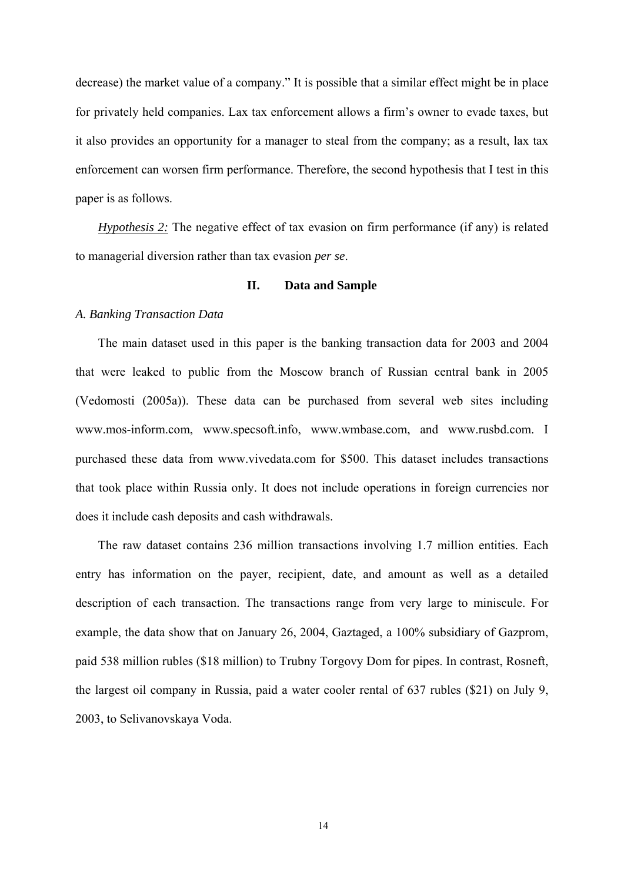decrease) the market value of a company." It is possible that a similar effect might be in place for privately held companies. Lax tax enforcement allows a firm's owner to evade taxes, but it also provides an opportunity for a manager to steal from the company; as a result, lax tax enforcement can worsen firm performance. Therefore, the second hypothesis that I test in this paper is as follows.

*Hypothesis 2:* The negative effect of tax evasion on firm performance (if any) is related to managerial diversion rather than tax evasion *per se*.

## **II. Data and Sample**

# *A. Banking Transaction Data*

The main dataset used in this paper is the banking transaction data for 2003 and 2004 that were leaked to public from the Moscow branch of Russian central bank in 2005 (Vedomosti (2005a)). These data can be purchased from several web sites including www.mos-inform.com, www.specsoft.info, www.wmbase.com, and www.rusbd.com. I purchased these data from www.vivedata.com for \$500. This dataset includes transactions that took place within Russia only. It does not include operations in foreign currencies nor does it include cash deposits and cash withdrawals.

The raw dataset contains 236 million transactions involving 1.7 million entities. Each entry has information on the payer, recipient, date, and amount as well as a detailed description of each transaction. The transactions range from very large to miniscule. For example, the data show that on January 26, 2004, Gaztaged, a 100% subsidiary of Gazprom, paid 538 million rubles (\$18 million) to Trubny Torgovy Dom for pipes. In contrast, Rosneft, the largest oil company in Russia, paid a water cooler rental of 637 rubles (\$21) on July 9, 2003, to Selivanovskaya Voda.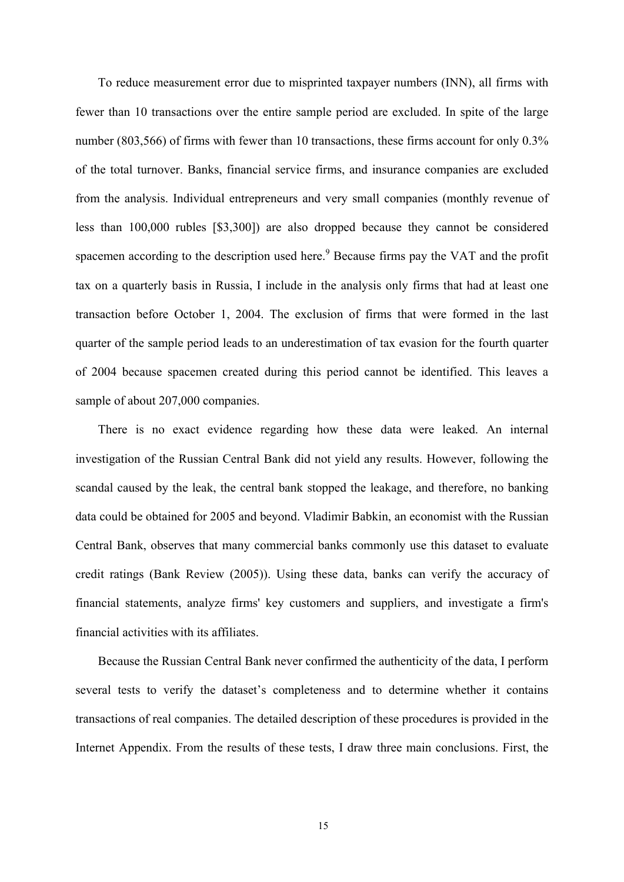To reduce measurement error due to misprinted taxpayer numbers (INN), all firms with fewer than 10 transactions over the entire sample period are excluded. In spite of the large number (803,566) of firms with fewer than 10 transactions, these firms account for only 0.3% of the total turnover. Banks, financial service firms, and insurance companies are excluded from the analysis. Individual entrepreneurs and very small companies (monthly revenue of less than 100,000 rubles [\$3,300]) are also dropped because they cannot be considered spacemen according to the description used here.<sup>9</sup> Because firms pay the VAT and the profit tax on a quarterly basis in Russia, I include in the analysis only firms that had at least one transaction before October 1, 2004. The exclusion of firms that were formed in the last quarter of the sample period leads to an underestimation of tax evasion for the fourth quarter of 2004 because spacemen created during this period cannot be identified. This leaves a sample of about 207,000 companies.

There is no exact evidence regarding how these data were leaked. An internal investigation of the Russian Central Bank did not yield any results. However, following the scandal caused by the leak, the central bank stopped the leakage, and therefore, no banking data could be obtained for 2005 and beyond. Vladimir Babkin, an economist with the Russian Central Bank, observes that many commercial banks commonly use this dataset to evaluate credit ratings (Bank Review (2005)). Using these data, banks can verify the accuracy of financial statements, analyze firms' key customers and suppliers, and investigate a firm's financial activities with its affiliates.

Because the Russian Central Bank never confirmed the authenticity of the data, I perform several tests to verify the dataset's completeness and to determine whether it contains transactions of real companies. The detailed description of these procedures is provided in the Internet Appendix. From the results of these tests, I draw three main conclusions. First, the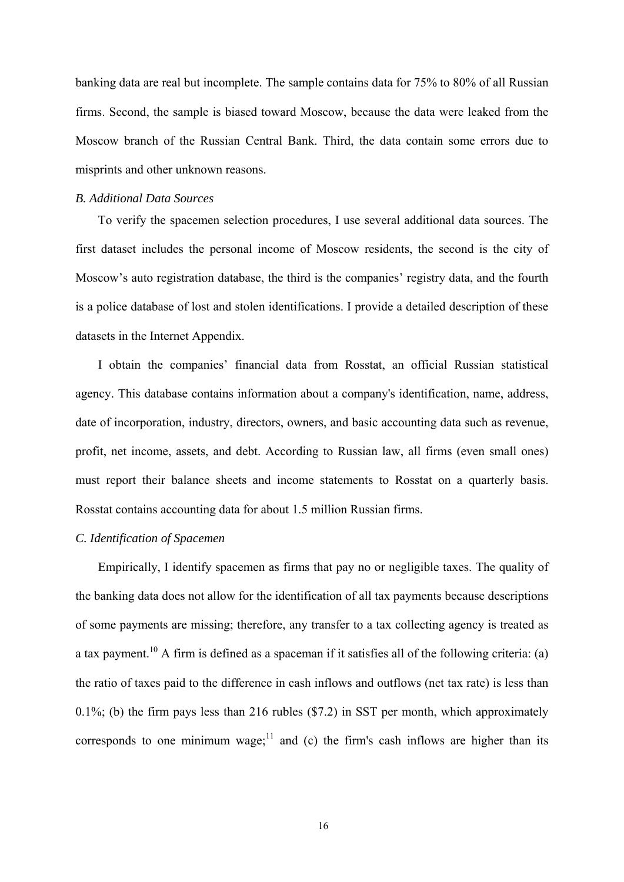banking data are real but incomplete. The sample contains data for 75% to 80% of all Russian firms. Second, the sample is biased toward Moscow, because the data were leaked from the Moscow branch of the Russian Central Bank. Third, the data contain some errors due to misprints and other unknown reasons.

#### *B. Additional Data Sources*

To verify the spacemen selection procedures, I use several additional data sources. The first dataset includes the personal income of Moscow residents, the second is the city of Moscow's auto registration database, the third is the companies' registry data, and the fourth is a police database of lost and stolen identifications. I provide a detailed description of these datasets in the Internet Appendix.

I obtain the companies' financial data from Rosstat, an official Russian statistical agency. This database contains information about a company's identification, name, address, date of incorporation, industry, directors, owners, and basic accounting data such as revenue, profit, net income, assets, and debt. According to Russian law, all firms (even small ones) must report their balance sheets and income statements to Rosstat on a quarterly basis. Rosstat contains accounting data for about 1.5 million Russian firms.

# *C. Identification of Spacemen*

Empirically, I identify spacemen as firms that pay no or negligible taxes. The quality of the banking data does not allow for the identification of all tax payments because descriptions of some payments are missing; therefore, any transfer to a tax collecting agency is treated as a tax payment.<sup>10</sup> A firm is defined as a spaceman if it satisfies all of the following criteria: (a) the ratio of taxes paid to the difference in cash inflows and outflows (net tax rate) is less than 0.1%; (b) the firm pays less than 216 rubles (\$7.2) in SST per month, which approximately corresponds to one minimum wage; $\frac{11}{11}$  and (c) the firm's cash inflows are higher than its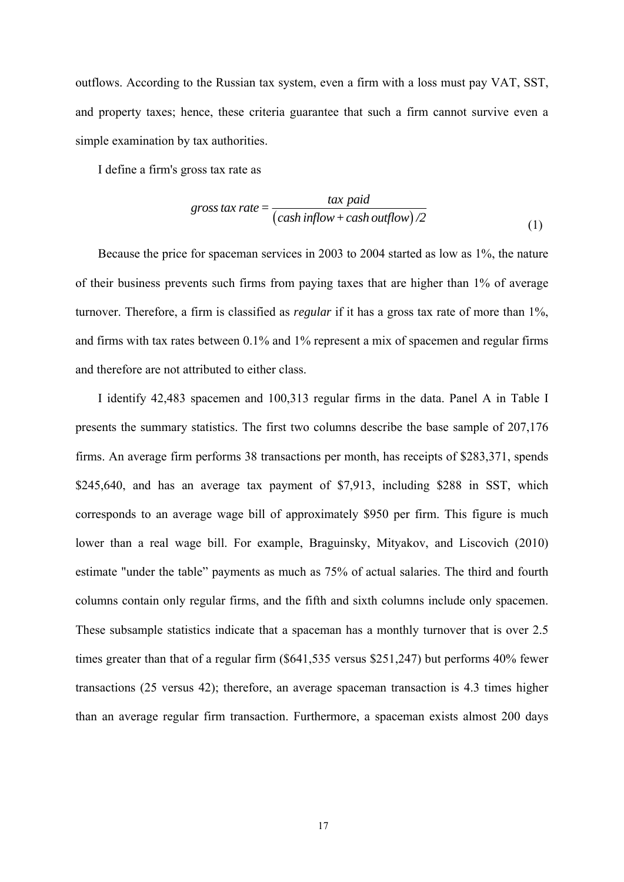outflows. According to the Russian tax system, even a firm with a loss must pay VAT, SST, and property taxes; hence, these criteria guarantee that such a firm cannot survive even a simple examination by tax authorities.

I define a firm's gross tax rate as

$$
gross tax rate = \frac{\tan pad}{(\cosh inflow + cash outflow)/2}
$$
\n(1)

Because the price for spaceman services in 2003 to 2004 started as low as 1%, the nature of their business prevents such firms from paying taxes that are higher than 1% of average turnover. Therefore, a firm is classified as *regular* if it has a gross tax rate of more than 1%, and firms with tax rates between 0.1% and 1% represent a mix of spacemen and regular firms and therefore are not attributed to either class.

I identify 42,483 spacemen and 100,313 regular firms in the data. Panel A in Table I presents the summary statistics. The first two columns describe the base sample of 207,176 firms. An average firm performs 38 transactions per month, has receipts of \$283,371, spends \$245,640, and has an average tax payment of \$7,913, including \$288 in SST, which corresponds to an average wage bill of approximately \$950 per firm. This figure is much lower than a real wage bill. For example, Braguinsky, Mityakov, and Liscovich (2010) estimate "under the table" payments as much as 75% of actual salaries. The third and fourth columns contain only regular firms, and the fifth and sixth columns include only spacemen. These subsample statistics indicate that a spaceman has a monthly turnover that is over 2.5 times greater than that of a regular firm (\$641,535 versus \$251,247) but performs 40% fewer transactions (25 versus 42); therefore, an average spaceman transaction is 4.3 times higher than an average regular firm transaction. Furthermore, a spaceman exists almost 200 days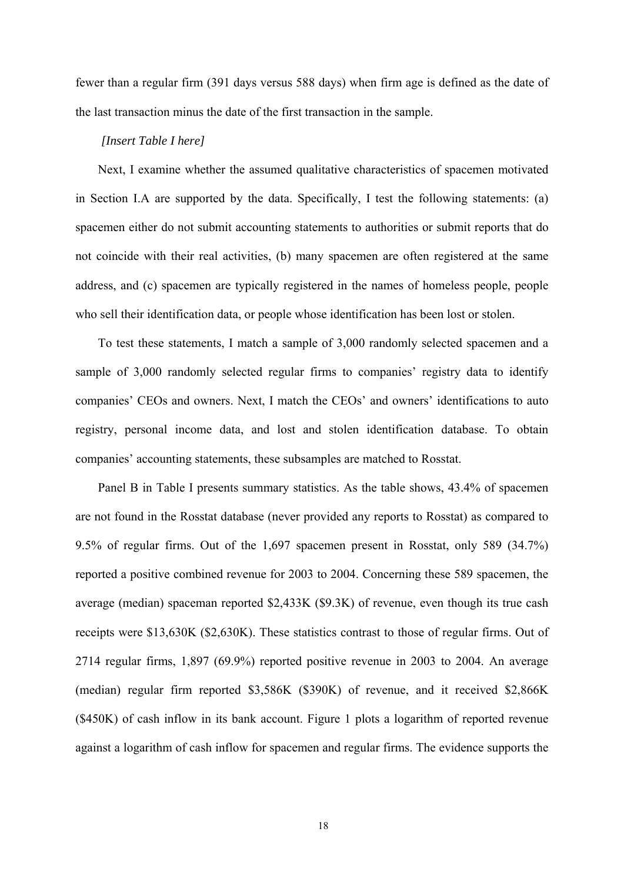fewer than a regular firm (391 days versus 588 days) when firm age is defined as the date of the last transaction minus the date of the first transaction in the sample.

#### *[Insert Table I here]*

Next, I examine whether the assumed qualitative characteristics of spacemen motivated in Section I.A are supported by the data. Specifically, I test the following statements: (a) spacemen either do not submit accounting statements to authorities or submit reports that do not coincide with their real activities, (b) many spacemen are often registered at the same address, and (c) spacemen are typically registered in the names of homeless people, people who sell their identification data, or people whose identification has been lost or stolen.

To test these statements, I match a sample of 3,000 randomly selected spacemen and a sample of 3,000 randomly selected regular firms to companies' registry data to identify companies' CEOs and owners. Next, I match the CEOs' and owners' identifications to auto registry, personal income data, and lost and stolen identification database. To obtain companies' accounting statements, these subsamples are matched to Rosstat.

Panel B in Table I presents summary statistics. As the table shows, 43.4% of spacemen are not found in the Rosstat database (never provided any reports to Rosstat) as compared to 9.5% of regular firms. Out of the 1,697 spacemen present in Rosstat, only 589 (34.7%) reported a positive combined revenue for 2003 to 2004. Concerning these 589 spacemen, the average (median) spaceman reported \$2,433K (\$9.3K) of revenue, even though its true cash receipts were \$13,630K (\$2,630K). These statistics contrast to those of regular firms. Out of 2714 regular firms, 1,897 (69.9%) reported positive revenue in 2003 to 2004. An average (median) regular firm reported \$3,586K (\$390K) of revenue, and it received \$2,866K (\$450K) of cash inflow in its bank account. Figure 1 plots a logarithm of reported revenue against a logarithm of cash inflow for spacemen and regular firms. The evidence supports the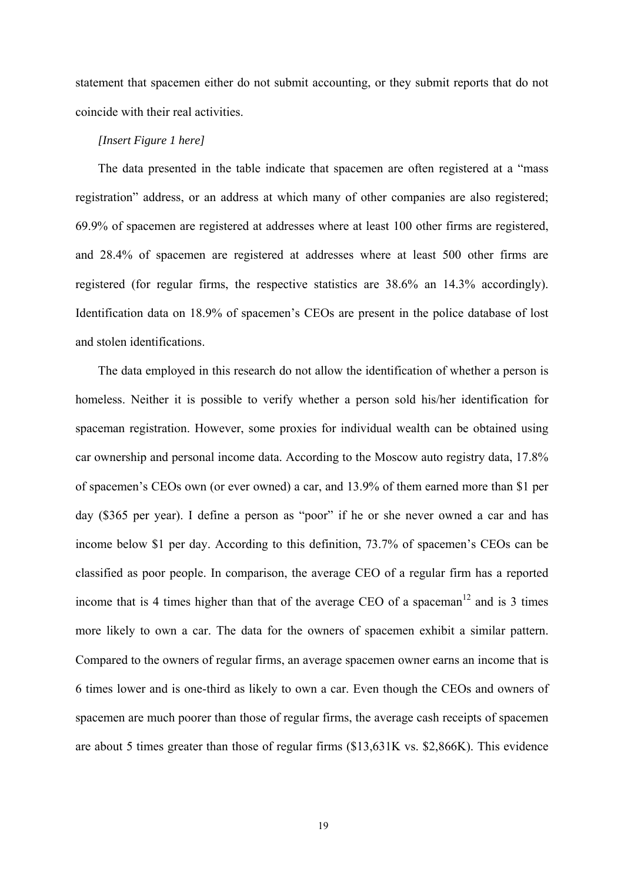statement that spacemen either do not submit accounting, or they submit reports that do not coincide with their real activities.

#### *[Insert Figure 1 here]*

The data presented in the table indicate that spacemen are often registered at a "mass registration" address, or an address at which many of other companies are also registered; 69.9% of spacemen are registered at addresses where at least 100 other firms are registered, and 28.4% of spacemen are registered at addresses where at least 500 other firms are registered (for regular firms, the respective statistics are 38.6% an 14.3% accordingly). Identification data on 18.9% of spacemen's CEOs are present in the police database of lost and stolen identifications.

The data employed in this research do not allow the identification of whether a person is homeless. Neither it is possible to verify whether a person sold his/her identification for spaceman registration. However, some proxies for individual wealth can be obtained using car ownership and personal income data. According to the Moscow auto registry data, 17.8% of spacemen's CEOs own (or ever owned) a car, and 13.9% of them earned more than \$1 per day (\$365 per year). I define a person as "poor" if he or she never owned a car and has income below \$1 per day. According to this definition, 73.7% of spacemen's CEOs can be classified as poor people. In comparison, the average CEO of a regular firm has a reported income that is 4 times higher than that of the average CEO of a spaceman<sup>12</sup> and is 3 times more likely to own a car. The data for the owners of spacemen exhibit a similar pattern. Compared to the owners of regular firms, an average spacemen owner earns an income that is 6 times lower and is one-third as likely to own a car. Even though the CEOs and owners of spacemen are much poorer than those of regular firms, the average cash receipts of spacemen are about 5 times greater than those of regular firms (\$13,631K vs. \$2,866K). This evidence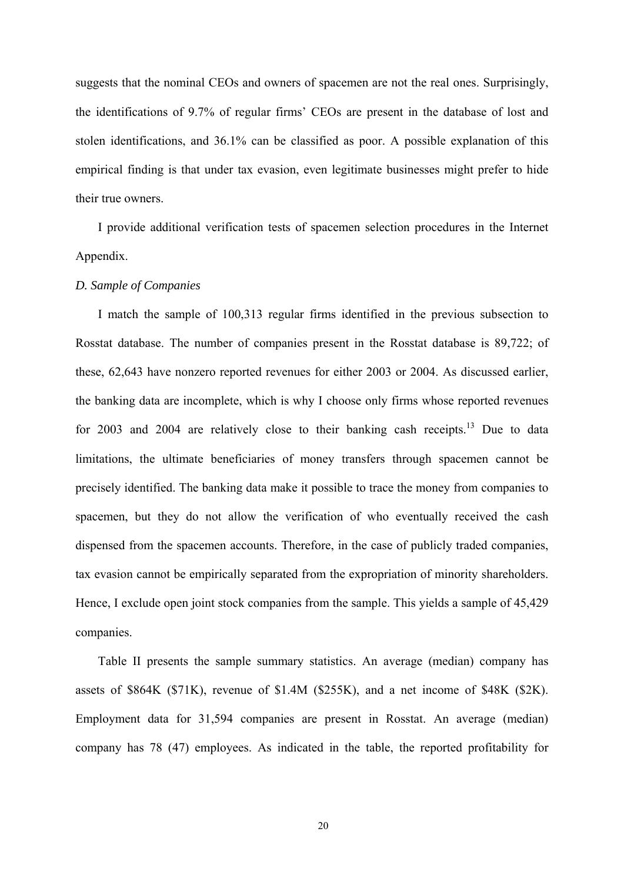suggests that the nominal CEOs and owners of spacemen are not the real ones. Surprisingly, the identifications of 9.7% of regular firms' CEOs are present in the database of lost and stolen identifications, and 36.1% can be classified as poor. A possible explanation of this empirical finding is that under tax evasion, even legitimate businesses might prefer to hide their true owners.

I provide additional verification tests of spacemen selection procedures in the Internet Appendix.

## *D. Sample of Companies*

I match the sample of 100,313 regular firms identified in the previous subsection to Rosstat database. The number of companies present in the Rosstat database is 89,722; of these, 62,643 have nonzero reported revenues for either 2003 or 2004. As discussed earlier, the banking data are incomplete, which is why I choose only firms whose reported revenues for 2003 and 2004 are relatively close to their banking cash receipts.<sup>13</sup> Due to data limitations, the ultimate beneficiaries of money transfers through spacemen cannot be precisely identified. The banking data make it possible to trace the money from companies to spacemen, but they do not allow the verification of who eventually received the cash dispensed from the spacemen accounts. Therefore, in the case of publicly traded companies, tax evasion cannot be empirically separated from the expropriation of minority shareholders. Hence, I exclude open joint stock companies from the sample. This yields a sample of 45,429 companies.

Table II presents the sample summary statistics. An average (median) company has assets of \$864K (\$71K), revenue of \$1.4M (\$255K), and a net income of \$48K (\$2K). Employment data for 31,594 companies are present in Rosstat. An average (median) company has 78 (47) employees. As indicated in the table, the reported profitability for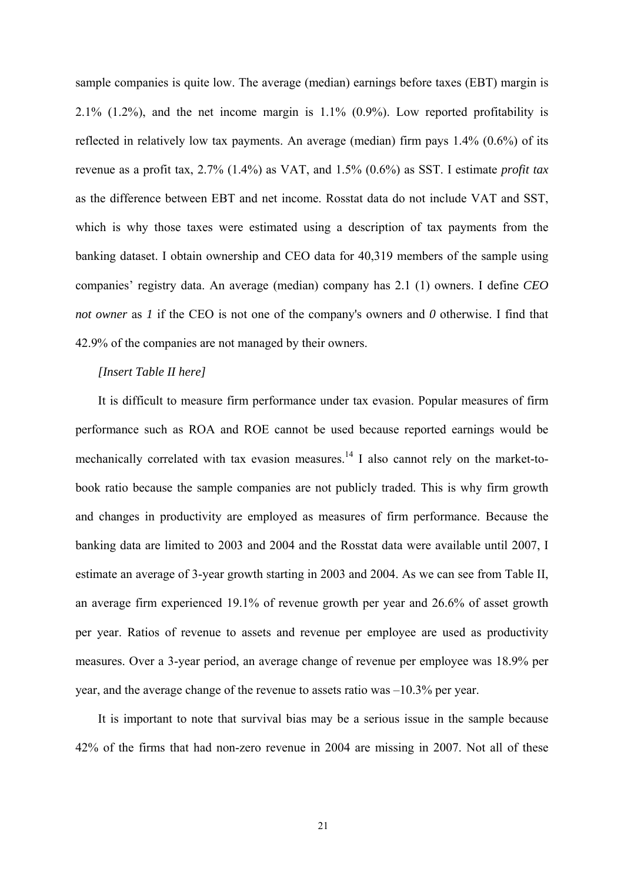sample companies is quite low. The average (median) earnings before taxes (EBT) margin is  $2.1\%$  (1.2%), and the net income margin is  $1.1\%$  (0.9%). Low reported profitability is reflected in relatively low tax payments. An average (median) firm pays 1.4% (0.6%) of its revenue as a profit tax, 2.7% (1.4%) as VAT, and 1.5% (0.6%) as SST. I estimate *profit tax* as the difference between EBT and net income. Rosstat data do not include VAT and SST, which is why those taxes were estimated using a description of tax payments from the banking dataset. I obtain ownership and CEO data for 40,319 members of the sample using companies' registry data. An average (median) company has 2.1 (1) owners. I define *CEO not owner* as *l* if the CEO is not one of the company's owners and *0* otherwise. I find that 42.9% of the companies are not managed by their owners.

# *[Insert Table II here]*

It is difficult to measure firm performance under tax evasion. Popular measures of firm performance such as ROA and ROE cannot be used because reported earnings would be mechanically correlated with tax evasion measures.<sup>14</sup> I also cannot rely on the market-tobook ratio because the sample companies are not publicly traded. This is why firm growth and changes in productivity are employed as measures of firm performance. Because the banking data are limited to 2003 and 2004 and the Rosstat data were available until 2007, I estimate an average of 3-year growth starting in 2003 and 2004. As we can see from Table II, an average firm experienced 19.1% of revenue growth per year and 26.6% of asset growth per year. Ratios of revenue to assets and revenue per employee are used as productivity measures. Over a 3-year period, an average change of revenue per employee was 18.9% per year, and the average change of the revenue to assets ratio was –10.3% per year.

It is important to note that survival bias may be a serious issue in the sample because 42% of the firms that had non-zero revenue in 2004 are missing in 2007. Not all of these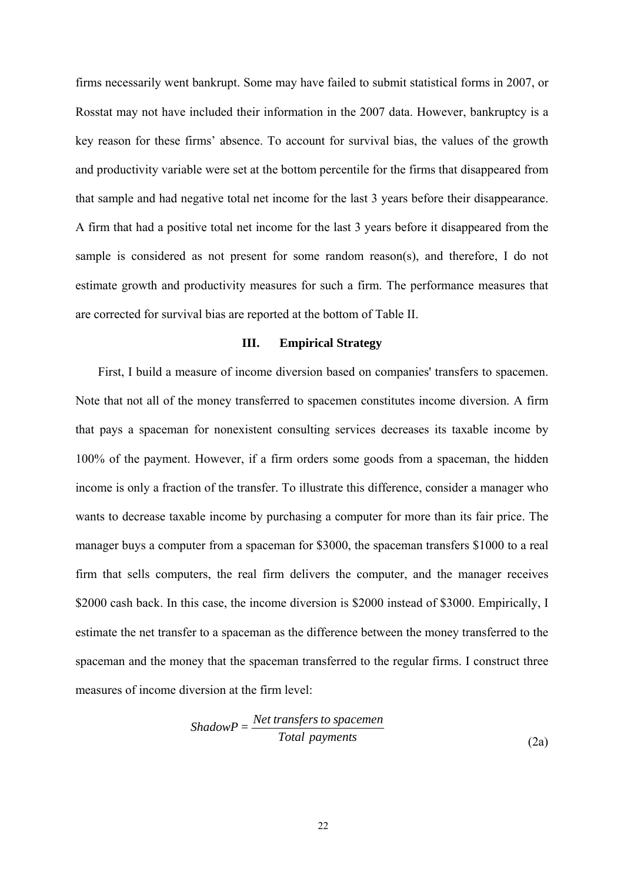firms necessarily went bankrupt. Some may have failed to submit statistical forms in 2007, or Rosstat may not have included their information in the 2007 data. However, bankruptcy is a key reason for these firms' absence. To account for survival bias, the values of the growth and productivity variable were set at the bottom percentile for the firms that disappeared from that sample and had negative total net income for the last 3 years before their disappearance. A firm that had a positive total net income for the last 3 years before it disappeared from the sample is considered as not present for some random reason(s), and therefore, I do not estimate growth and productivity measures for such a firm. The performance measures that are corrected for survival bias are reported at the bottom of Table II.

### **III. Empirical Strategy**

First, I build a measure of income diversion based on companies' transfers to spacemen. Note that not all of the money transferred to spacemen constitutes income diversion. A firm that pays a spaceman for nonexistent consulting services decreases its taxable income by 100% of the payment. However, if a firm orders some goods from a spaceman, the hidden income is only a fraction of the transfer. To illustrate this difference, consider a manager who wants to decrease taxable income by purchasing a computer for more than its fair price. The manager buys a computer from a spaceman for \$3000, the spaceman transfers \$1000 to a real firm that sells computers, the real firm delivers the computer, and the manager receives \$2000 cash back. In this case, the income diversion is \$2000 instead of \$3000. Empirically, I estimate the net transfer to a spaceman as the difference between the money transferred to the spaceman and the money that the spaceman transferred to the regular firms. I construct three measures of income diversion at the firm level:

$$
ShadowP = \frac{Net \, transfers \, to \, spacecraft}{Total \, payments}
$$
\n
$$
(2a)
$$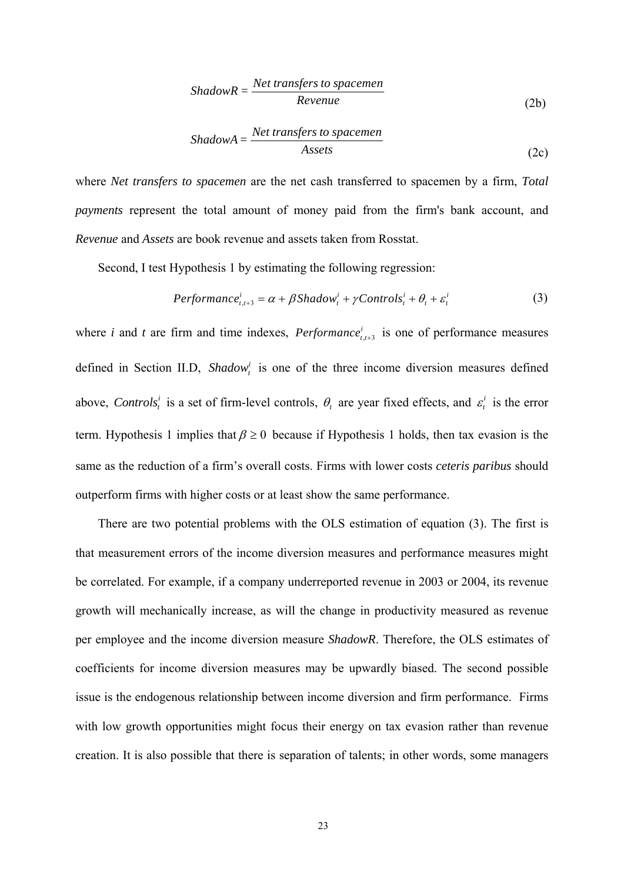$$
ShadowR = \frac{Net \ transfers \ to \ spacemen}{Review}
$$
 (2b)

$$
ShadowA = \frac{Net \ transfers \ to \ spacemen}{Assets} \tag{2c}
$$

where *Net transfers to spacemen* are the net cash transferred to spacemen by a firm, *Total payments* represent the total amount of money paid from the firm's bank account, and *Revenue* and *Assets* are book revenue and assets taken from Rosstat.

Second, I test Hypothesis 1 by estimating the following regression:

$$
Performance_{t,t+3}^{i} = \alpha + \beta \, \text{Shadow}_{t}^{i} + \gamma \, \text{Controls}_{t}^{i} + \theta_{t} + \varepsilon_{t}^{i} \tag{3}
$$

where *i* and *t* are firm and time indexes, *Performance*<sup>*i*</sup><sub>*t,t+3*</sub> is one of performance measures defined in Section II.D, *Shadow*<sup>*i*</sup> is one of the three income diversion measures defined above, *Controls*<sup>*i*</sup> is a set of firm-level controls,  $\theta$ <sub>*t*</sub> are year fixed effects, and  $\varepsilon$ <sup>*i*</sup> is the error term. Hypothesis 1 implies that  $\beta \ge 0$  because if Hypothesis 1 holds, then tax evasion is the same as the reduction of a firm's overall costs. Firms with lower costs *ceteris paribus* should outperform firms with higher costs or at least show the same performance.

There are two potential problems with the OLS estimation of equation (3). The first is that measurement errors of the income diversion measures and performance measures might be correlated. For example, if a company underreported revenue in 2003 or 2004, its revenue growth will mechanically increase, as will the change in productivity measured as revenue per employee and the income diversion measure *ShadowR*. Therefore, the OLS estimates of coefficients for income diversion measures may be upwardly biased. The second possible issue is the endogenous relationship between income diversion and firm performance. Firms with low growth opportunities might focus their energy on tax evasion rather than revenue creation. It is also possible that there is separation of talents; in other words, some managers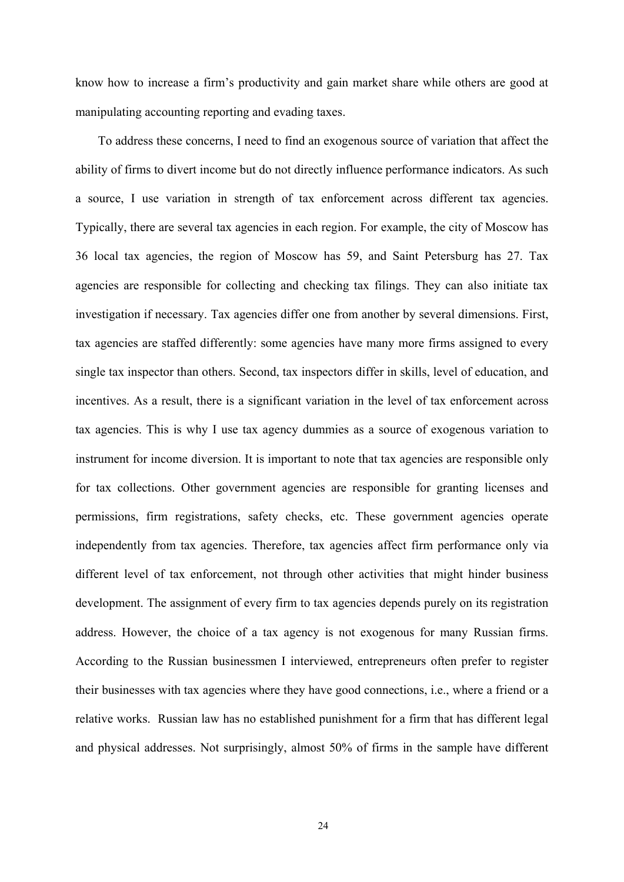know how to increase a firm's productivity and gain market share while others are good at manipulating accounting reporting and evading taxes.

To address these concerns, I need to find an exogenous source of variation that affect the ability of firms to divert income but do not directly influence performance indicators. As such a source, I use variation in strength of tax enforcement across different tax agencies. Typically, there are several tax agencies in each region. For example, the city of Moscow has 36 local tax agencies, the region of Moscow has 59, and Saint Petersburg has 27. Tax agencies are responsible for collecting and checking tax filings. They can also initiate tax investigation if necessary. Tax agencies differ one from another by several dimensions. First, tax agencies are staffed differently: some agencies have many more firms assigned to every single tax inspector than others. Second, tax inspectors differ in skills, level of education, and incentives. As a result, there is a significant variation in the level of tax enforcement across tax agencies. This is why I use tax agency dummies as a source of exogenous variation to instrument for income diversion. It is important to note that tax agencies are responsible only for tax collections. Other government agencies are responsible for granting licenses and permissions, firm registrations, safety checks, etc. These government agencies operate independently from tax agencies. Therefore, tax agencies affect firm performance only via different level of tax enforcement, not through other activities that might hinder business development. The assignment of every firm to tax agencies depends purely on its registration address. However, the choice of a tax agency is not exogenous for many Russian firms. According to the Russian businessmen I interviewed, entrepreneurs often prefer to register their businesses with tax agencies where they have good connections, i.e., where a friend or a relative works. Russian law has no established punishment for a firm that has different legal and physical addresses. Not surprisingly, almost 50% of firms in the sample have different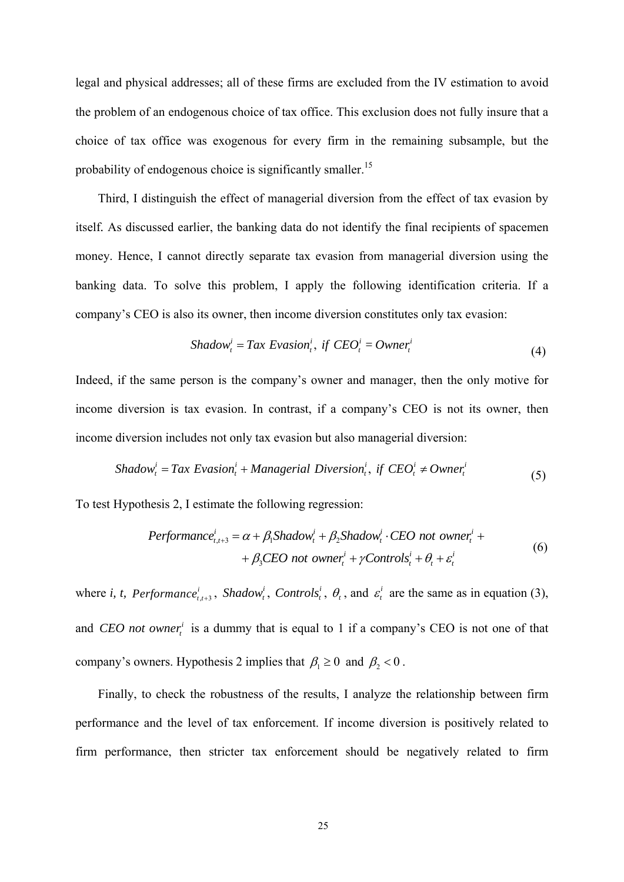legal and physical addresses; all of these firms are excluded from the IV estimation to avoid the problem of an endogenous choice of tax office. This exclusion does not fully insure that a choice of tax office was exogenous for every firm in the remaining subsample, but the probability of endogenous choice is significantly smaller.<sup>15</sup>

Third, I distinguish the effect of managerial diversion from the effect of tax evasion by itself*.* As discussed earlier, the banking data do not identify the final recipients of spacemen money. Hence, I cannot directly separate tax evasion from managerial diversion using the banking data. To solve this problem, I apply the following identification criteria. If a company's CEO is also its owner, then income diversion constitutes only tax evasion:

$$
Shadow_t^i = Tax Evasion_t^i, \text{ if } CEO_t^i =Owner_t^i
$$
\n
$$
(4)
$$

Indeed, if the same person is the company's owner and manager, then the only motive for income diversion is tax evasion. In contrast, if a company's CEO is not its owner, then income diversion includes not only tax evasion but also managerial diversion:

$$
Shadow_t^i = Tax Evasion_t^i + Management \, Diversion_t^i, \, if \, CEO_t^i \neq Owner_t^i \tag{5}
$$

To test Hypothesis 2, I estimate the following regression:

$$
Performance_{t,t+3}^{i} = \alpha + \beta_1 Shadow_t^{i} + \beta_2 Shadow_t^{i} \cdot CEO \text{ not owner}_t^{i} ++ \beta_3 CEO \text{ not owner}_t^{i} + \gamma Controls_t^{i} + \theta_t + \varepsilon_t^{i}
$$
(6)

where *i*, *t*, *Performance*<sup>*i*</sup><sub>*t*,+3</sub>, *Shadow*<sup>*i*</sup>, *Controls*<sup>*i*</sup>,  $\theta$ <sub>*i*</sub>, and  $\varepsilon$ <sup>*i*</sup> are the same as in equation (3), and *CEO not owner*<sup> $i$ </sup> is a dummy that is equal to 1 if a company's CEO is not one of that company's owners. Hypothesis 2 implies that  $\beta_1 \geq 0$  and  $\beta_2 < 0$ .

Finally, to check the robustness of the results, I analyze the relationship between firm performance and the level of tax enforcement. If income diversion is positively related to firm performance, then stricter tax enforcement should be negatively related to firm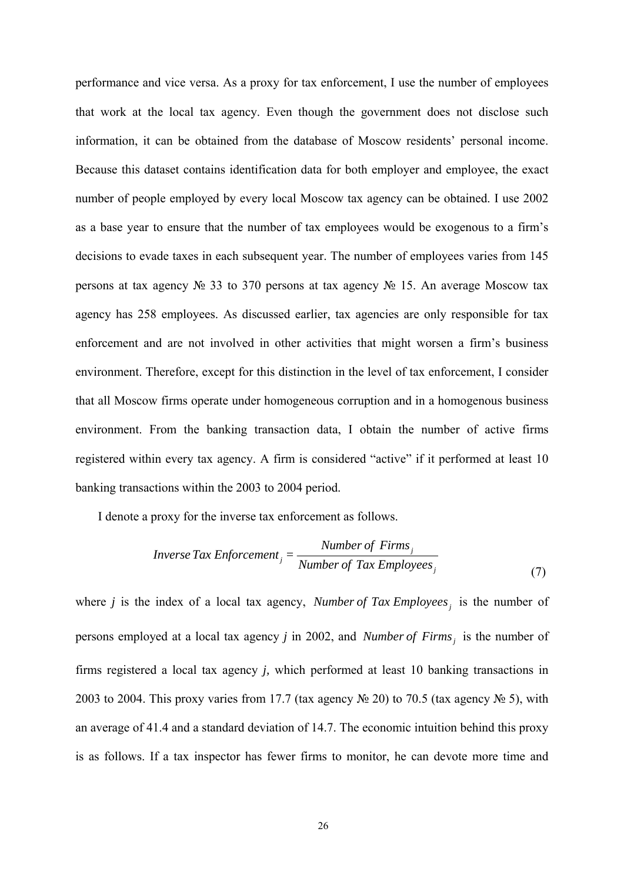performance and vice versa. As a proxy for tax enforcement, I use the number of employees that work at the local tax agency. Even though the government does not disclose such information, it can be obtained from the database of Moscow residents' personal income. Because this dataset contains identification data for both employer and employee, the exact number of people employed by every local Moscow tax agency can be obtained. I use 2002 as a base year to ensure that the number of tax employees would be exogenous to a firm's decisions to evade taxes in each subsequent year. The number of employees varies from 145 persons at tax agency № 33 to 370 persons at tax agency № 15. An average Moscow tax agency has 258 employees. As discussed earlier, tax agencies are only responsible for tax enforcement and are not involved in other activities that might worsen a firm's business environment. Therefore, except for this distinction in the level of tax enforcement, I consider that all Moscow firms operate under homogeneous corruption and in a homogenous business environment. From the banking transaction data, I obtain the number of active firms registered within every tax agency. A firm is considered "active" if it performed at least 10 banking transactions within the 2003 to 2004 period.

I denote a proxy for the inverse tax enforcement as follows.

$$
Inverse\,Tax\,Enforcement_j = \frac{Number\,of\,Firms_j}{Number\,of\,Tax\,Employeees_j}
$$
\n(7)

where  $j$  is the index of a local tax agency, *Number of Tax Employees*, is the number of persons employed at a local tax agency *j* in 2002, and *Number of Firms*, is the number of firms registered a local tax agency *j,* which performed at least 10 banking transactions in 2003 to 2004. This proxy varies from 17.7 (tax agency  $\mathcal{N}$  20) to 70.5 (tax agency  $\mathcal{N}$  5), with an average of 41.4 and a standard deviation of 14.7. The economic intuition behind this proxy is as follows. If a tax inspector has fewer firms to monitor, he can devote more time and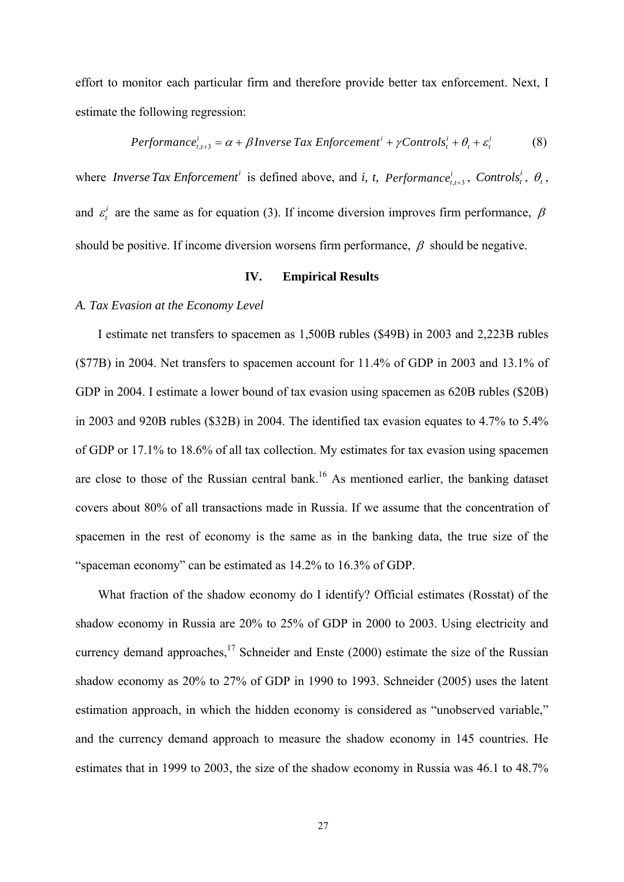effort to monitor each particular firm and therefore provide better tax enforcement. Next, I estimate the following regression:

$$
Performancet,t+3i = \alpha + \beta Inverse Tax Enforcementi + \gamma Controlsti + \thetat + \varepsilonti
$$
 (8)

where *Inverse Tax Enforcement*<sup>*i*</sup> is defined above, and *i*, *t*, *Performance*<sub>*i*,t+3</sub>, *Controls*<sup>*i*</sup>,  $\theta$ <sub>*t*</sub>, and  $\varepsilon_i^i$  are the same as for equation (3). If income diversion improves firm performance,  $\beta$ should be positive. If income diversion worsens firm performance,  $\beta$  should be negative.

## **IV. Empirical Results**

## *A. Tax Evasion at the Economy Level*

I estimate net transfers to spacemen as 1,500B rubles (\$49B) in 2003 and 2,223B rubles (\$77B) in 2004. Net transfers to spacemen account for 11.4% of GDP in 2003 and 13.1% of GDP in 2004. I estimate a lower bound of tax evasion using spacemen as 620B rubles (\$20B) in 2003 and 920B rubles (\$32B) in 2004. The identified tax evasion equates to 4.7% to 5.4% of GDP or 17.1% to 18.6% of all tax collection. My estimates for tax evasion using spacemen are close to those of the Russian central bank.<sup>16</sup> As mentioned earlier, the banking dataset covers about 80% of all transactions made in Russia. If we assume that the concentration of spacemen in the rest of economy is the same as in the banking data, the true size of the "spaceman economy" can be estimated as 14.2% to 16.3% of GDP.

What fraction of the shadow economy do I identify? Official estimates (Rosstat) of the shadow economy in Russia are 20% to 25% of GDP in 2000 to 2003. Using electricity and currency demand approaches, $17$  Schneider and Enste (2000) estimate the size of the Russian shadow economy as 20% to 27% of GDP in 1990 to 1993. Schneider (2005) uses the latent estimation approach, in which the hidden economy is considered as "unobserved variable," and the currency demand approach to measure the shadow economy in 145 countries. He estimates that in 1999 to 2003, the size of the shadow economy in Russia was 46.1 to 48.7%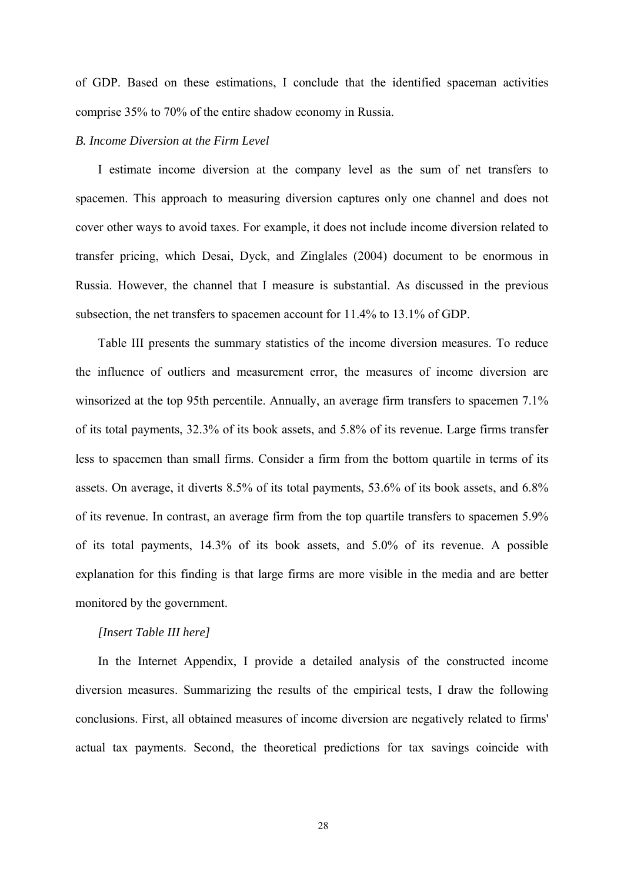of GDP. Based on these estimations, I conclude that the identified spaceman activities comprise 35% to 70% of the entire shadow economy in Russia.

#### *B. Income Diversion at the Firm Level*

I estimate income diversion at the company level as the sum of net transfers to spacemen. This approach to measuring diversion captures only one channel and does not cover other ways to avoid taxes. For example, it does not include income diversion related to transfer pricing, which Desai, Dyck, and Zinglales (2004) document to be enormous in Russia. However, the channel that I measure is substantial. As discussed in the previous subsection, the net transfers to spacemen account for 11.4% to 13.1% of GDP.

Table III presents the summary statistics of the income diversion measures. To reduce the influence of outliers and measurement error, the measures of income diversion are winsorized at the top 95th percentile. Annually, an average firm transfers to spacemen 7.1% of its total payments, 32.3% of its book assets, and 5.8% of its revenue. Large firms transfer less to spacemen than small firms. Consider a firm from the bottom quartile in terms of its assets. On average, it diverts 8.5% of its total payments, 53.6% of its book assets, and 6.8% of its revenue. In contrast, an average firm from the top quartile transfers to spacemen 5.9% of its total payments, 14.3% of its book assets, and 5.0% of its revenue. A possible explanation for this finding is that large firms are more visible in the media and are better monitored by the government.

# *[Insert Table III here]*

In the Internet Appendix, I provide a detailed analysis of the constructed income diversion measures. Summarizing the results of the empirical tests, I draw the following conclusions. First, all obtained measures of income diversion are negatively related to firms' actual tax payments. Second, the theoretical predictions for tax savings coincide with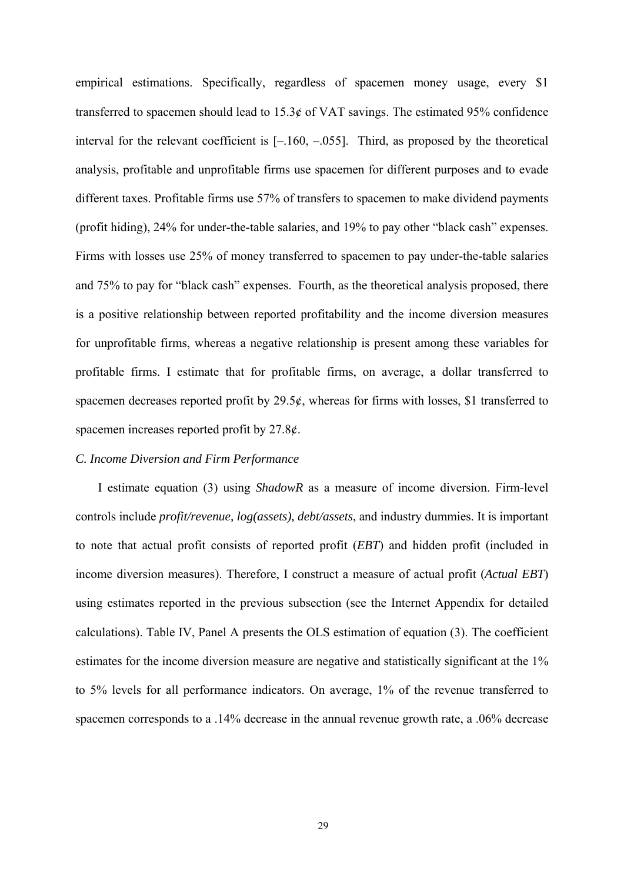empirical estimations. Specifically, regardless of spacemen money usage, every \$1 transferred to spacemen should lead to 15.3¢ of VAT savings. The estimated 95% confidence interval for the relevant coefficient is [–.160, –.055]. Third, as proposed by the theoretical analysis, profitable and unprofitable firms use spacemen for different purposes and to evade different taxes. Profitable firms use 57% of transfers to spacemen to make dividend payments (profit hiding), 24% for under-the-table salaries, and 19% to pay other "black cash" expenses. Firms with losses use 25% of money transferred to spacemen to pay under-the-table salaries and 75% to pay for "black cash" expenses. Fourth, as the theoretical analysis proposed, there is a positive relationship between reported profitability and the income diversion measures for unprofitable firms, whereas a negative relationship is present among these variables for profitable firms. I estimate that for profitable firms, on average, a dollar transferred to spacemen decreases reported profit by 29.5¢, whereas for firms with losses, \$1 transferred to spacemen increases reported profit by 27.8¢.

#### *C. Income Diversion and Firm Performance*

I estimate equation (3) using *ShadowR* as a measure of income diversion. Firm-level controls include *profit/revenue, log(assets), debt/assets*, and industry dummies. It is important to note that actual profit consists of reported profit (*EBT*) and hidden profit (included in income diversion measures). Therefore, I construct a measure of actual profit (*Actual EBT*) using estimates reported in the previous subsection (see the Internet Appendix for detailed calculations). Table IV, Panel A presents the OLS estimation of equation (3). The coefficient estimates for the income diversion measure are negative and statistically significant at the 1% to 5% levels for all performance indicators. On average, 1% of the revenue transferred to spacemen corresponds to a .14% decrease in the annual revenue growth rate, a .06% decrease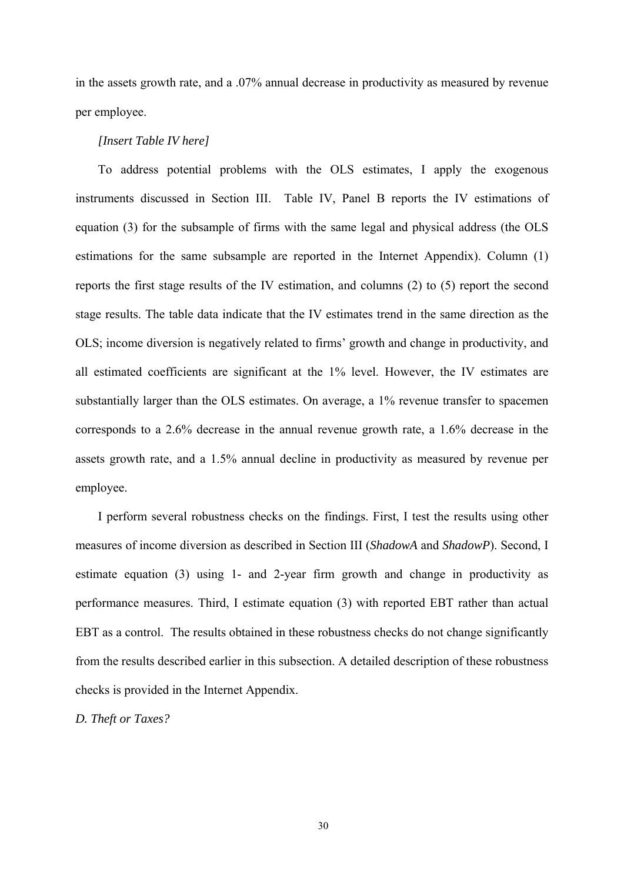in the assets growth rate, and a .07% annual decrease in productivity as measured by revenue per employee.

#### *[Insert Table IV here]*

To address potential problems with the OLS estimates, I apply the exogenous instruments discussed in Section III. Table IV, Panel B reports the IV estimations of equation (3) for the subsample of firms with the same legal and physical address (the OLS estimations for the same subsample are reported in the Internet Appendix). Column (1) reports the first stage results of the IV estimation, and columns (2) to (5) report the second stage results. The table data indicate that the IV estimates trend in the same direction as the OLS; income diversion is negatively related to firms' growth and change in productivity, and all estimated coefficients are significant at the 1% level. However, the IV estimates are substantially larger than the OLS estimates. On average, a 1% revenue transfer to spacemen corresponds to a 2.6% decrease in the annual revenue growth rate, a 1.6% decrease in the assets growth rate, and a 1.5% annual decline in productivity as measured by revenue per employee.

I perform several robustness checks on the findings. First, I test the results using other measures of income diversion as described in Section III (*ShadowA* and *ShadowP*). Second, I estimate equation (3) using 1- and 2-year firm growth and change in productivity as performance measures. Third, I estimate equation (3) with reported EBT rather than actual EBT as a control. The results obtained in these robustness checks do not change significantly from the results described earlier in this subsection. A detailed description of these robustness checks is provided in the Internet Appendix.

*D. Theft or Taxes?*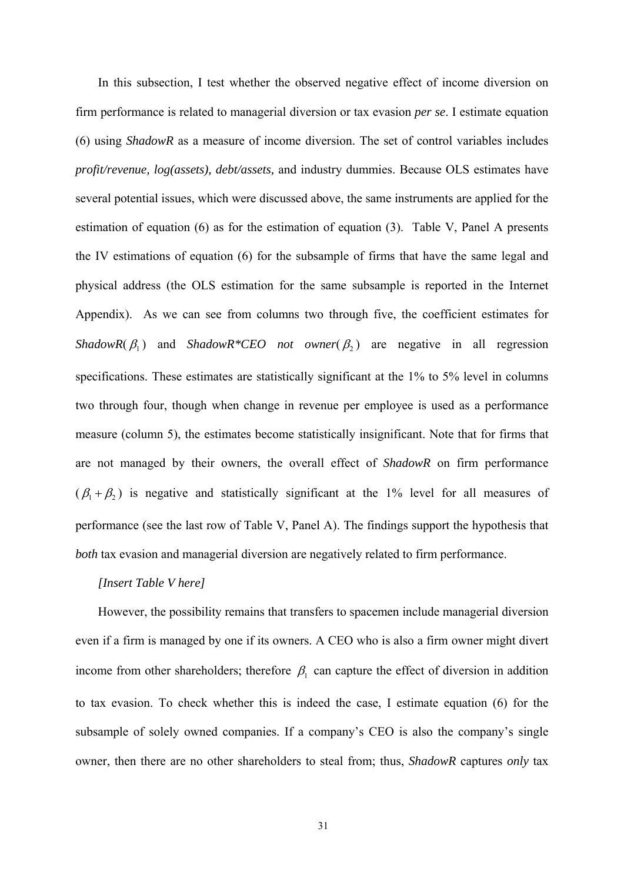In this subsection, I test whether the observed negative effect of income diversion on firm performance is related to managerial diversion or tax evasion *per se*. I estimate equation (6) using *ShadowR* as a measure of income diversion. The set of control variables includes *profit/revenue, log(assets), debt/assets,* and industry dummies. Because OLS estimates have several potential issues, which were discussed above, the same instruments are applied for the estimation of equation (6) as for the estimation of equation (3). Table V, Panel A presents the IV estimations of equation (6) for the subsample of firms that have the same legal and physical address (the OLS estimation for the same subsample is reported in the Internet Appendix). As we can see from columns two through five, the coefficient estimates for *ShadowR*( $\beta_1$ ) and *ShadowR\*CEO not owner*( $\beta_2$ ) are negative in all regression specifications. These estimates are statistically significant at the 1% to 5% level in columns two through four, though when change in revenue per employee is used as a performance measure (column 5), the estimates become statistically insignificant. Note that for firms that are not managed by their owners, the overall effect of *ShadowR* on firm performance  $(\beta_1 + \beta_2)$  is negative and statistically significant at the 1% level for all measures of performance (see the last row of Table V, Panel A). The findings support the hypothesis that *both* tax evasion and managerial diversion are negatively related to firm performance.

# *[Insert Table V here]*

However, the possibility remains that transfers to spacemen include managerial diversion even if a firm is managed by one if its owners. A CEO who is also a firm owner might divert income from other shareholders; therefore  $\beta_1$  can capture the effect of diversion in addition to tax evasion. To check whether this is indeed the case, I estimate equation (6) for the subsample of solely owned companies. If a company's CEO is also the company's single owner, then there are no other shareholders to steal from; thus, *ShadowR* captures *only* tax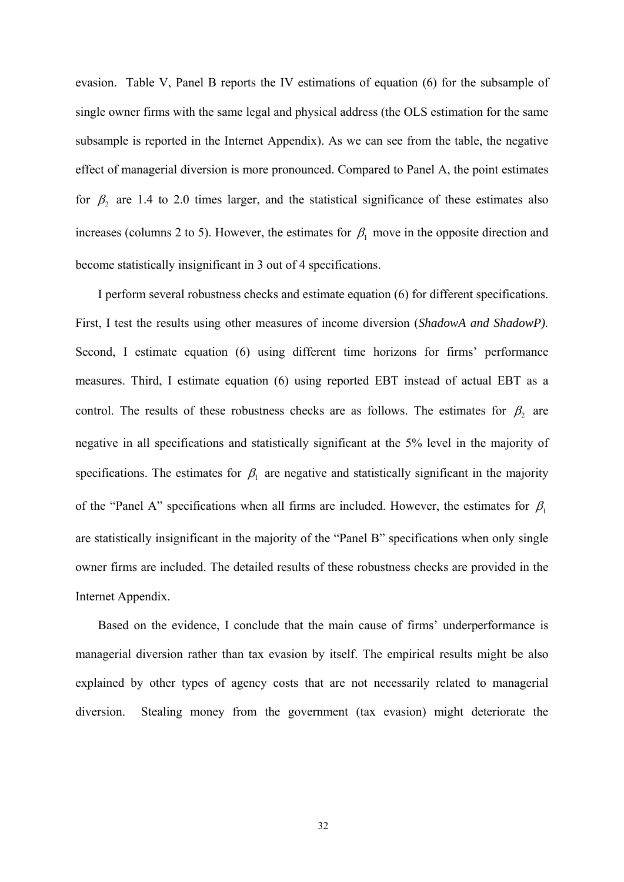evasion. Table V, Panel B reports the IV estimations of equation (6) for the subsample of single owner firms with the same legal and physical address (the OLS estimation for the same subsample is reported in the Internet Appendix). As we can see from the table, the negative effect of managerial diversion is more pronounced. Compared to Panel A, the point estimates for  $\beta_2$  are 1.4 to 2.0 times larger, and the statistical significance of these estimates also increases (columns 2 to 5). However, the estimates for  $\beta_1$  move in the opposite direction and become statistically insignificant in 3 out of 4 specifications.

I perform several robustness checks and estimate equation (6) for different specifications. First, I test the results using other measures of income diversion (*ShadowA and ShadowP).* Second, I estimate equation (6) using different time horizons for firms' performance measures. Third, I estimate equation (6) using reported EBT instead of actual EBT as a control. The results of these robustness checks are as follows. The estimates for  $\beta_2$  are negative in all specifications and statistically significant at the 5% level in the majority of specifications. The estimates for  $\beta_1$  are negative and statistically significant in the majority of the "Panel A" specifications when all firms are included. However, the estimates for  $\beta_1$ are statistically insignificant in the majority of the "Panel B" specifications when only single owner firms are included. The detailed results of these robustness checks are provided in the Internet Appendix.

Based on the evidence, I conclude that the main cause of firms' underperformance is managerial diversion rather than tax evasion by itself. The empirical results might be also explained by other types of agency costs that are not necessarily related to managerial diversion. Stealing money from the government (tax evasion) might deteriorate the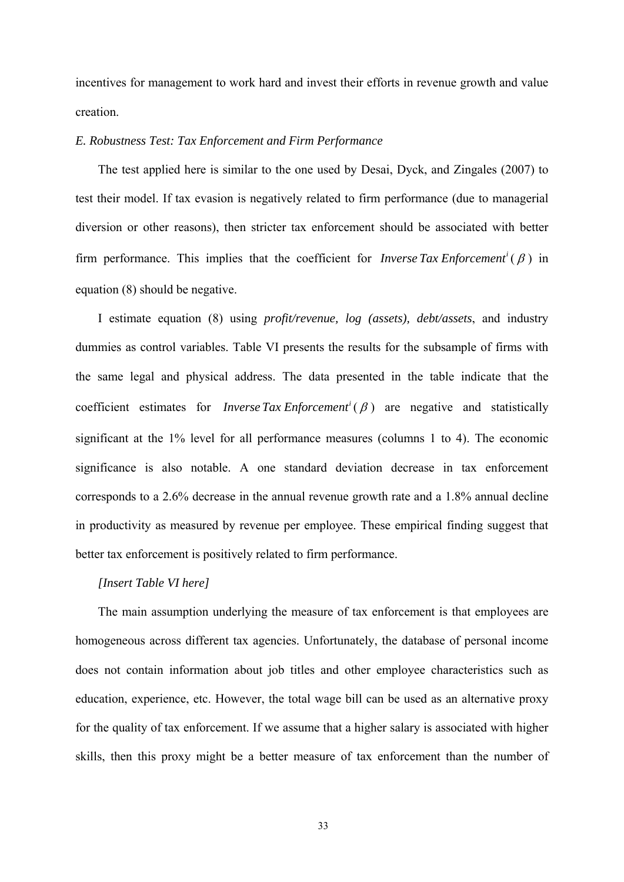incentives for management to work hard and invest their efforts in revenue growth and value creation.

## *E. Robustness Test: Tax Enforcement and Firm Performance*

The test applied here is similar to the one used by Desai, Dyck, and Zingales (2007) to test their model. If tax evasion is negatively related to firm performance (due to managerial diversion or other reasons), then stricter tax enforcement should be associated with better firm performance. This implies that the coefficient for *Inverse Tax Enforcement*<sup>*i*</sup> ( $\beta$ ) in equation (8) should be negative.

I estimate equation (8) using *profit/revenue, log (assets), debt/assets*, and industry dummies as control variables. Table VI presents the results for the subsample of firms with the same legal and physical address. The data presented in the table indicate that the coefficient estimates for *Inverse Tax Enforcement<sup>i</sup>* ( $\beta$ ) are negative and statistically significant at the 1% level for all performance measures (columns 1 to 4). The economic significance is also notable. A one standard deviation decrease in tax enforcement corresponds to a 2.6% decrease in the annual revenue growth rate and a 1.8% annual decline in productivity as measured by revenue per employee. These empirical finding suggest that better tax enforcement is positively related to firm performance.

# *[Insert Table VI here]*

The main assumption underlying the measure of tax enforcement is that employees are homogeneous across different tax agencies. Unfortunately, the database of personal income does not contain information about job titles and other employee characteristics such as education, experience, etc. However, the total wage bill can be used as an alternative proxy for the quality of tax enforcement. If we assume that a higher salary is associated with higher skills, then this proxy might be a better measure of tax enforcement than the number of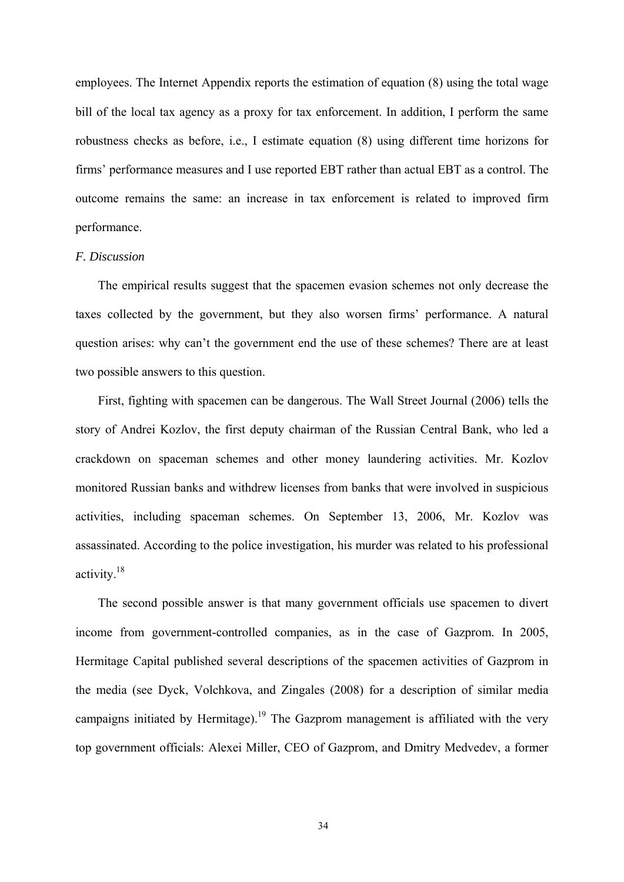employees. The Internet Appendix reports the estimation of equation (8) using the total wage bill of the local tax agency as a proxy for tax enforcement. In addition, I perform the same robustness checks as before, i.e., I estimate equation (8) using different time horizons for firms' performance measures and I use reported EBT rather than actual EBT as a control. The outcome remains the same: an increase in tax enforcement is related to improved firm performance.

#### *F. Discussion*

The empirical results suggest that the spacemen evasion schemes not only decrease the taxes collected by the government, but they also worsen firms' performance. A natural question arises: why can't the government end the use of these schemes? There are at least two possible answers to this question.

First, fighting with spacemen can be dangerous. The Wall Street Journal (2006) tells the story of Andrei Kozlov, the first deputy chairman of the Russian Central Bank, who led a crackdown on spaceman schemes and other money laundering activities. Mr. Kozlov monitored Russian banks and withdrew licenses from banks that were involved in suspicious activities, including spaceman schemes. On September 13, 2006, Mr. Kozlov was assassinated. According to the police investigation, his murder was related to his professional activity.18

The second possible answer is that many government officials use spacemen to divert income from government-controlled companies, as in the case of Gazprom. In 2005, Hermitage Capital published several descriptions of the spacemen activities of Gazprom in the media (see Dyck, Volchkova, and Zingales (2008) for a description of similar media campaigns initiated by Hermitage).<sup>19</sup> The Gazprom management is affiliated with the very top government officials: Alexei Miller, CEO of Gazprom, and Dmitry Medvedev, a former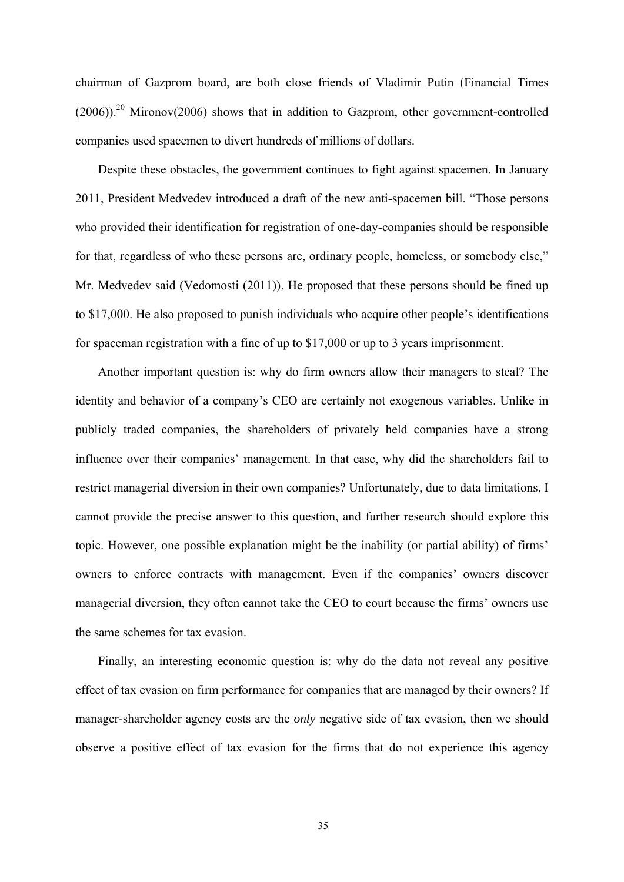chairman of Gazprom board, are both close friends of Vladimir Putin (Financial Times  $(2006)$ .<sup>20</sup> Mironov(2006) shows that in addition to Gazprom, other government-controlled companies used spacemen to divert hundreds of millions of dollars.

Despite these obstacles, the government continues to fight against spacemen. In January 2011, President Medvedev introduced a draft of the new anti-spacemen bill. "Those persons who provided their identification for registration of one-day-companies should be responsible for that, regardless of who these persons are, ordinary people, homeless, or somebody else," Mr. Medvedev said (Vedomosti (2011)). He proposed that these persons should be fined up to \$17,000. He also proposed to punish individuals who acquire other people's identifications for spaceman registration with a fine of up to \$17,000 or up to 3 years imprisonment.

Another important question is: why do firm owners allow their managers to steal? The identity and behavior of a company's CEO are certainly not exogenous variables. Unlike in publicly traded companies, the shareholders of privately held companies have a strong influence over their companies' management. In that case, why did the shareholders fail to restrict managerial diversion in their own companies? Unfortunately, due to data limitations, I cannot provide the precise answer to this question, and further research should explore this topic. However, one possible explanation might be the inability (or partial ability) of firms' owners to enforce contracts with management. Even if the companies' owners discover managerial diversion, they often cannot take the CEO to court because the firms' owners use the same schemes for tax evasion.

Finally, an interesting economic question is: why do the data not reveal any positive effect of tax evasion on firm performance for companies that are managed by their owners? If manager-shareholder agency costs are the *only* negative side of tax evasion, then we should observe a positive effect of tax evasion for the firms that do not experience this agency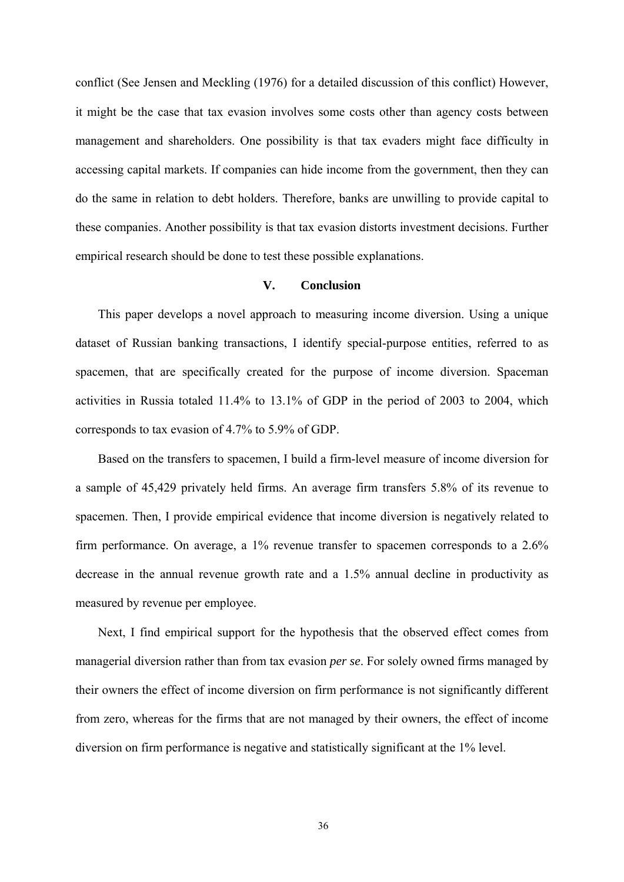conflict (See Jensen and Meckling (1976) for a detailed discussion of this conflict) However, it might be the case that tax evasion involves some costs other than agency costs between management and shareholders. One possibility is that tax evaders might face difficulty in accessing capital markets. If companies can hide income from the government, then they can do the same in relation to debt holders. Therefore, banks are unwilling to provide capital to these companies. Another possibility is that tax evasion distorts investment decisions. Further empirical research should be done to test these possible explanations.

# **V. Conclusion**

This paper develops a novel approach to measuring income diversion. Using a unique dataset of Russian banking transactions, I identify special-purpose entities, referred to as spacemen, that are specifically created for the purpose of income diversion. Spaceman activities in Russia totaled 11.4% to 13.1% of GDP in the period of 2003 to 2004, which corresponds to tax evasion of 4.7% to 5.9% of GDP.

Based on the transfers to spacemen, I build a firm-level measure of income diversion for a sample of 45,429 privately held firms. An average firm transfers 5.8% of its revenue to spacemen. Then, I provide empirical evidence that income diversion is negatively related to firm performance. On average, a 1% revenue transfer to spacemen corresponds to a 2.6% decrease in the annual revenue growth rate and a 1.5% annual decline in productivity as measured by revenue per employee.

Next, I find empirical support for the hypothesis that the observed effect comes from managerial diversion rather than from tax evasion *per se*. For solely owned firms managed by their owners the effect of income diversion on firm performance is not significantly different from zero, whereas for the firms that are not managed by their owners, the effect of income diversion on firm performance is negative and statistically significant at the 1% level.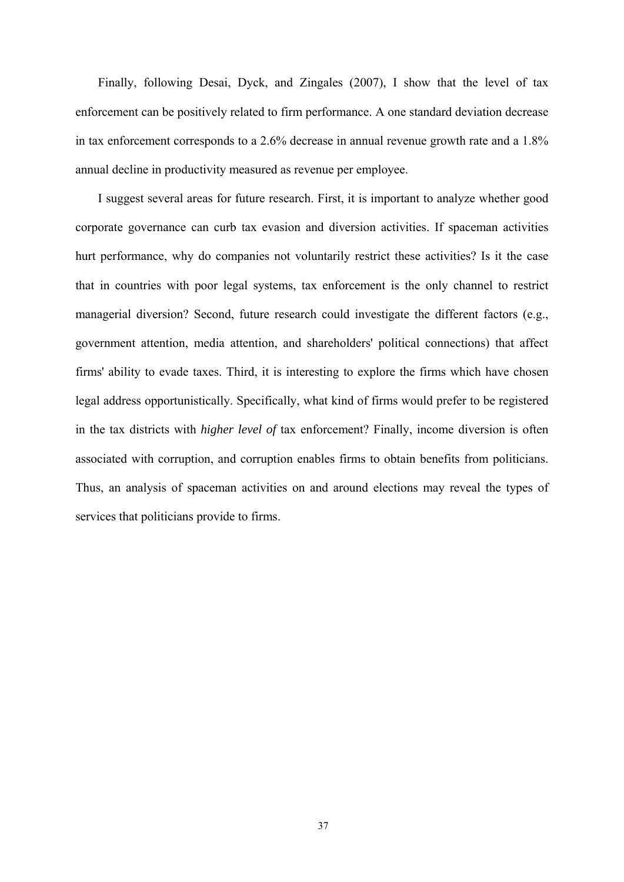Finally, following Desai, Dyck, and Zingales (2007), I show that the level of tax enforcement can be positively related to firm performance. A one standard deviation decrease in tax enforcement corresponds to a 2.6% decrease in annual revenue growth rate and a 1.8% annual decline in productivity measured as revenue per employee.

I suggest several areas for future research. First, it is important to analyze whether good corporate governance can curb tax evasion and diversion activities. If spaceman activities hurt performance, why do companies not voluntarily restrict these activities? Is it the case that in countries with poor legal systems, tax enforcement is the only channel to restrict managerial diversion? Second, future research could investigate the different factors (e.g., government attention, media attention, and shareholders' political connections) that affect firms' ability to evade taxes. Third, it is interesting to explore the firms which have chosen legal address opportunistically. Specifically, what kind of firms would prefer to be registered in the tax districts with *higher level of* tax enforcement? Finally, income diversion is often associated with corruption, and corruption enables firms to obtain benefits from politicians. Thus, an analysis of spaceman activities on and around elections may reveal the types of services that politicians provide to firms.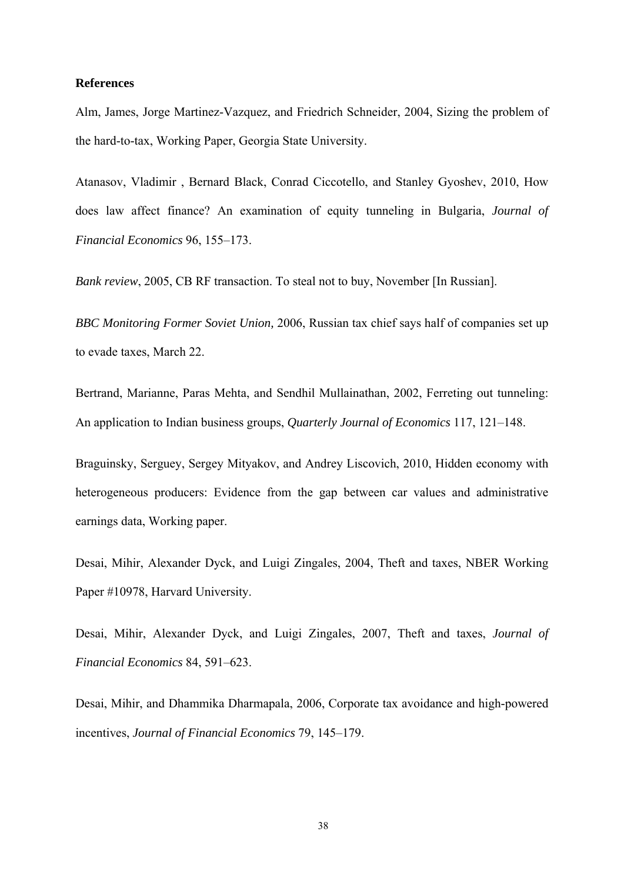## **References**

Alm, James, Jorge Martinez-Vazquez, and Friedrich Schneider, 2004, Sizing the problem of the hard-to-tax, Working Paper, Georgia State University.

Atanasov, Vladimir , Bernard Black, Conrad Ciccotello, and Stanley Gyoshev, 2010, How does law affect finance? An examination of equity tunneling in Bulgaria, *Journal of Financial Economics* 96, 155–173.

*Bank review*, 2005, CB RF transaction. To steal not to buy, November [In Russian].

*BBC Monitoring Former Soviet Union,* 2006, Russian tax chief says half of companies set up to evade taxes, March 22.

Bertrand, Marianne, Paras Mehta, and Sendhil Mullainathan, 2002, Ferreting out tunneling: An application to Indian business groups, *Quarterly Journal of Economics* 117, 121–148.

Braguinsky, Serguey, Sergey Mityakov, and Andrey Liscovich, 2010, Hidden economy with heterogeneous producers: Evidence from the gap between car values and administrative earnings data, Working paper.

Desai, Mihir, Alexander Dyck, and Luigi Zingales, 2004, Theft and taxes, NBER Working Paper #10978, Harvard University.

Desai, Mihir, Alexander Dyck, and Luigi Zingales, 2007, Theft and taxes, *Journal of Financial Economics* 84, 591–623.

Desai, Mihir, and Dhammika Dharmapala, 2006, Corporate tax avoidance and high-powered incentives, *Journal of Financial Economics* 79, 145–179.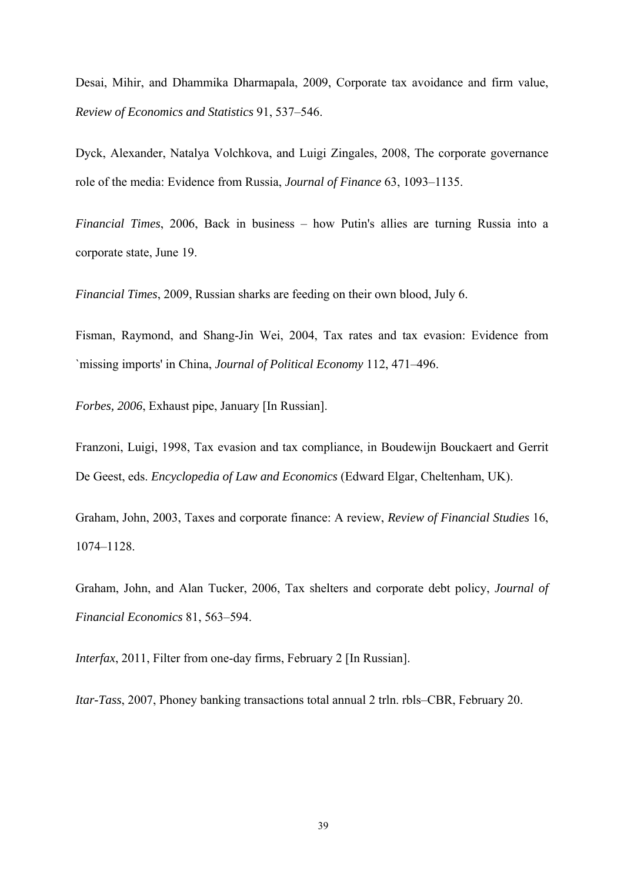Desai, Mihir, and Dhammika Dharmapala, 2009, Corporate tax avoidance and firm value, *Review of Economics and Statistics* 91, 537–546.

Dyck, Alexander, Natalya Volchkova, and Luigi Zingales, 2008, The corporate governance role of the media: Evidence from Russia, *Journal of Finance* 63, 1093–1135.

*Financial Times*, 2006, Back in business – how Putin's allies are turning Russia into a corporate state, June 19.

*Financial Times*, 2009, Russian sharks are feeding on their own blood, July 6.

Fisman, Raymond, and Shang-Jin Wei, 2004, Tax rates and tax evasion: Evidence from `missing imports' in China, *Journal of Political Economy* 112, 471–496.

*Forbes, 2006*, Exhaust pipe, January [In Russian].

Franzoni, Luigi, 1998, Tax evasion and tax compliance, in Boudewijn Bouckaert and Gerrit De Geest, eds. *Encyclopedia of Law and Economics* (Edward Elgar, Cheltenham, UK).

Graham, John, 2003, Taxes and corporate finance: A review, *Review of Financial Studies* 16, 1074–1128.

Graham, John, and Alan Tucker, 2006, Tax shelters and corporate debt policy, *Journal of Financial Economics* 81, 563–594.

*Interfax*, 2011, Filter from one-day firms, February 2 [In Russian].

*Itar-Tass*, 2007, Phoney banking transactions total annual 2 trln. rbls–CBR, February 20.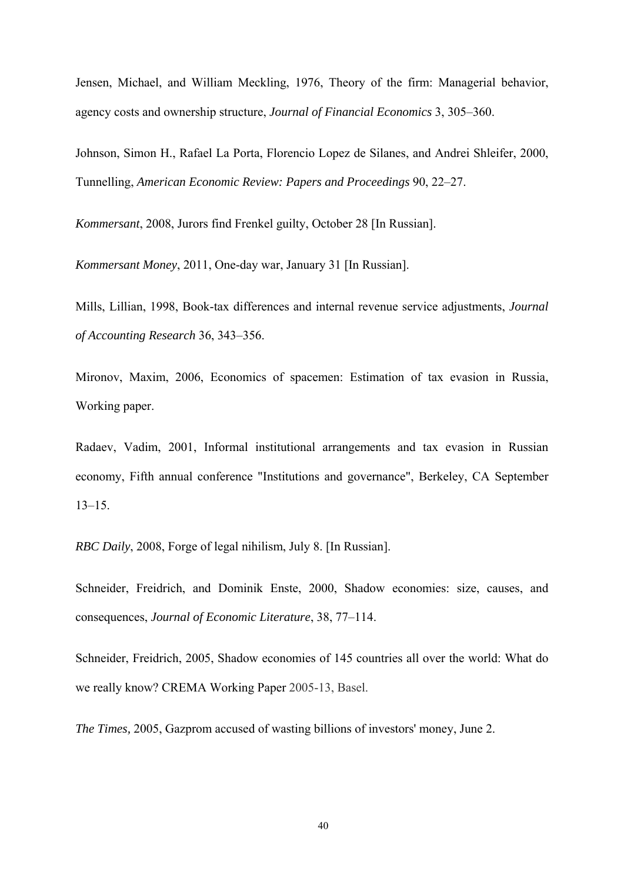Jensen, Michael, and William Meckling, 1976, Theory of the firm: Managerial behavior, agency costs and ownership structure, *Journal of Financial Economics* 3, 305–360.

Johnson, Simon H., Rafael La Porta, Florencio Lopez de Silanes, and Andrei Shleifer, 2000, Tunnelling, *American Economic Review: Papers and Proceedings* 90, 22–27.

*Kommersant*, 2008, Jurors find Frenkel guilty, October 28 [In Russian].

*Kommersant Money*, 2011, One-day war, January 31 [In Russian].

Mills, Lillian, 1998, Book-tax differences and internal revenue service adjustments, *Journal of Accounting Research* 36, 343–356.

Mironov, Maxim, 2006, Economics of spacemen: Estimation of tax evasion in Russia, Working paper.

Radaev, Vadim, 2001, Informal institutional arrangements and tax evasion in Russian economy, Fifth annual conference "Institutions and governance", Berkeley, CA September 13–15.

*RBC Daily*, 2008, Forge of legal nihilism, July 8. [In Russian].

Schneider, Freidrich, and Dominik Enste, 2000, Shadow economies: size, causes, and consequences, *Journal of Economic Literature*, 38, 77–114.

Schneider, Freidrich, 2005, Shadow economies of 145 countries all over the world: What do we really know? CREMA Working Paper 2005-13, Basel.

*The Times,* 2005, Gazprom accused of wasting billions of investors' money, June 2.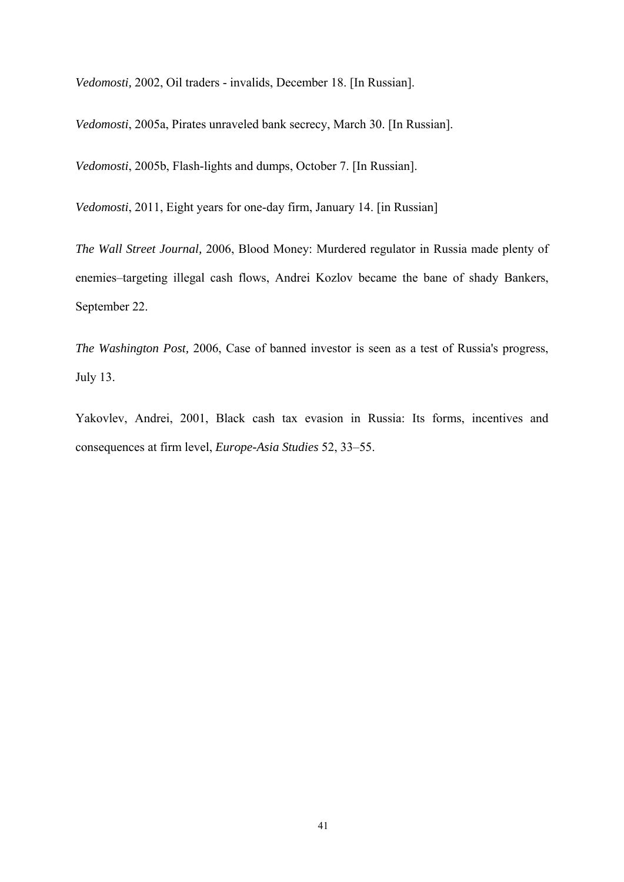*Vedomosti,* 2002, Oil traders - invalids, December 18. [In Russian].

*Vedomosti*, 2005a, Pirates unraveled bank secrecy, March 30. [In Russian].

*Vedomosti*, 2005b, Flash-lights and dumps, October 7. [In Russian].

*Vedomosti*, 2011, Eight years for one-day firm, January 14. [in Russian]

*The Wall Street Journal,* 2006, Blood Money: Murdered regulator in Russia made plenty of enemies–targeting illegal cash flows, Andrei Kozlov became the bane of shady Bankers, September 22.

*The Washington Post,* 2006, Case of banned investor is seen as a test of Russia's progress, July 13.

Yakovlev, Andrei, 2001, Black cash tax evasion in Russia: Its forms, incentives and consequences at firm level, *Europe-Asia Studies* 52, 33–55.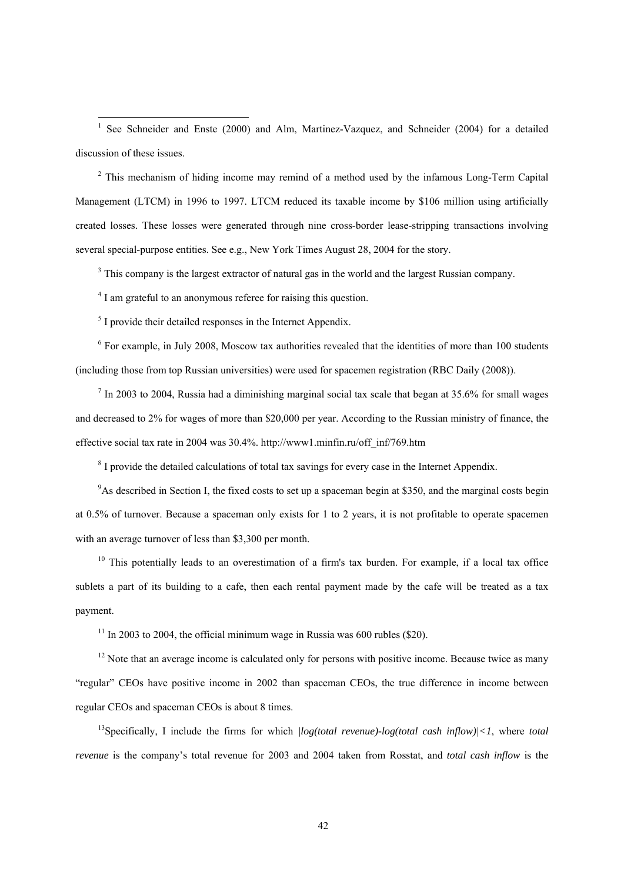<sup>1</sup> See Schneider and Enste (2000) and Alm, Martinez-Vazquez, and Schneider (2004) for a detailed discussion of these issues.

<sup>2</sup> This mechanism of hiding income may remind of a method used by the infamous Long-Term Capital Management (LTCM) in 1996 to 1997. LTCM reduced its taxable income by \$106 million using artificially created losses. These losses were generated through nine cross-border lease-stripping transactions involving several special-purpose entities. See e.g., New York Times August 28, 2004 for the story.

 $3$  This company is the largest extractor of natural gas in the world and the largest Russian company.

<sup>4</sup> I am grateful to an anonymous referee for raising this question.

<sup>5</sup> I provide their detailed responses in the Internet Appendix.

 $6$  For example, in July 2008, Moscow tax authorities revealed that the identities of more than 100 students (including those from top Russian universities) were used for spacemen registration (RBC Daily (2008)).

 $<sup>7</sup>$  In 2003 to 2004, Russia had a diminishing marginal social tax scale that began at 35.6% for small wages</sup> and decreased to 2% for wages of more than \$20,000 per year. According to the Russian ministry of finance, the effective social tax rate in 2004 was 30.4%. http://www1.minfin.ru/off\_inf/769.htm

 $8$  I provide the detailed calculations of total tax savings for every case in the Internet Appendix.

<sup>9</sup>As described in Section I, the fixed costs to set up a spaceman begin at \$350, and the marginal costs begin at 0.5% of turnover. Because a spaceman only exists for 1 to 2 years, it is not profitable to operate spacemen with an average turnover of less than \$3,300 per month.

 $10$  This potentially leads to an overestimation of a firm's tax burden. For example, if a local tax office sublets a part of its building to a cafe, then each rental payment made by the cafe will be treated as a tax payment.

 $11$  In 2003 to 2004, the official minimum wage in Russia was 600 rubles (\$20).

 $12$  Note that an average income is calculated only for persons with positive income. Because twice as many "regular" CEOs have positive income in 2002 than spaceman CEOs, the true difference in income between regular CEOs and spaceman CEOs is about 8 times.

13Specifically, I include the firms for which *|log(total revenue)-log(total cash inflow)|<1*, where *total revenue* is the company's total revenue for 2003 and 2004 taken from Rosstat, and *total cash inflow* is the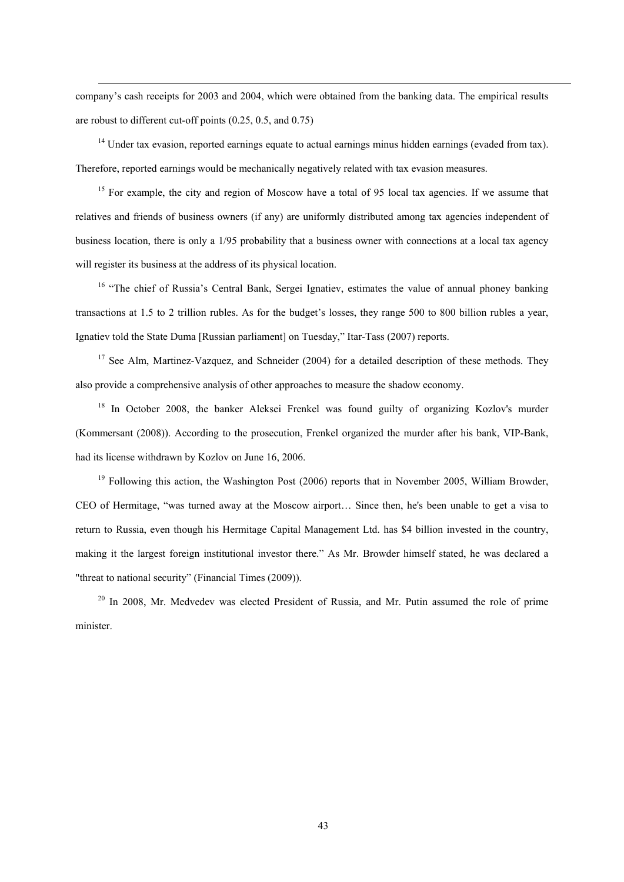company's cash receipts for 2003 and 2004, which were obtained from the banking data. The empirical results are robust to different cut-off points (0.25, 0.5, and 0.75)

<sup>14</sup> Under tax evasion, reported earnings equate to actual earnings minus hidden earnings (evaded from tax). Therefore, reported earnings would be mechanically negatively related with tax evasion measures.

<sup>15</sup> For example, the city and region of Moscow have a total of 95 local tax agencies. If we assume that relatives and friends of business owners (if any) are uniformly distributed among tax agencies independent of business location, there is only a 1/95 probability that a business owner with connections at a local tax agency will register its business at the address of its physical location.

<sup>16</sup> "The chief of Russia's Central Bank, Sergei Ignatiev, estimates the value of annual phoney banking transactions at 1.5 to 2 trillion rubles. As for the budget's losses, they range 500 to 800 billion rubles a year, Ignatiev told the State Duma [Russian parliament] on Tuesday," Itar-Tass (2007) reports.

<sup>17</sup> See Alm, Martinez-Vazquez, and Schneider (2004) for a detailed description of these methods. They also provide a comprehensive analysis of other approaches to measure the shadow economy.

<sup>18</sup> In October 2008, the banker Aleksei Frenkel was found guilty of organizing Kozlov's murder (Kommersant (2008)). According to the prosecution, Frenkel organized the murder after his bank, VIP-Bank, had its license withdrawn by Kozlov on June 16, 2006.

 $19$  Following this action, the Washington Post (2006) reports that in November 2005, William Browder, CEO of Hermitage, "was turned away at the Moscow airport… Since then, he's been unable to get a visa to return to Russia, even though his Hermitage Capital Management Ltd. has \$4 billion invested in the country, making it the largest foreign institutional investor there." As Mr. Browder himself stated, he was declared a "threat to national security" (Financial Times (2009)).

<sup>20</sup> In 2008, Mr. Medvedev was elected President of Russia, and Mr. Putin assumed the role of prime minister.

43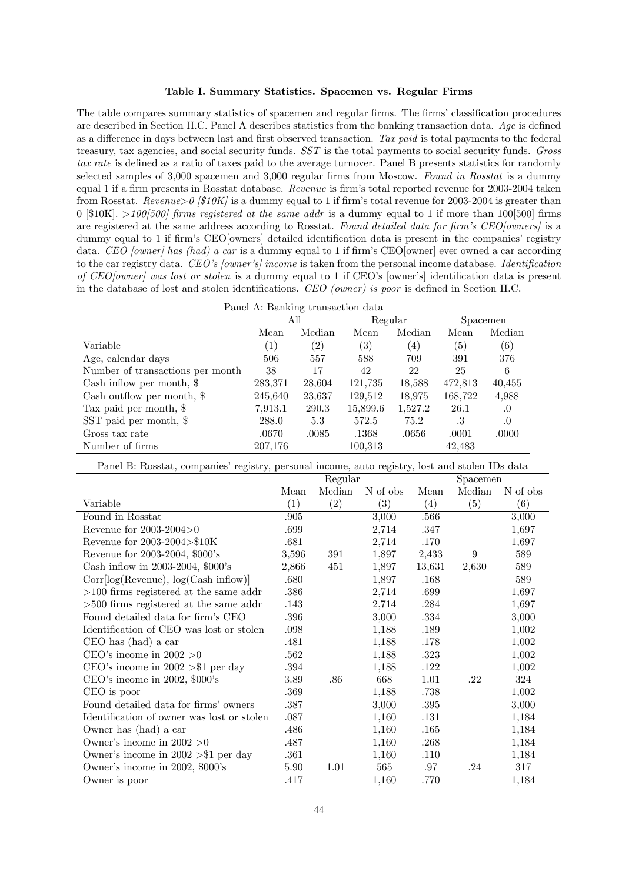#### Table I. Summary Statistics. Spacemen vs. Regular Firms

The table compares summary statistics of spacemen and regular firms. The firms' classification procedures are described in Section II.C. Panel A describes statistics from the banking transaction data.  $Aqe$  is defined as a difference in days between last and first observed transaction. Tax paid is total payments to the federal treasury, tax agencies, and social security funds. SST is the total payments to social security funds. Gross tax rate is defined as a ratio of taxes paid to the average turnover. Panel B presents statistics for randomly selected samples of 3,000 spacemen and 3,000 regular firms from Moscow. Found in Rosstat is a dummy equal 1 if a firm presents in Rosstat database. Revenue is firm's total reported revenue for 2003-2004 taken from Rosstat. Revenue  $>0$  [\$10K] is a dummy equal to 1 if firm's total revenue for 2003-2004 is greater than 0 [\$10K].  $>100[500]$  firms registered at the same addr is a dummy equal to 1 if more than 100[500] firms are registered at the same address according to Rosstat. Found detailed data for firm's CEO[owners] is a dummy equal to 1 if firm's CEO[owners] detailed identification data is present in the companies' registry data. CEO [owner] has (had) a car is a dummy equal to 1 if firm's CEO [owner] ever owned a car according to the car registry data. CEO's [owner's] income is taken from the personal income database. Identification of CEO[owner] was lost or stolen is a dummy equal to 1 if CEO's [owner's] identification data is present in the database of lost and stolen identifications. CEO (owner) is poor is defined in Section II.C.

| Panel A: Banking transaction data |                  |                   |                   |         |                  |          |  |  |  |  |
|-----------------------------------|------------------|-------------------|-------------------|---------|------------------|----------|--|--|--|--|
|                                   |                  | All               | Regular           |         | Spacemen         |          |  |  |  |  |
|                                   | Mean             | Median            | Mean              | Median  | Mean             | Median   |  |  |  |  |
| Variable                          | $\left(1\right)$ | $\left( 2\right)$ | $\left( 3\right)$ | (4)     | $\left(5\right)$ | (6)      |  |  |  |  |
| Age, calendar days                | 506              | 557               | 588               | 709     | 391              | 376      |  |  |  |  |
| Number of transactions per month  | 38               | 17                | 42                | 22      | 25               | 6        |  |  |  |  |
| Cash inflow per month, $\$        | 283,371          | 28,604            | 121,735           | 18,588  | 472,813          | 40,455   |  |  |  |  |
| Cash outflow per month, $\$       | 245,640          | 23,637            | 129,512           | 18,975  | 168,722          | 4,988    |  |  |  |  |
| Tax paid per month, $\$           | 7.913.1          | 290.3             | 15,899.6          | 1,527.2 | 26.1             | .0       |  |  |  |  |
| SST paid per month, \$            | 288.0            | 5.3               | 572.5             | 75.2    | .3               | $\Omega$ |  |  |  |  |
| Gross tax rate                    | .0670            | .0085             | .1368             | .0656   | .0001            | .0000    |  |  |  |  |
| Number of firms                   | 207,176          |                   | 100,313           |         | 42,483           |          |  |  |  |  |

| Panel B: Rosstat, companies' registry, personal income, auto registry, lost and stolen IDs data |                     |        |          |        |        |          |  |  |  |
|-------------------------------------------------------------------------------------------------|---------------------|--------|----------|--------|--------|----------|--|--|--|
|                                                                                                 | Regular<br>Spacemen |        |          |        |        |          |  |  |  |
|                                                                                                 | Mean                | Median | N of obs | Mean   | Median | N of obs |  |  |  |
| Variable                                                                                        | (1)                 | (2)    | (3)      | (4)    | (5)    | (6)      |  |  |  |
| Found in Rosstat                                                                                | .905                |        | 3,000    | .566   |        | 3,000    |  |  |  |
| Revenue for $2003-2004>0$                                                                       | .699                |        | 2,714    | .347   |        | 1,697    |  |  |  |
| Revenue for 2003-2004>\$10K                                                                     | .681                |        | 2,714    | .170   |        | 1,697    |  |  |  |
| Revenue for 2003-2004, \$000's                                                                  | 3,596               | 391    | 1,897    | 2,433  | 9      | 589      |  |  |  |
| Cash inflow in 2003-2004, \$000's                                                               | 2,866               | 451    | 1,897    | 13,631 | 2,630  | 589      |  |  |  |
| Corr[log(Revenue), log(Cash inflow)]                                                            | .680                |        | 1,897    | .168   |        | 589      |  |  |  |
| $>100$ firms registered at the same addr                                                        | .386                |        | 2,714    | .699   |        | 1,697    |  |  |  |
| $>500$ firms registered at the same addr                                                        | .143                |        | 2,714    | .284   |        | 1,697    |  |  |  |
| Found detailed data for firm's CEO                                                              | .396                |        | 3,000    | .334   |        | 3,000    |  |  |  |
| Identification of CEO was lost or stolen                                                        | .098                |        | 1,188    | .189   |        | 1,002    |  |  |  |
| $CEO$ has $(had)$ a car                                                                         | .481                |        | 1,188    | .178   |        | 1,002    |  |  |  |
| CEO's income in $2002 > 0$                                                                      | .562                |        | 1,188    | .323   |        | 1,002    |  |  |  |
| CEO's income in $2002 > 1$ per day                                                              | .394                |        | 1,188    | .122   |        | 1,002    |  |  |  |
| CEO's income in $2002$ , $000$ 's                                                               | 3.89                | .86    | 668      | 1.01   | .22    | 324      |  |  |  |
| CEO is poor                                                                                     | .369                |        | 1,188    | .738   |        | 1,002    |  |  |  |
| Found detailed data for firms' owners                                                           | .387                |        | 3,000    | .395   |        | 3,000    |  |  |  |
| Identification of owner was lost or stolen                                                      | .087                |        | 1,160    | .131   |        | 1,184    |  |  |  |
| Owner has (had) a car                                                                           | .486                |        | 1,160    | .165   |        | 1,184    |  |  |  |
| Owner's income in $2002 > 0$                                                                    | .487                |        | 1,160    | .268   |        | 1,184    |  |  |  |
| Owner's income in $2002 > $1$ per day                                                           | .361                |        | 1,160    | .110   |        | 1,184    |  |  |  |
| Owner's income in 2002, \$000's                                                                 | 5.90                | 1.01   | 565      | .97    | .24    | 317      |  |  |  |
| Owner is poor                                                                                   | .417                |        | 1,160    | .770   |        | 1,184    |  |  |  |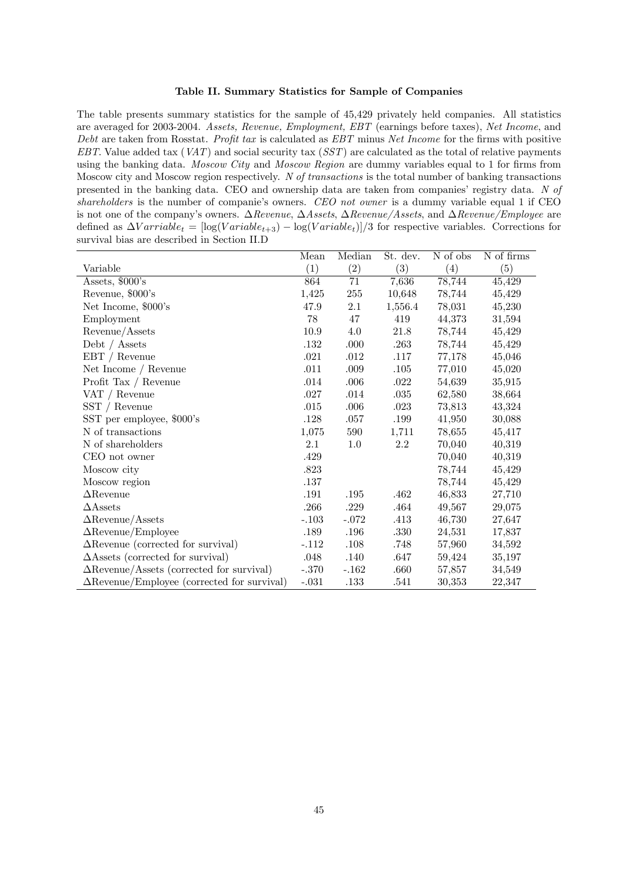#### Table II. Summary Statistics for Sample of Companies

The table presents summary statistics for the sample of 45,429 privately held companies. All statistics are averaged for 2003-2004. Assets, Revenue, Employment, EBT (earnings before taxes), Net Income, and Debt are taken from Rosstat. Profit tax is calculated as  $EBT$  minus Net Income for the firms with positive EBT. Value added tax  $(VAT)$  and social security tax  $(SST)$  are calculated as the total of relative payments using the banking data. Moscow City and Moscow Region are dummy variables equal to 1 for firms from Moscow city and Moscow region respectively. N of transactions is the total number of banking transactions presented in the banking data. CEO and ownership data are taken from companies' registry data. N of shareholders is the number of companie's owners. CEO not owner is a dummy variable equal 1 if CEO is not one of the company's owners.  $\Delta$ Revenue,  $\Delta$ Assets,  $\Delta$ Revenue/Assets, and  $\Delta$ Revenue/Employee are defined as  $\Delta Varriable_t = \left[\log(Variable_{t+3}) - \log(Variable_t)\right]/3$  for respective variables. Corrections for survival bias are described in Section II.D

|                                                    | Mean     | Median   | St. dev. | N of obs | N of firms |
|----------------------------------------------------|----------|----------|----------|----------|------------|
| Variable                                           | (1)      | (2)      | (3)      | (4)      | (5)        |
| Assets, \$000's                                    | 864      | 71       | 7,636    | 78,744   | 45,429     |
| Revenue, \$000's                                   | 1,425    | 255      | 10,648   | 78,744   | 45,429     |
| Net Income, \$000's                                | 47.9     | 2.1      | 1,556.4  | 78,031   | 45,230     |
| Employment                                         | 78       | 47       | 419      | 44,373   | 31,594     |
| Revenue/Assets                                     | $10.9\,$ | 4.0      | 21.8     | 78,744   | 45,429     |
| Debt $/$ Assets                                    | .132     | .000     | .263     | 78,744   | 45,429     |
| $EBT /$ Revenue                                    | $.021\,$ | .012     | .117     | 77,178   | 45,046     |
| Net Income / Revenue                               | .011     | .009     | .105     | 77,010   | 45,020     |
| Profit Tax / Revenue                               | .014     | .006     | .022     | 54,639   | 35,915     |
| VAT / Revenue                                      | $.027\,$ | .014     | $.035\,$ | 62,580   | 38,664     |
| $SST /$ Revenue                                    | .015     | .006     | .023     | 73,813   | 43,324     |
| SST per employee, \$000's                          | .128     | .057     | .199     | 41,950   | 30,088     |
| N of transactions                                  | 1,075    | 590      | 1,711    | 78,655   | 45,417     |
| N of shareholders                                  | 2.1      | 1.0      | 2.2      | 70,040   | 40,319     |
| CEO not owner                                      | .429     |          |          | 70,040   | 40,319     |
| Moscow city                                        | .823     |          |          | 78,744   | 45,429     |
| Moscow region                                      | $.137\,$ |          |          | 78,744   | 45,429     |
| $\Delta$ Revenue                                   | $.191\,$ | $.195\,$ | .462     | 46,833   | 27,710     |
| $\triangle$ Assets                                 | .266     | .229     | .464     | 49,567   | 29,075     |
| $\Delta$ Revenue/Assets                            | $-.103$  | $-.072$  | .413     | 46,730   | 27,647     |
| $\Delta$ Revenue/Employee                          | .189     | .196     | .330     | 24,531   | 17,837     |
| $\Delta$ Revenue (corrected for survival)          | $-.112$  | .108     | .748     | 57,960   | 34,592     |
| $\Delta$ Assets (corrected for survival)           | .048     | .140     | .647     | 59,424   | 35,197     |
| $\Delta$ Revenue/Assets (corrected for survival)   | $-.370$  | $-.162$  | .660     | 57,857   | 34,549     |
| $\Delta$ Revenue/Employee (corrected for survival) | $-.031$  | .133     | .541     | 30,353   | 22,347     |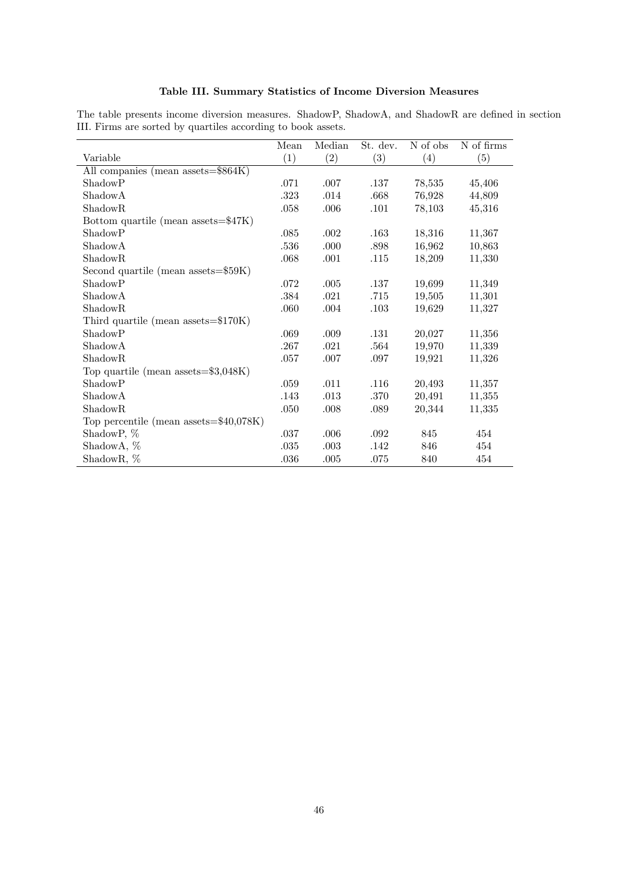|                                           | Mean     | Median | St. dev. | $\overline{N}$ of obs | N of firms |
|-------------------------------------------|----------|--------|----------|-----------------------|------------|
| Variable                                  | (1)      | (2)    | (3)      | (4)                   | (5)        |
| All companies (mean assets=\$864K)        |          |        |          |                       |            |
| ShadowP                                   | .071     | .007   | .137     | 78,535                | 45,406     |
| ShadowA                                   | .323     | .014   | .668     | 76,928                | 44,809     |
| ShadowR                                   | .058     | .006   | .101     | 78,103                | 45,316     |
| Bottom quartile (mean assets=\$47K)       |          |        |          |                       |            |
| ShadowP                                   | .085     | .002   | .163     | 18,316                | 11,367     |
| ShadowA                                   | .536     | .000   | .898     | 16,962                | 10,863     |
| ShadowR                                   | .068     | .001   | .115     | 18,209                | 11,330     |
| Second quartile (mean assets= $$59K$ )    |          |        |          |                       |            |
| ShadowP                                   | .072     | .005   | .137     | 19,699                | 11,349     |
| <b>ShadowA</b>                            | .384     | .021   | .715     | 19,505                | 11,301     |
| ShadowR                                   | .060     | .004   | .103     | 19,629                | 11,327     |
| Third quartile (mean assets= $$170K$ )    |          |        |          |                       |            |
| ShadowP                                   | .069     | .009   | .131     | 20,027                | 11,356     |
| ShadowA                                   | .267     | .021   | .564     | 19,970                | 11,339     |
| ShadowR                                   | .057     | .007   | .097     | 19,921                | 11,326     |
| Top quartile (mean assets= $\$3,048K$ )   |          |        |          |                       |            |
| ShadowP                                   | .059     | .011   | .116     | 20,493                | 11,357     |
| ShadowA                                   | .143     | .013   | .370     | 20,491                | 11,355     |
| ShadowR                                   | .050     | .008   | .089     | 20,344                | 11,335     |
| Top percentile (mean assets= $$40,078K$ ) |          |        |          |                       |            |
| ShadowP, %                                | .037     | .006   | .092     | 845                   | 454        |
| ShadowA, %                                | $.035\,$ | .003   | .142     | 846                   | 454        |
| ShadowR, %                                | .036     | .005   | .075     | 840                   | 454        |

## Table III. Summary Statistics of Income Diversion Measures

The table presents income diversion measures. ShadowP, ShadowA, and ShadowR are defined in section III. Firms are sorted by quartiles according to book assets.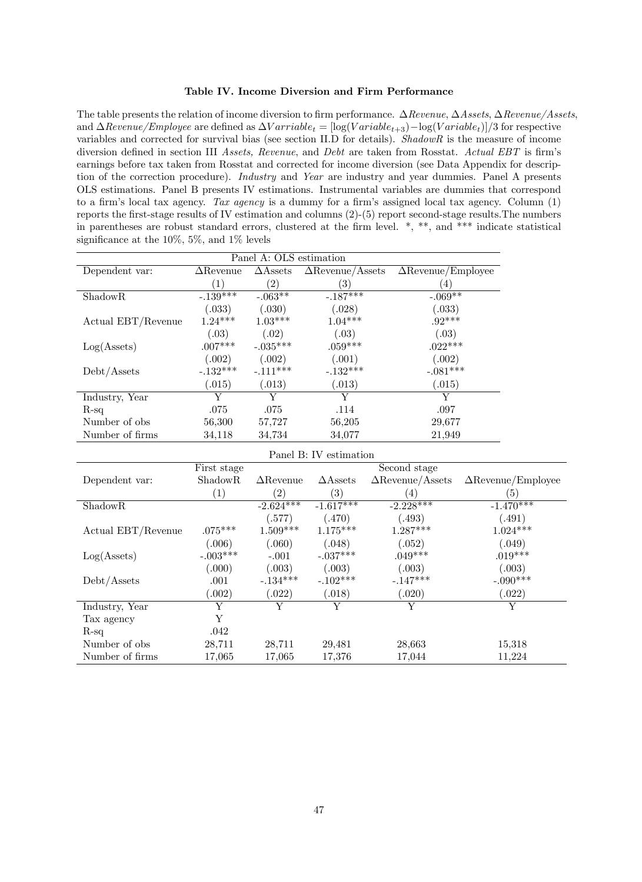#### Table IV. Income Diversion and Firm Performance

The table presents the relation of income diversion to firm performance.  $\Delta$ Revenue,  $\Delta$ Assets,  $\Delta$ Revenue/Assets, and  $\Delta$ Revenue/Employee are defined as  $\Delta \text{V} arrival = [\log(\text{V}arial_{t+3}) - \log(\text{V}arial_{t})]/3$  for respective variables and corrected for survival bias (see section II.D for details). ShadowR is the measure of income diversion defined in section III Assets, Revenue, and Debt are taken from Rosstat. Actual EBT is firm's earnings before tax taken from Rosstat and corrected for income diversion (see Data Appendix for description of the correction procedure). *Industry* and Year are industry and year dummies. Panel A presents OLS estimations. Panel B presents IV estimations. Instrumental variables are dummies that correspond to a firm's local tax agency. Tax agency is a dummy for a firm's assigned local tax agency. Column  $(1)$ reports the Örst-stage results of IV estimation and columns (2)-(5) report second-stage results.The numbers in parentheses are robust standard errors, clustered at the firm level.  $*,$  \*\*, and \*\*\* indicate statistical significance at the  $10\%, 5\%,$  and  $1\%$  levels

| Panel A: OLS estimation |                  |                    |                         |                           |  |  |  |  |  |
|-------------------------|------------------|--------------------|-------------------------|---------------------------|--|--|--|--|--|
| Dependent var:          | $\Delta$ Revenue | $\triangle$ Assets | $\Delta$ Revenue/Assets | $\Delta$ Revenue/Employee |  |  |  |  |  |
|                         | (1)              | $^{\prime}2)$      | (3)                     | $\left(4\right)$          |  |  |  |  |  |
| <b>ShadowR</b>          | $-.139***$       | $-.063**$          | $-.187***$              | $-.069**$                 |  |  |  |  |  |
|                         | (.033)           | (.030)             | (.028)                  | (.033)                    |  |  |  |  |  |
| Actual EBT/Revenue      | $1.24***$        | $1.03***$          | $1.04***$               | $.92***$                  |  |  |  |  |  |
|                         | (.03)            | (.02)              | (.03)                   | (.03)                     |  |  |  |  |  |
| Log(A <sub>sets</sub> ) | $.007***$        | $-.035***$         | $.059***$               | $.022***$                 |  |  |  |  |  |
|                         | (.002)           | (.002)             | (.001)                  | (.002)                    |  |  |  |  |  |
| Debt/Assets             | $-.132***$       | $-.111***$         | $-.132***$              | $-.081***$                |  |  |  |  |  |
|                         | (.015)           | (.013)             | (.013)                  | (.015)                    |  |  |  |  |  |
| Industry, Year          | Y                | Y                  | Y                       | Y                         |  |  |  |  |  |
| $R$ -sq                 | .075             | .075               | .114                    | .097                      |  |  |  |  |  |
| Number of obs.          | 56,300           | 57,727             | 56,205                  | 29,677                    |  |  |  |  |  |
| Number of firms         | 34,118           | 34,734             | 34,077                  | 21,949                    |  |  |  |  |  |

|  |  | Panel B: IV estimation |  |
|--|--|------------------------|--|
|  |  |                        |  |

|                         | First stage       |                   |                    | Second stage            |                           |
|-------------------------|-------------------|-------------------|--------------------|-------------------------|---------------------------|
| Dependent var:          | <b>ShadowR</b>    | $\Delta$ Revenue  | $\triangle$ Assets | $\Delta$ Revenue/Assets | $\Delta$ Revenue/Employee |
|                         | $\left( 1\right)$ | $\left( 2\right)$ | (3)                | (4)                     | $\left[5\right]$          |
| ShadowR                 |                   | $-2.624***$       | $-1.617***$        | $-2.228***$             | $-1.470***$               |
|                         |                   | (.577)            | (.470)             | (.493)                  | (.491)                    |
| Actual EBT/Revenue      | $.075***$         | $1.509***$        | $1.175***$         | $1.287***$              | $1.024***$                |
|                         | (.006)            | (.060)            | (.048)             | (.052)                  | (.049)                    |
| Log(A <sub>sets</sub> ) | $-.003***$        | $-.001$           | $-.037***$         | $.049***$               | $.019***$                 |
|                         | (.000)            | (.003)            | (.003)             | (.003)                  | (.003)                    |
| Debt/Assets             | .001              | $-134***$         | $-.102***$         | $-.147***$              | $-.090***$                |
|                         | 0.002)            | (.022)            | (.018)             | (.020)                  | (.022)                    |
| Industry, Year          | Y                 | Y                 | Y                  | Y                       | Y                         |
| Tax agency              | Y                 |                   |                    |                         |                           |
| $R$ -sq                 | .042              |                   |                    |                         |                           |
| Number of obs           | 28,711            | 28,711            | 29,481             | 28,663                  | 15,318                    |
| Number of firms         | 17,065            | 17,065            | 17,376             | 17,044                  | 11,224                    |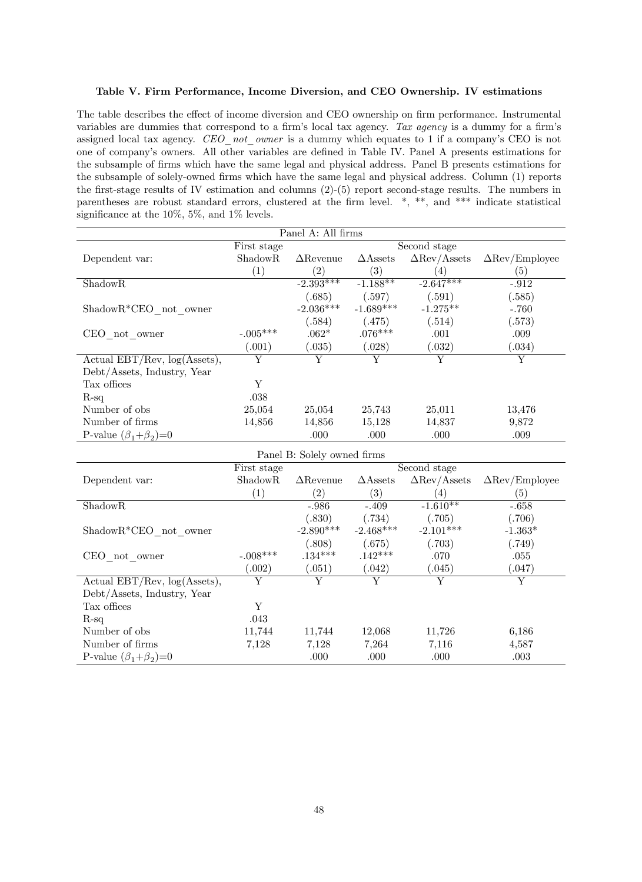## Table V. Firm Performance, Income Diversion, and CEO Ownership. IV estimations

The table describes the effect of income diversion and CEO ownership on firm performance. Instrumental variables are dummies that correspond to a firm's local tax agency. Tax agency is a dummy for a firm's assigned local tax agency.  $CEO$  not owner is a dummy which equates to 1 if a company's CEO is not one of companyís owners. All other variables are deÖned in Table IV. Panel A presents estimations for the subsample of Örms which have the same legal and physical address. Panel B presents estimations for the subsample of solely-owned firms which have the same legal and physical address. Column (1) reports the first-stage results of IV estimation and columns  $(2)-(5)$  report second-stage results. The numbers in parentheses are robust standard errors, clustered at the firm level.  $*,$  \*\*, and \*\*\* indicate statistical significance at the  $10\%, 5\%,$  and  $1\%$  levels.

|                                   |                | Panel A: All firms          |                       |                                   |                                     |
|-----------------------------------|----------------|-----------------------------|-----------------------|-----------------------------------|-------------------------------------|
|                                   | First stage    |                             |                       | Second stage                      |                                     |
| Dependent var:                    | ShadowR        | $\Delta$ Revenue            | $\triangle$ Assets    | $\Delta \text{Rev}/\text{Assets}$ | $\Delta \text{Rev}/\text{Employee}$ |
|                                   | (1)            | (2)                         | (3)                   | (4)                               | (5)                                 |
| $\overline{\text{ShadowR}}$       |                | $-2.393***$                 | $-1.188**$            | $-2.647***$                       | $-.912$                             |
|                                   |                | (.685)                      | (.597)                | (.591)                            | (.585)                              |
| $ShadowR*CEO$ not owner           |                | $-2.036***$                 | $-1.689***$           | $-1.275**$                        | $-.760$                             |
|                                   |                | (.584)                      | (.475)                | (.514)                            | (.573)                              |
| CEO not owner                     | $-.005***$     | $.062*$                     | $.076***$             | .001                              | .009                                |
|                                   | (.001)         | (.035)                      | (.028)                | (.032)                            | (.034)                              |
| Actual EBT/Rev, $log(Assets)$ ,   | $\overline{Y}$ | $\overline{\mathrm{Y}}$     | $\overline{\rm Y}$    | $\overline{\mathrm{Y}}$           | $\overline{\mathrm{Y}}$             |
| Debt/Assets, Industry, Year       |                |                             |                       |                                   |                                     |
| Tax offices                       | Y              |                             |                       |                                   |                                     |
| $R-sq$                            | .038           |                             |                       |                                   |                                     |
| Number of obs                     | 25,054         | 25,054                      | 25,743                | 25,011                            | 13,476                              |
| Number of firms                   | 14,856         | 14,856                      | 15,128                | 14,837                            | 9,872                               |
| P-value $(\beta_1+\beta_2)=0$     |                | .000                        | .000                  | .000                              | .009                                |
|                                   |                | Panel B: Solely owned firms |                       |                                   |                                     |
|                                   | First stage    |                             |                       | Second stage                      |                                     |
| Dependent var:                    | ShadowR        | $\Delta$ Revenue            | $\triangle$ Assets    | $\Delta \text{Rev}/\text{Assets}$ | $\Delta$ Rev/Employee               |
|                                   | (1)            | (2)                         | (3)                   | (4)                               | (5)                                 |
| ShadowR                           |                | $-.986$                     | $-409$                | $-1.610**$                        | $-.658$                             |
|                                   |                | (.830)                      | (.734)                | (.705)                            | (.706)                              |
| $ShadowR*CEO$ not owner           |                | $-2.890***$                 | $-2.468***$           | $-2.101***$                       | $-1.363*$                           |
|                                   |                | (.808)                      | (.675)                | (.703)                            | (.749)                              |
| CEO not owner                     | $-.008***$     | $.134***$                   | $.142***$             | .070                              | .055                                |
|                                   | (.002)         | (.051)                      | (.042)                | (.045)                            | (.047)                              |
| Actual $EBT/Rev$ , $log(Asets)$ , | Y              | $\overline{\rm Y}$          | $\overline{\text{v}}$ | $\overline{\text{Y}}$             | $\overline{\mathrm{Y}}$             |
| Debt/Assets, Industry, Year       |                |                             |                       |                                   |                                     |
| Tax offices                       | Y              |                             |                       |                                   |                                     |
| $R-sq$                            | .043           |                             |                       |                                   |                                     |
| Number of obs                     | 11,744         | 11,744                      | 12,068                | 11,726                            | 6,186                               |
|                                   |                |                             |                       |                                   |                                     |
| Number of firms                   | 7,128          | 7,128                       | 7,264                 | 7,116                             | 4,587                               |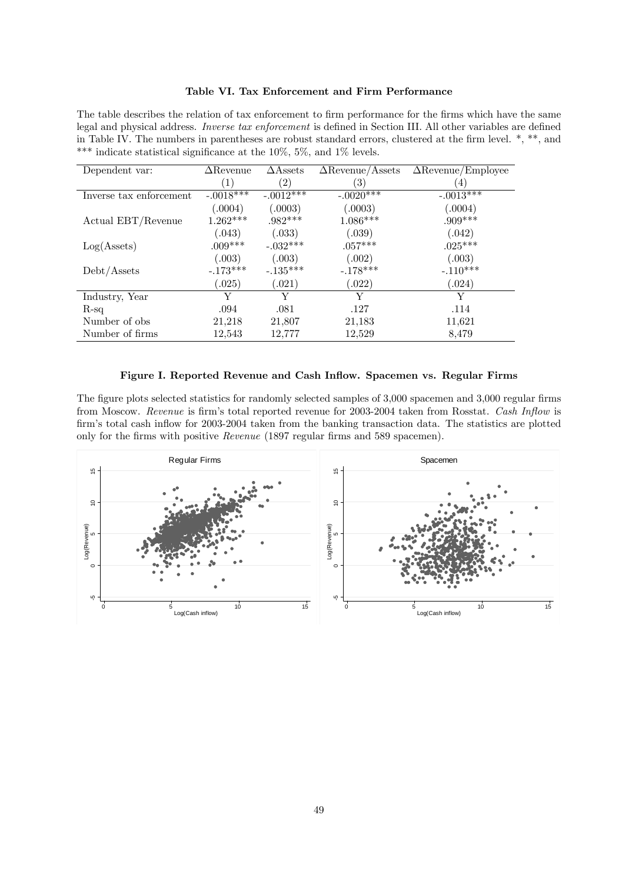#### Table VI. Tax Enforcement and Firm Performance

The table describes the relation of tax enforcement to firm performance for the firms which have the same legal and physical address. Inverse tax enforcement is defined in Section III. All other variables are defined in Table IV. The numbers in parentheses are robust standard errors, clustered at the firm level. \*, \*\*, and \*\*\* indicate statistical significance at the  $10\%, 5\%,$  and  $1\%$  levels.

| Dependent var:          | $\Delta$ Revenue | $\triangle$ Assets | $\Delta$ Revenue/Assets | $\Delta$ Revenue/Employee |
|-------------------------|------------------|--------------------|-------------------------|---------------------------|
|                         | $\left(1\right)$ | $\left( 2\right)$  | $\left( 3\right)$       | $\left( 4\right)$         |
| Inverse tax enforcement | $-.0018***$      | $-.0012***$        | $-.0020***$             | $-.0013***$               |
|                         | (.0004)          | (.0003)            | (.0003)                 | (.0004)                   |
| Actual EBT/Revenue      | $1.262***$       | $.982***$          | $1.086***$              | $.909***$                 |
|                         | (.043)           | (.033)             | (.039)                  | (.042)                    |
| Log(A <sub>sets</sub> ) | $.009***$        | $-.032***$         | $.057***$               | $.025***$                 |
|                         | (.003)           | (.003)             | (.002)                  | (.003)                    |
| Debt/Assets             | $-.173***$       | $-.135***$         | $-.178***$              | $-.110***$                |
|                         | (.025)           | (.021)             | (.022)                  | (.024)                    |
| Industry, Year          | Y                | Y                  | Y                       | Y                         |
| $R$ -sq                 | .094             | .081               | .127                    | .114                      |
| Number of obs.          | 21,218           | 21,807             | 21,183                  | 11,621                    |
| Number of firms         | 12,543           | 12,777             | 12,529                  | 8,479                     |

#### Figure I. Reported Revenue and Cash Inflow. Spacemen vs. Regular Firms

The figure plots selected statistics for randomly selected samples of 3,000 spacemen and 3,000 regular firms from Moscow. Revenue is firm's total reported revenue for 2003-2004 taken from Rosstat. Cash Inflow is firm's total cash inflow for 2003-2004 taken from the banking transaction data. The statistics are plotted only for the firms with positive Revenue (1897 regular firms and 589 spacemen).

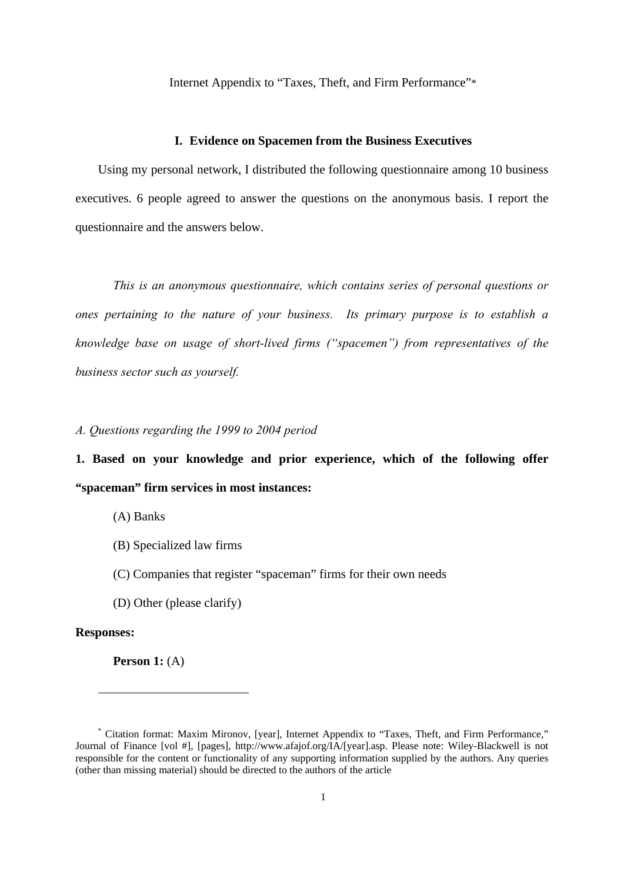Internet Appendix to "Taxes, Theft, and Firm Performance"\*

#### **I. Evidence on Spacemen from the Business Executives**

Using my personal network, I distributed the following questionnaire among 10 business executives. 6 people agreed to answer the questions on the anonymous basis. I report the questionnaire and the answers below.

*This is an anonymous questionnaire, which contains series of personal questions or ones pertaining to the nature of your business. Its primary purpose is to establish a knowledge base on usage of short-lived firms ("spacemen") from representatives of the business sector such as yourself.* 

## *A. Questions regarding the 1999 to 2004 period*

**1. Based on your knowledge and prior experience, which of the following offer "spaceman" firm services in most instances:** 

(A) Banks

- (B) Specialized law firms
- (C) Companies that register "spaceman" firms for their own needs
- (D) Other (please clarify)

#### **Responses:**

 $\overline{a}$ 

**Person 1:** (A)

<sup>\*</sup> Citation format: Maxim Mironov, [year], Internet Appendix to "Taxes, Theft, and Firm Performance," Journal of Finance [vol #], [pages], http://www.afajof.org/IA/[year].asp. Please note: Wiley-Blackwell is not responsible for the content or functionality of any supporting information supplied by the authors. Any queries (other than missing material) should be directed to the authors of the article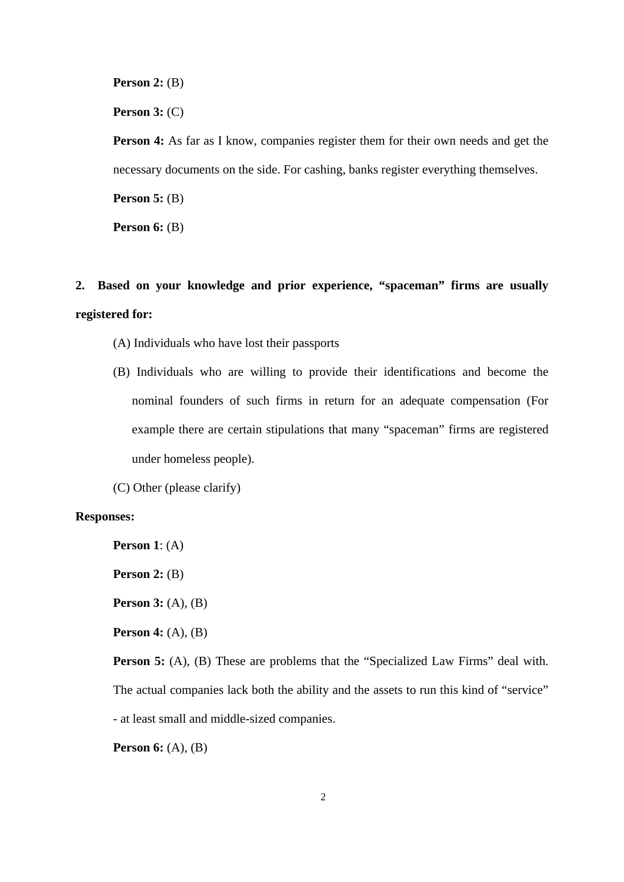**Person 2:** (B)

**Person 3:** (C)

**Person 4:** As far as I know, companies register them for their own needs and get the necessary documents on the side. For cashing, banks register everything themselves.

**Person 5:** (B)

**Person 6:** (B)

# **2. Based on your knowledge and prior experience, "spaceman" firms are usually registered for:**

- (A) Individuals who have lost their passports
- (B) Individuals who are willing to provide their identifications and become the nominal founders of such firms in return for an adequate compensation (For example there are certain stipulations that many "spaceman" firms are registered under homeless people).
- (C) Other (please clarify)

## **Responses:**

**Person 1**: (A)

**Person 2:** (B)

**Person 3:** (A), (B)

**Person 4:** (A), (B)

**Person 5:** (A), (B) These are problems that the "Specialized Law Firms" deal with. The actual companies lack both the ability and the assets to run this kind of "service" - at least small and middle-sized companies.

**Person 6:** (A), (B)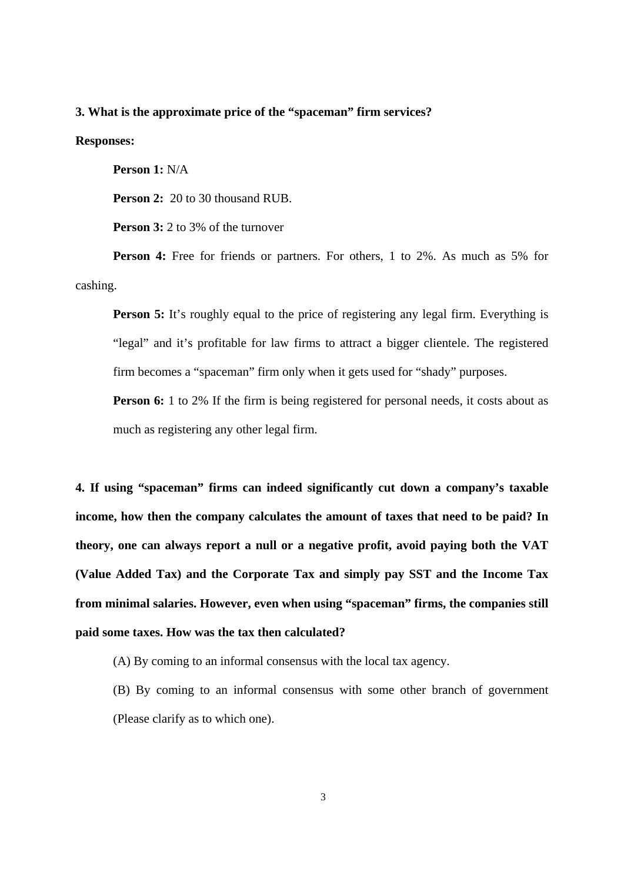## **3. What is the approximate price of the "spaceman" firm services?**

#### **Responses:**

**Person 1:** N/A

**Person 2:** 20 to 30 thousand RUB.

**Person 3:** 2 to 3% of the turnover

**Person 4:** Free for friends or partners. For others, 1 to 2%. As much as 5% for cashing.

**Person 5:** It's roughly equal to the price of registering any legal firm. Everything is "legal" and it's profitable for law firms to attract a bigger clientele. The registered firm becomes a "spaceman" firm only when it gets used for "shady" purposes.

**Person 6:** 1 to 2% If the firm is being registered for personal needs, it costs about as much as registering any other legal firm.

**4. If using "spaceman" firms can indeed significantly cut down a company's taxable income, how then the company calculates the amount of taxes that need to be paid? In theory, one can always report a null or a negative profit, avoid paying both the VAT (Value Added Tax) and the Corporate Tax and simply pay SST and the Income Tax from minimal salaries. However, even when using "spaceman" firms, the companies still paid some taxes. How was the tax then calculated?** 

(A) By coming to an informal consensus with the local tax agency.

 (B) By coming to an informal consensus with some other branch of government (Please clarify as to which one).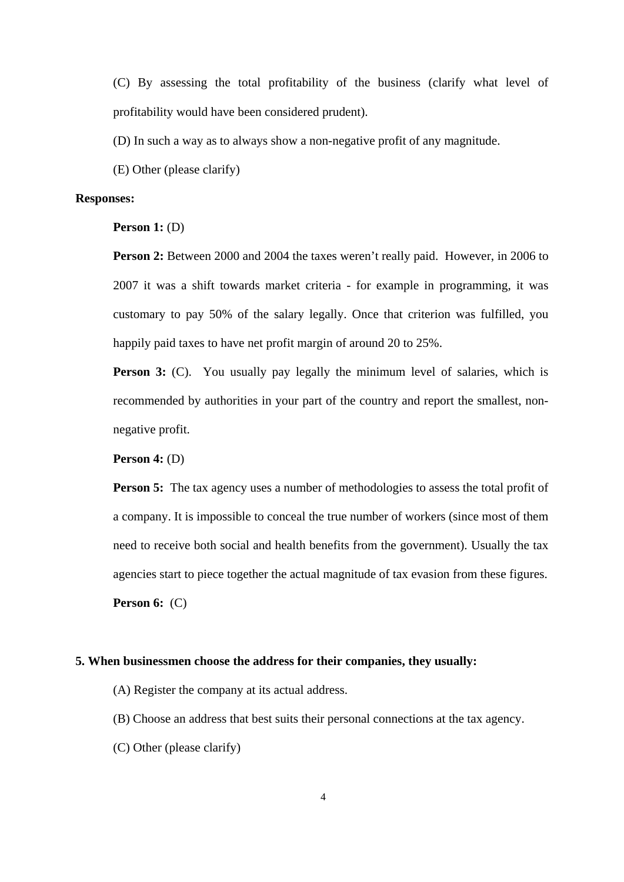(C) By assessing the total profitability of the business (clarify what level of profitability would have been considered prudent).

(D) In such a way as to always show a non-negative profit of any magnitude.

(E) Other (please clarify)

## **Responses:**

**Person 1:** (D)

**Person 2:** Between 2000 and 2004 the taxes weren't really paid. However, in 2006 to 2007 it was a shift towards market criteria - for example in programming, it was customary to pay 50% of the salary legally. Once that criterion was fulfilled, you happily paid taxes to have net profit margin of around 20 to 25%.

**Person 3:** (C). You usually pay legally the minimum level of salaries, which is recommended by authorities in your part of the country and report the smallest, nonnegative profit.

**Person 4:** (D)

**Person 5:** The tax agency uses a number of methodologies to assess the total profit of a company. It is impossible to conceal the true number of workers (since most of them need to receive both social and health benefits from the government). Usually the tax agencies start to piece together the actual magnitude of tax evasion from these figures.

**Person 6:** (C)

#### **5. When businessmen choose the address for their companies, they usually:**

(A) Register the company at its actual address.

- (B) Choose an address that best suits their personal connections at the tax agency.
- (C) Other (please clarify)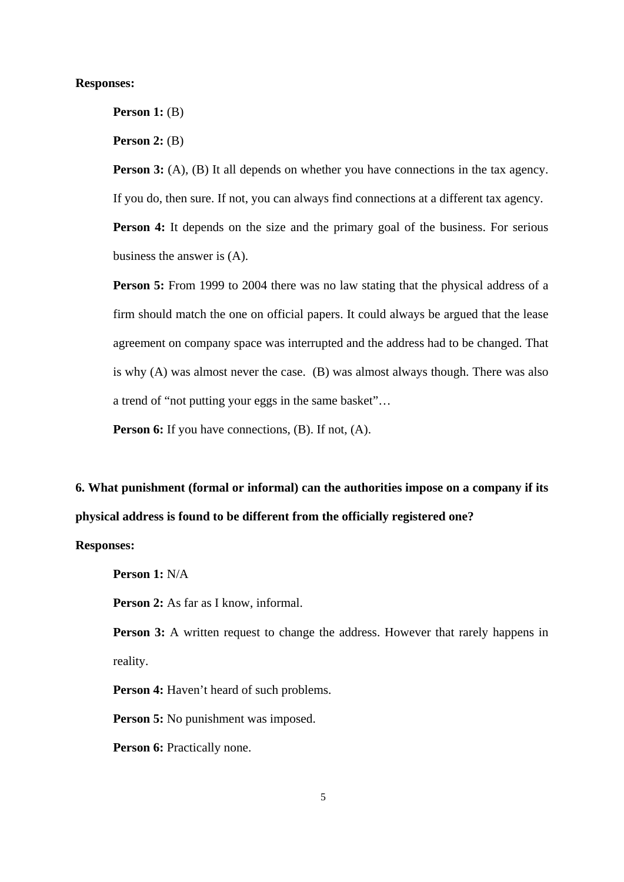### **Responses:**

**Person 1:** (B)

**Person 2:** (B)

**Person 3:** (A), (B) It all depends on whether you have connections in the tax agency. If you do, then sure. If not, you can always find connections at a different tax agency.

**Person 4:** It depends on the size and the primary goal of the business. For serious business the answer is (A).

**Person 5:** From 1999 to 2004 there was no law stating that the physical address of a firm should match the one on official papers. It could always be argued that the lease agreement on company space was interrupted and the address had to be changed. That is why (A) was almost never the case. (B) was almost always though. There was also a trend of "not putting your eggs in the same basket"…

**Person 6:** If you have connections, (B). If not, (A).

**6. What punishment (formal or informal) can the authorities impose on a company if its physical address is found to be different from the officially registered one?** 

# **Responses:**

**Person 1:** N/A

**Person 2:** As far as I know, informal.

**Person 3:** A written request to change the address. However that rarely happens in reality.

**Person 4:** Haven't heard of such problems.

**Person 5:** No punishment was imposed.

**Person 6:** Practically none.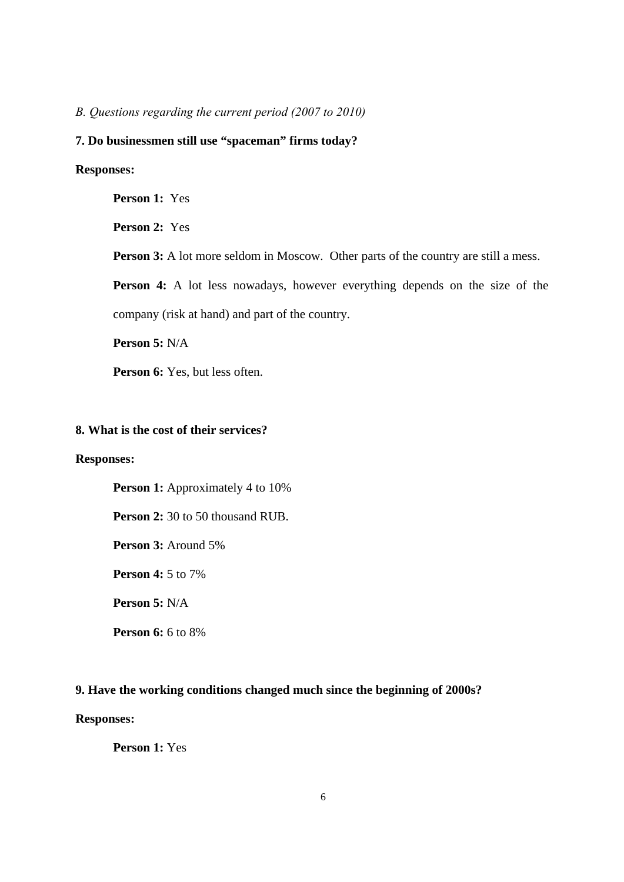*B. Questions regarding the current period (2007 to 2010)* 

## **7. Do businessmen still use "spaceman" firms today?**

## **Responses:**

**Person 1:** Yes

**Person 2:** Yes

**Person 3:** A lot more seldom in Moscow. Other parts of the country are still a mess.

**Person 4:** A lot less nowadays, however everything depends on the size of the company (risk at hand) and part of the country.

**Person 5:** N/A

Person 6: Yes, but less often.

# **8. What is the cost of their services?**

## **Responses:**

**Person 1:** Approximately 4 to 10%

**Person 2:** 30 to 50 thousand RUB.

**Person 3:** Around 5%

**Person 4:** 5 to 7%

**Person 5:** N/A

**Person 6:** 6 to 8%

## **9. Have the working conditions changed much since the beginning of 2000s?**

# **Responses:**

**Person 1:** Yes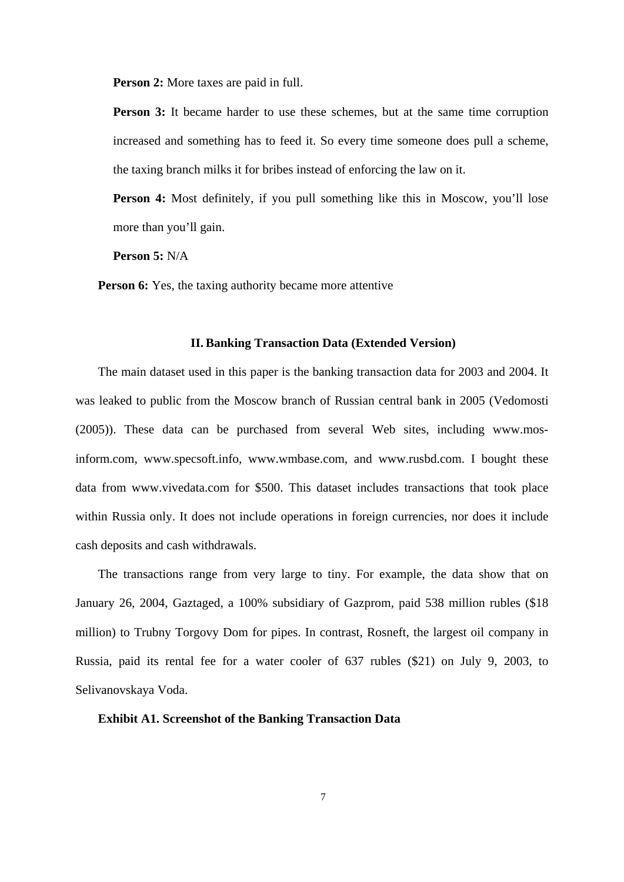**Person 2:** More taxes are paid in full.

**Person 3:** It became harder to use these schemes, but at the same time corruption increased and something has to feed it. So every time someone does pull a scheme, the taxing branch milks it for bribes instead of enforcing the law on it.

**Person 4:** Most definitely, if you pull something like this in Moscow, you'll lose more than you'll gain.

**Person 5:** N/A

**Person 6:** Yes, the taxing authority became more attentive

#### **II. Banking Transaction Data (Extended Version)**

The main dataset used in this paper is the banking transaction data for 2003 and 2004. It was leaked to public from the Moscow branch of Russian central bank in 2005 (Vedomosti (2005)). These data can be purchased from several Web sites, including www.mosinform.com, www.specsoft.info, www.wmbase.com, and www.rusbd.com. I bought these data from www.vivedata.com for \$500. This dataset includes transactions that took place within Russia only. It does not include operations in foreign currencies, nor does it include cash deposits and cash withdrawals.

The transactions range from very large to tiny. For example, the data show that on January 26, 2004, Gaztaged, a 100% subsidiary of Gazprom, paid 538 million rubles (\$18 million) to Trubny Torgovy Dom for pipes. In contrast, Rosneft, the largest oil company in Russia, paid its rental fee for a water cooler of 637 rubles (\$21) on July 9, 2003, to Selivanovskaya Voda.

**Exhibit A1. Screenshot of the Banking Transaction Data**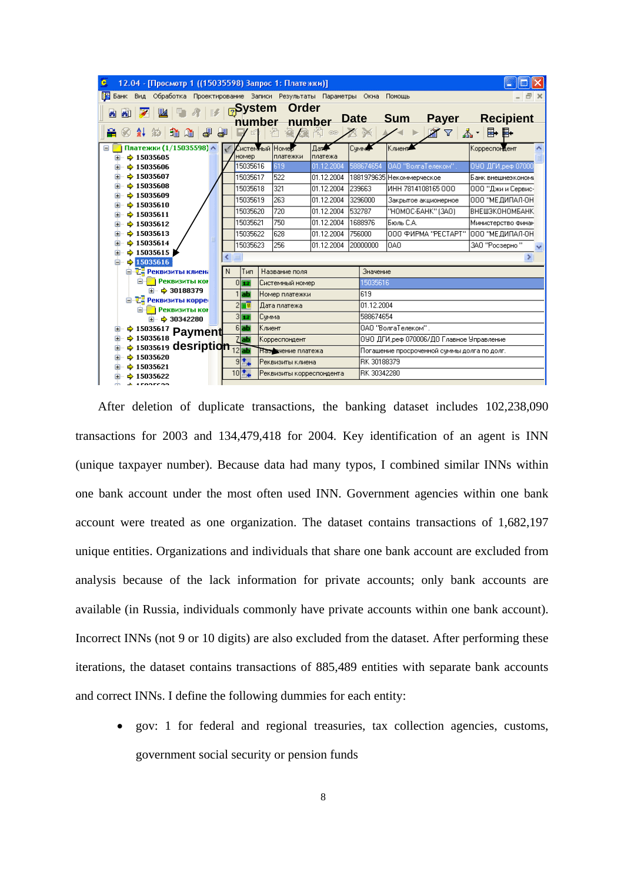| ¢<br>12.04 - [Просмотр 1 ((15035598) Запрос 1: Платежки)]                                                                             |                                                |          |                             |                       |              |             |                                             |                    |  |
|---------------------------------------------------------------------------------------------------------------------------------------|------------------------------------------------|----------|-----------------------------|-----------------------|--------------|-------------|---------------------------------------------|--------------------|--|
| 瞹<br>Банк<br>Вид<br>Обработка<br>Проектирование Записи Результаты Параметры Окна<br>日<br>Помощь                                       |                                                |          |                             |                       |              |             |                                             |                    |  |
| Order<br><u> <sub>ନ</sub>System</u><br>圝<br>画<br>圆<br>B<br><b>Sum</b><br><b>Recipient</b><br><b>Date</b><br>Payer<br>number<br>number |                                                |          |                             |                       |              |             |                                             |                    |  |
| ☝<br>■ ■<br>£<br>围<br>針<br>ዹ፞<br>$\triangledown$<br>夞<br>21 A<br>沟<br>GK.<br>$\left( \frac{1}{2} \right)$                             |                                                |          |                             |                       |              |             |                                             |                    |  |
| Платежки (1/15035598) ∧<br>Ξ<br>$\div$ 15035605<br>œ                                                                                  |                                                | номер    | Системный Номер<br>платежки | $\sqrt{2}$<br>платежа | <b>Cymra</b> |             | Клиент                                      | ٨<br>Корреспондент |  |
| $+ 15035606$                                                                                                                          |                                                | 15035616 | 619                         | 01.12.2004            |              | 588674654   | ОАО "ВолгаТелеком".                         | 090 ДГИ, реф 07000 |  |
| $\div$ 15035607                                                                                                                       |                                                | 15035617 | 522                         | 01.12.2004            |              |             | 1881979635 Некоммерческое                   | Банк внешнеэкономи |  |
| $+ 15035608$<br>H                                                                                                                     |                                                | 15035618 | 321                         | 01.12.2004            | 239663       |             | ИНН 7814108165 ООО                          | 000 "Джи и Сервис- |  |
| $\div$ 15035609<br>$+ 15035610$                                                                                                       |                                                | 15035619 | 263                         | 01.12.2004            | 3296000      |             | Закрытое акционерное                        | ООО "МЕДИПАЛ-ОН    |  |
| $\div$ 15035611                                                                                                                       |                                                | 15035620 | 720                         | 01.12.2004            | 532787       |             | "HOMOC-5AHK" (3AO)                          | ВНЕШЭКОНОМБАНК     |  |
| $+ 15035612$<br>œ                                                                                                                     |                                                | 15035621 | 750                         | 01.12.2004            | 1688976      |             | ІБюль С.А.                                  | Министерство финан |  |
| $+ 15035613$<br>Œ                                                                                                                     |                                                | 15035622 | 628                         | 01.12.2004            | 756000       |             | ООО ФИРМА "РЕСТАРТ"                         | 000 "МЕДИПАЛ-ОН    |  |
| $+ 15035614$                                                                                                                          |                                                | 15035623 | 256                         | 01.12.2004            | 20000000     |             | l0AO                                        | 3АО "Росзерно"     |  |
| $\div$ 15035615<br>$\div$ 15035616                                                                                                    |                                                |          |                             |                       |              |             |                                             | Þ.                 |  |
| Θ<br><b>В. Т. Реквизиты клиен.</b>                                                                                                    | N                                              | Тип      | Название поля               |                       |              | Значение    |                                             |                    |  |
| Реквизиты ког<br>Ò.                                                                                                                   |                                                | 0 17     | Системный номер             |                       |              | 15035616    |                                             |                    |  |
| $\div$ 30188379<br>œ.                                                                                                                 |                                                | Бb       | Номер платежки              |                       |              | 619         |                                             |                    |  |
| 白 - <sup>T</sup> - Реквизиты корре                                                                                                    |                                                | Ŧ        | Дата платежа                |                       |              | 01.12.2004  |                                             |                    |  |
| <b>•• Реквизиты кон</b><br>o-                                                                                                         |                                                | 3 17     | Счмма                       |                       |              | 588674654   |                                             |                    |  |
|                                                                                                                                       | → 30342280<br><b>Film</b><br>$6$ ab<br>∣Клиент |          |                             |                       |              |             | ОАО "ВолгаТелеком".                         |                    |  |
| <sup>→ 15035617</sup> Payment<br>$\div$ 15035618<br>7 ab <br>Корреспондент                                                            |                                                |          |                             |                       |              |             | 090 ДГИ, реф 070006/ДО Главное Управление   |                    |  |
| → 15035619 desription 12 at                                                                                                           |                                                |          | Називчение платежа          |                       |              |             | Погашение просроченной суммы долга по долг. |                    |  |
| $\div$ 15035620                                                                                                                       |                                                | 9 ≛⊷     | Реквизиты клиена            |                       |              | RK 30188379 |                                             |                    |  |
| $+ 15035621$                                                                                                                          |                                                | $10^{*}$ | Реквизиты корреспондента    |                       |              | RK 30342280 |                                             |                    |  |
| $\div$ 15035622<br><u>* «гоогсоо</u><br>rin.                                                                                          |                                                |          |                             |                       |              |             |                                             |                    |  |

After deletion of duplicate transactions, the banking dataset includes 102,238,090 transactions for 2003 and 134,479,418 for 2004. Key identification of an agent is INN (unique taxpayer number). Because data had many typos, I combined similar INNs within one bank account under the most often used INN. Government agencies within one bank account were treated as one organization. The dataset contains transactions of 1,682,197 unique entities. Organizations and individuals that share one bank account are excluded from analysis because of the lack information for private accounts; only bank accounts are available (in Russia, individuals commonly have private accounts within one bank account). Incorrect INNs (not 9 or 10 digits) are also excluded from the dataset. After performing these iterations, the dataset contains transactions of 885,489 entities with separate bank accounts and correct INNs. I define the following dummies for each entity:

 gov: 1 for federal and regional treasuries, tax collection agencies, customs, government social security or pension funds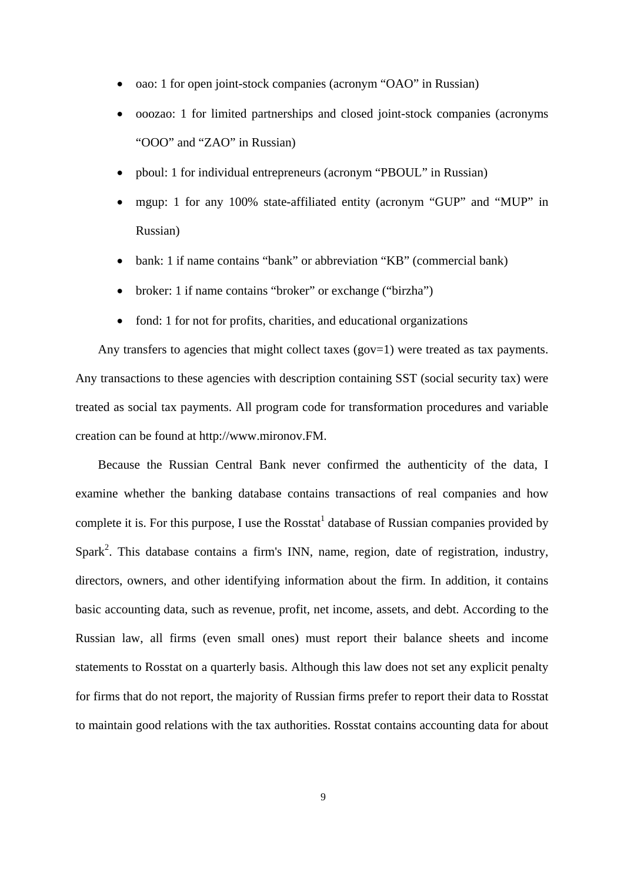- oao: 1 for open joint-stock companies (acronym "OAO" in Russian)
- ooozao: 1 for limited partnerships and closed joint-stock companies (acronyms "OOO" and "ZAO" in Russian)
- pboul: 1 for individual entrepreneurs (acronym "PBOUL" in Russian)
- mgup: 1 for any 100% state-affiliated entity (acronym "GUP" and "MUP" in Russian)
- bank: 1 if name contains "bank" or abbreviation "KB" (commercial bank)
- broker: 1 if name contains "broker" or exchange ("birzha")
- fond: 1 for not for profits, charities, and educational organizations

Any transfers to agencies that might collect taxes (gov=1) were treated as tax payments. Any transactions to these agencies with description containing SST (social security tax) were treated as social tax payments. All program code for transformation procedures and variable creation can be found at http://www.mironov.FM.

Because the Russian Central Bank never confirmed the authenticity of the data, I examine whether the banking database contains transactions of real companies and how complete it is. For this purpose, I use the Rosstat<sup>1</sup> database of Russian companies provided by Spark<sup>2</sup>. This database contains a firm's INN, name, region, date of registration, industry, directors, owners, and other identifying information about the firm. In addition, it contains basic accounting data, such as revenue, profit, net income, assets, and debt. According to the Russian law, all firms (even small ones) must report their balance sheets and income statements to Rosstat on a quarterly basis. Although this law does not set any explicit penalty for firms that do not report, the majority of Russian firms prefer to report their data to Rosstat to maintain good relations with the tax authorities. Rosstat contains accounting data for about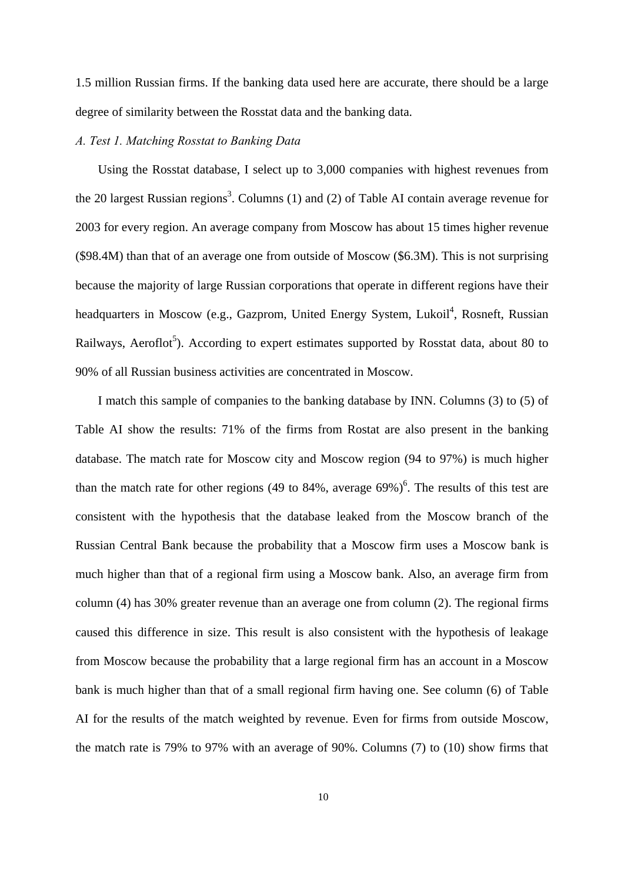1.5 million Russian firms. If the banking data used here are accurate, there should be a large degree of similarity between the Rosstat data and the banking data.

#### *A. Test 1. Matching Rosstat to Banking Data*

Using the Rosstat database, I select up to 3,000 companies with highest revenues from the 20 largest Russian regions<sup>3</sup>. Columns (1) and (2) of Table AI contain average revenue for 2003 for every region. An average company from Moscow has about 15 times higher revenue (\$98.4M) than that of an average one from outside of Moscow (\$6.3M). This is not surprising because the majority of large Russian corporations that operate in different regions have their headquarters in Moscow (e.g., Gazprom, United Energy System, Lukoil<sup>4</sup>, Rosneft, Russian Railways, Aeroflot<sup>5</sup>). According to expert estimates supported by Rosstat data, about 80 to 90% of all Russian business activities are concentrated in Moscow.

I match this sample of companies to the banking database by INN. Columns (3) to (5) of Table AI show the results: 71% of the firms from Rostat are also present in the banking database. The match rate for Moscow city and Moscow region (94 to 97%) is much higher than the match rate for other regions (49 to 84%, average  $69\%$ )<sup>6</sup>. The results of this test are consistent with the hypothesis that the database leaked from the Moscow branch of the Russian Central Bank because the probability that a Moscow firm uses a Moscow bank is much higher than that of a regional firm using a Moscow bank. Also, an average firm from column (4) has 30% greater revenue than an average one from column (2). The regional firms caused this difference in size. This result is also consistent with the hypothesis of leakage from Moscow because the probability that a large regional firm has an account in a Moscow bank is much higher than that of a small regional firm having one. See column (6) of Table AI for the results of the match weighted by revenue. Even for firms from outside Moscow, the match rate is 79% to 97% with an average of 90%. Columns (7) to (10) show firms that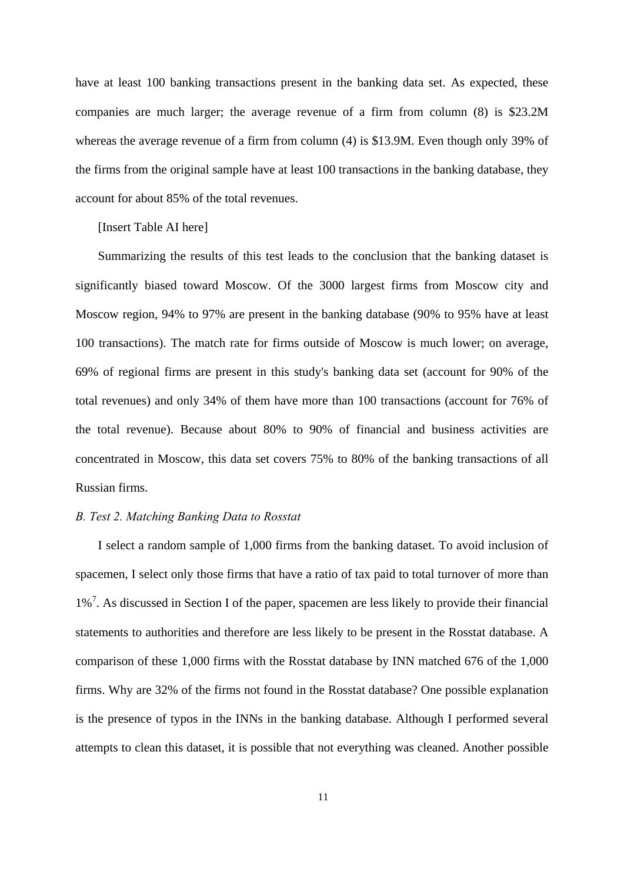have at least 100 banking transactions present in the banking data set. As expected, these companies are much larger; the average revenue of a firm from column (8) is \$23.2M whereas the average revenue of a firm from column (4) is \$13.9M. Even though only 39% of the firms from the original sample have at least 100 transactions in the banking database, they account for about 85% of the total revenues.

## [Insert Table AI here]

Summarizing the results of this test leads to the conclusion that the banking dataset is significantly biased toward Moscow. Of the 3000 largest firms from Moscow city and Moscow region, 94% to 97% are present in the banking database (90% to 95% have at least 100 transactions). The match rate for firms outside of Moscow is much lower; on average, 69% of regional firms are present in this study's banking data set (account for 90% of the total revenues) and only 34% of them have more than 100 transactions (account for 76% of the total revenue). Because about 80% to 90% of financial and business activities are concentrated in Moscow, this data set covers 75% to 80% of the banking transactions of all Russian firms.

## *B. Test 2. Matching Banking Data to Rosstat*

I select a random sample of 1,000 firms from the banking dataset. To avoid inclusion of spacemen, I select only those firms that have a ratio of tax paid to total turnover of more than 1%<sup>7</sup>. As discussed in Section I of the paper, spacemen are less likely to provide their financial statements to authorities and therefore are less likely to be present in the Rosstat database. A comparison of these 1,000 firms with the Rosstat database by INN matched 676 of the 1,000 firms. Why are 32% of the firms not found in the Rosstat database? One possible explanation is the presence of typos in the INNs in the banking database. Although I performed several attempts to clean this dataset, it is possible that not everything was cleaned. Another possible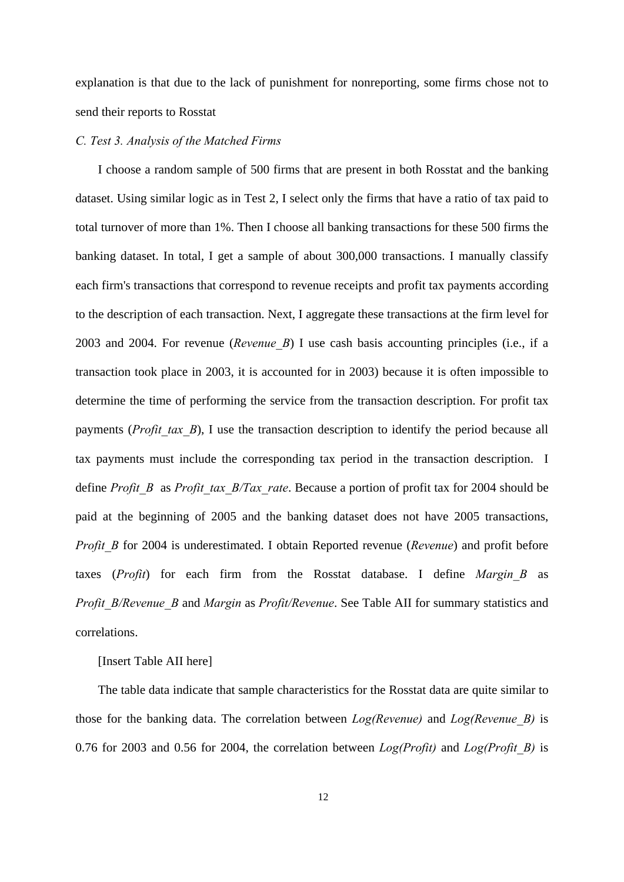explanation is that due to the lack of punishment for nonreporting, some firms chose not to send their reports to Rosstat

#### *C. Test 3. Analysis of the Matched Firms*

I choose a random sample of 500 firms that are present in both Rosstat and the banking dataset. Using similar logic as in Test 2, I select only the firms that have a ratio of tax paid to total turnover of more than 1%. Then I choose all banking transactions for these 500 firms the banking dataset. In total, I get a sample of about 300,000 transactions. I manually classify each firm's transactions that correspond to revenue receipts and profit tax payments according to the description of each transaction. Next, I aggregate these transactions at the firm level for 2003 and 2004. For revenue (*Revenue\_B*) I use cash basis accounting principles (i.e., if a transaction took place in 2003, it is accounted for in 2003) because it is often impossible to determine the time of performing the service from the transaction description. For profit tax payments (*Profit tax B*), I use the transaction description to identify the period because all tax payments must include the corresponding tax period in the transaction description. I define *Profit B* as *Profit tax B/Tax rate*. Because a portion of profit tax for 2004 should be paid at the beginning of 2005 and the banking dataset does not have 2005 transactions, *Profit B* for 2004 is underestimated. I obtain Reported revenue (*Revenue*) and profit before taxes (*Profit*) for each firm from the Rosstat database. I define *Margin\_B* as *Profit\_B/Revenue\_B* and *Margin* as *Profit/Revenue*. See Table AII for summary statistics and correlations.

## [Insert Table AII here]

The table data indicate that sample characteristics for the Rosstat data are quite similar to those for the banking data. The correlation between *Log(Revenue)* and *Log(Revenue\_B)* is 0.76 for 2003 and 0.56 for 2004, the correlation between *Log(Profit)* and *Log(Profit\_B)* is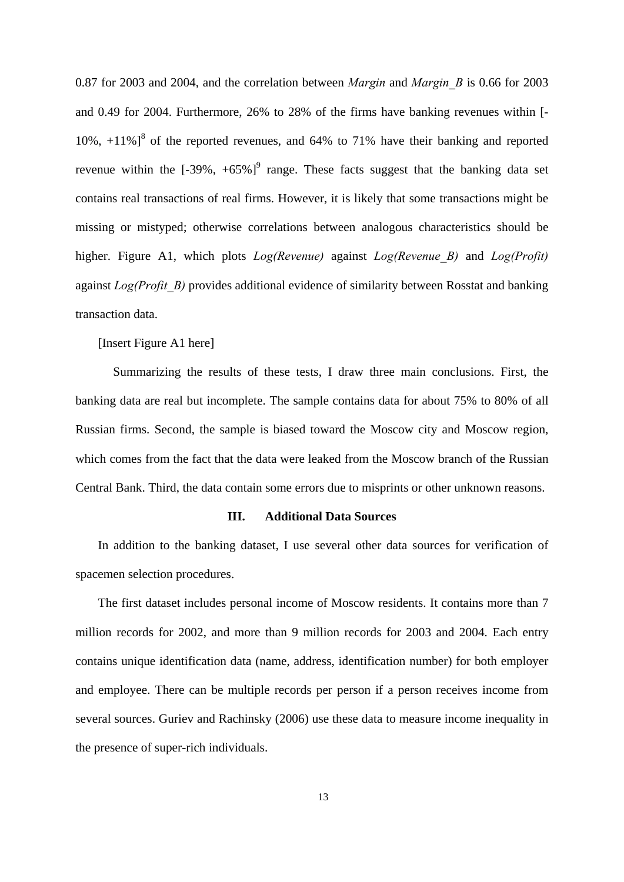0.87 for 2003 and 2004, and the correlation between *Margin* and *Margin\_B* is 0.66 for 2003 and 0.49 for 2004. Furthermore, 26% to 28% of the firms have banking revenues within [-  $10\%$ ,  $+11\%$ ]<sup>8</sup> of the reported revenues, and 64% to 71% have their banking and reported revenue within the  $[-39\%, +65\%]^9$  range. These facts suggest that the banking data set contains real transactions of real firms. However, it is likely that some transactions might be missing or mistyped; otherwise correlations between analogous characteristics should be higher. Figure A1, which plots *Log(Revenue)* against *Log(Revenue\_B)* and *Log(Profit)* against *Log(Profit\_B)* provides additional evidence of similarity between Rosstat and banking transaction data.

[Insert Figure A1 here]

Summarizing the results of these tests, I draw three main conclusions. First, the banking data are real but incomplete. The sample contains data for about 75% to 80% of all Russian firms. Second, the sample is biased toward the Moscow city and Moscow region, which comes from the fact that the data were leaked from the Moscow branch of the Russian Central Bank. Third, the data contain some errors due to misprints or other unknown reasons.

## **III. Additional Data Sources**

In addition to the banking dataset, I use several other data sources for verification of spacemen selection procedures.

The first dataset includes personal income of Moscow residents. It contains more than 7 million records for 2002, and more than 9 million records for 2003 and 2004. Each entry contains unique identification data (name, address, identification number) for both employer and employee. There can be multiple records per person if a person receives income from several sources. Guriev and Rachinsky (2006) use these data to measure income inequality in the presence of super-rich individuals.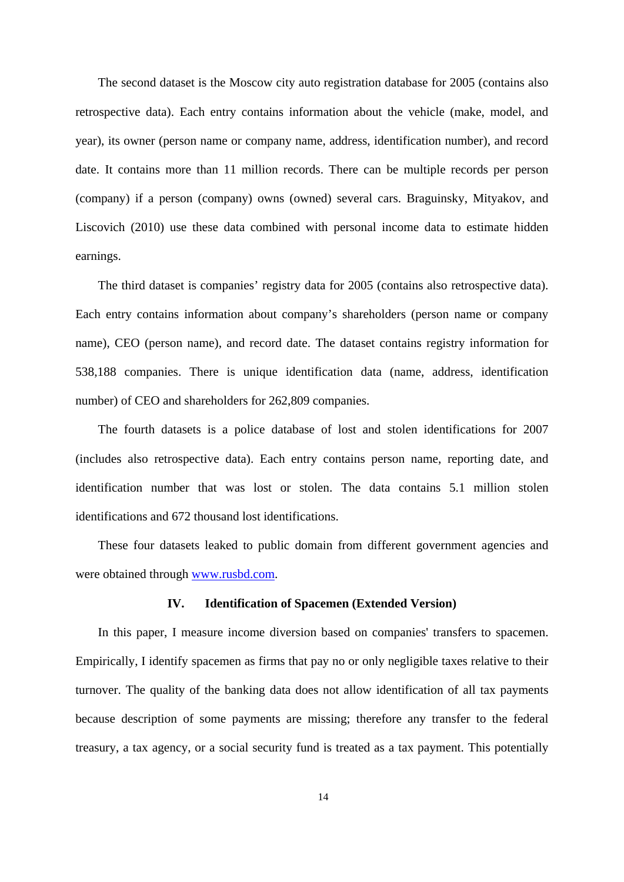The second dataset is the Moscow city auto registration database for 2005 (contains also retrospective data). Each entry contains information about the vehicle (make, model, and year), its owner (person name or company name, address, identification number), and record date. It contains more than 11 million records. There can be multiple records per person (company) if a person (company) owns (owned) several cars. Braguinsky, Mityakov, and Liscovich (2010) use these data combined with personal income data to estimate hidden earnings.

The third dataset is companies' registry data for 2005 (contains also retrospective data). Each entry contains information about company's shareholders (person name or company name), CEO (person name), and record date. The dataset contains registry information for 538,188 companies. There is unique identification data (name, address, identification number) of CEO and shareholders for 262,809 companies.

The fourth datasets is a police database of lost and stolen identifications for 2007 (includes also retrospective data). Each entry contains person name, reporting date, and identification number that was lost or stolen. The data contains 5.1 million stolen identifications and 672 thousand lost identifications.

These four datasets leaked to public domain from different government agencies and were obtained through www.rusbd.com.

#### **IV. Identification of Spacemen (Extended Version)**

In this paper, I measure income diversion based on companies' transfers to spacemen. Empirically, I identify spacemen as firms that pay no or only negligible taxes relative to their turnover. The quality of the banking data does not allow identification of all tax payments because description of some payments are missing; therefore any transfer to the federal treasury, a tax agency, or a social security fund is treated as a tax payment. This potentially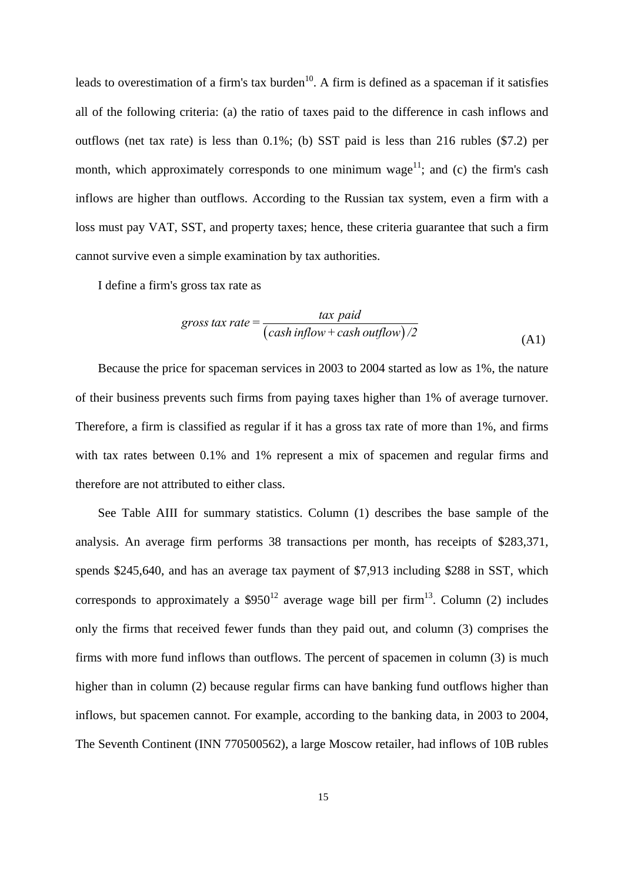leads to overestimation of a firm's tax burden<sup>10</sup>. A firm is defined as a spaceman if it satisfies all of the following criteria: (a) the ratio of taxes paid to the difference in cash inflows and outflows (net tax rate) is less than 0.1%; (b) SST paid is less than 216 rubles (\$7.2) per month, which approximately corresponds to one minimum wage<sup>11</sup>; and (c) the firm's cash inflows are higher than outflows. According to the Russian tax system, even a firm with a loss must pay VAT, SST, and property taxes; hence, these criteria guarantee that such a firm cannot survive even a simple examination by tax authorities.

I define a firm's gross tax rate as

$$
gross tax rate = \frac{\tan pal}{\left(cash inflow + cash outflow\right)/2}
$$
\n(A1)

Because the price for spaceman services in 2003 to 2004 started as low as 1%, the nature of their business prevents such firms from paying taxes higher than 1% of average turnover. Therefore, a firm is classified as regular if it has a gross tax rate of more than 1%, and firms with tax rates between 0.1% and 1% represent a mix of spacemen and regular firms and therefore are not attributed to either class.

See Table AIII for summary statistics. Column (1) describes the base sample of the analysis. An average firm performs 38 transactions per month, has receipts of \$283,371, spends \$245,640, and has an average tax payment of \$7,913 including \$288 in SST, which corresponds to approximately a  $$950^{12}$  average wage bill per firm<sup>13</sup>. Column (2) includes only the firms that received fewer funds than they paid out, and column (3) comprises the firms with more fund inflows than outflows. The percent of spacemen in column (3) is much higher than in column (2) because regular firms can have banking fund outflows higher than inflows, but spacemen cannot. For example, according to the banking data, in 2003 to 2004, The Seventh Continent (INN 770500562), a large Moscow retailer, had inflows of 10B rubles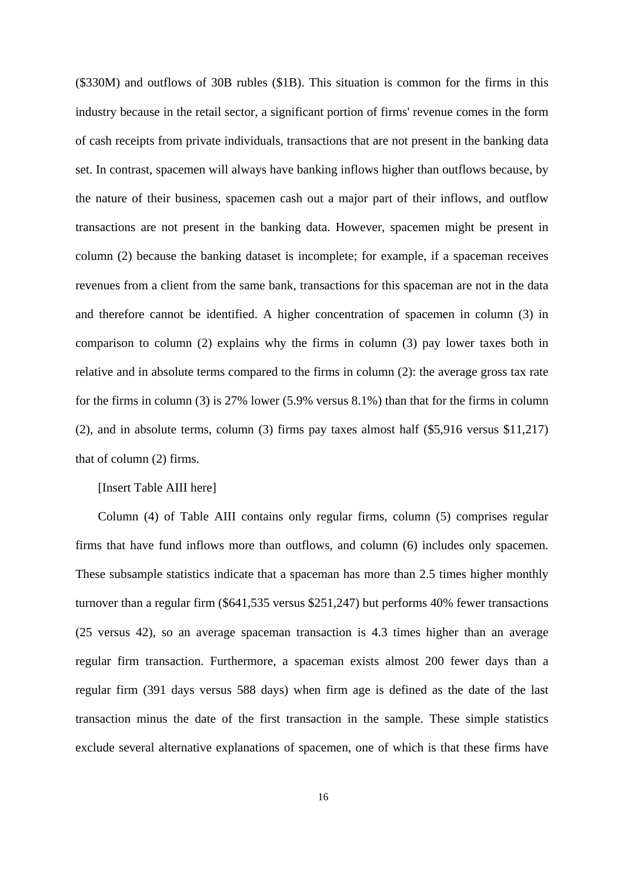(\$330M) and outflows of 30B rubles (\$1B). This situation is common for the firms in this industry because in the retail sector, a significant portion of firms' revenue comes in the form of cash receipts from private individuals, transactions that are not present in the banking data set. In contrast, spacemen will always have banking inflows higher than outflows because, by the nature of their business, spacemen cash out a major part of their inflows, and outflow transactions are not present in the banking data. However, spacemen might be present in column (2) because the banking dataset is incomplete; for example, if a spaceman receives revenues from a client from the same bank, transactions for this spaceman are not in the data and therefore cannot be identified. A higher concentration of spacemen in column (3) in comparison to column (2) explains why the firms in column (3) pay lower taxes both in relative and in absolute terms compared to the firms in column (2): the average gross tax rate for the firms in column (3) is 27% lower (5.9% versus 8.1%) than that for the firms in column (2), and in absolute terms, column (3) firms pay taxes almost half (\$5,916 versus \$11,217) that of column (2) firms.

## [Insert Table AIII here]

Column (4) of Table AIII contains only regular firms, column (5) comprises regular firms that have fund inflows more than outflows, and column (6) includes only spacemen. These subsample statistics indicate that a spaceman has more than 2.5 times higher monthly turnover than a regular firm (\$641,535 versus \$251,247) but performs 40% fewer transactions (25 versus 42), so an average spaceman transaction is 4.3 times higher than an average regular firm transaction. Furthermore, a spaceman exists almost 200 fewer days than a regular firm (391 days versus 588 days) when firm age is defined as the date of the last transaction minus the date of the first transaction in the sample. These simple statistics exclude several alternative explanations of spacemen, one of which is that these firms have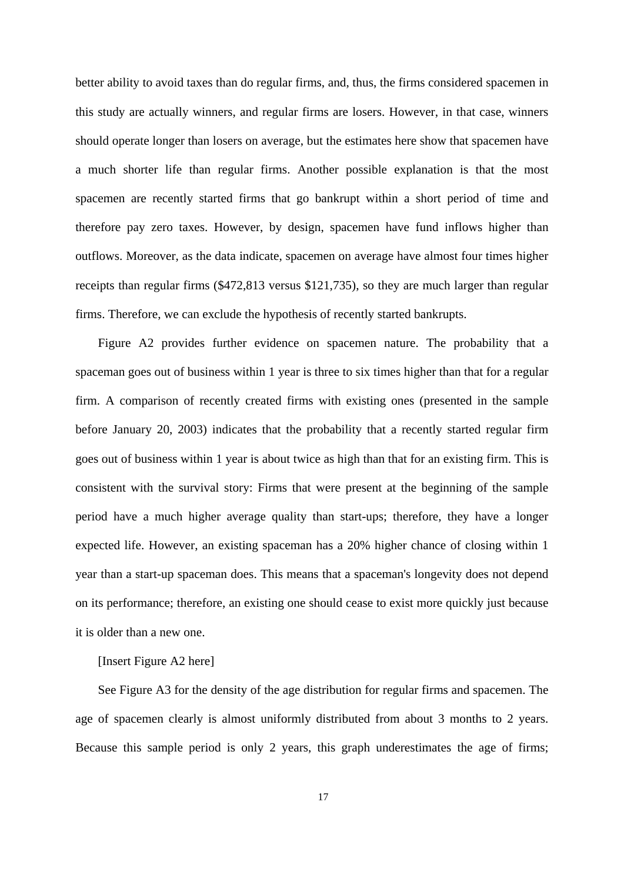better ability to avoid taxes than do regular firms, and, thus, the firms considered spacemen in this study are actually winners, and regular firms are losers. However, in that case, winners should operate longer than losers on average, but the estimates here show that spacemen have a much shorter life than regular firms. Another possible explanation is that the most spacemen are recently started firms that go bankrupt within a short period of time and therefore pay zero taxes. However, by design, spacemen have fund inflows higher than outflows. Moreover, as the data indicate, spacemen on average have almost four times higher receipts than regular firms (\$472,813 versus \$121,735), so they are much larger than regular firms. Therefore, we can exclude the hypothesis of recently started bankrupts.

Figure A2 provides further evidence on spacemen nature. The probability that a spaceman goes out of business within 1 year is three to six times higher than that for a regular firm. A comparison of recently created firms with existing ones (presented in the sample before January 20, 2003) indicates that the probability that a recently started regular firm goes out of business within 1 year is about twice as high than that for an existing firm. This is consistent with the survival story: Firms that were present at the beginning of the sample period have a much higher average quality than start-ups; therefore, they have a longer expected life. However, an existing spaceman has a 20% higher chance of closing within 1 year than a start-up spaceman does. This means that a spaceman's longevity does not depend on its performance; therefore, an existing one should cease to exist more quickly just because it is older than a new one.

## [Insert Figure A2 here]

See Figure A3 for the density of the age distribution for regular firms and spacemen. The age of spacemen clearly is almost uniformly distributed from about 3 months to 2 years. Because this sample period is only 2 years, this graph underestimates the age of firms;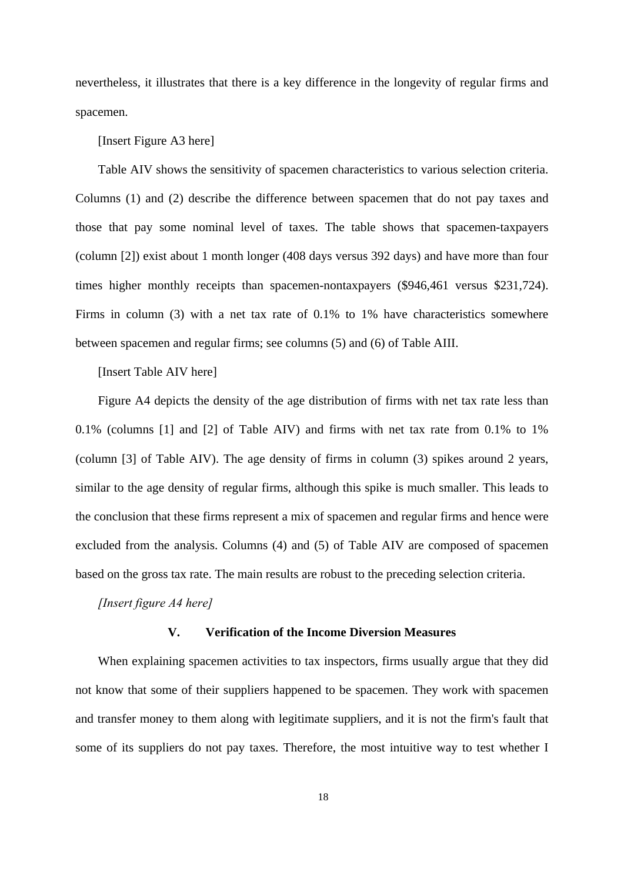nevertheless, it illustrates that there is a key difference in the longevity of regular firms and spacemen.

#### [Insert Figure A3 here]

Table AIV shows the sensitivity of spacemen characteristics to various selection criteria. Columns (1) and (2) describe the difference between spacemen that do not pay taxes and those that pay some nominal level of taxes. The table shows that spacemen-taxpayers (column [2]) exist about 1 month longer (408 days versus 392 days) and have more than four times higher monthly receipts than spacemen-nontaxpayers (\$946,461 versus \$231,724). Firms in column (3) with a net tax rate of 0.1% to 1% have characteristics somewhere between spacemen and regular firms; see columns (5) and (6) of Table AIII.

# [Insert Table AIV here]

Figure A4 depicts the density of the age distribution of firms with net tax rate less than 0.1% (columns [1] and [2] of Table AIV) and firms with net tax rate from 0.1% to 1% (column [3] of Table AIV). The age density of firms in column (3) spikes around 2 years, similar to the age density of regular firms, although this spike is much smaller. This leads to the conclusion that these firms represent a mix of spacemen and regular firms and hence were excluded from the analysis. Columns (4) and (5) of Table AIV are composed of spacemen based on the gross tax rate. The main results are robust to the preceding selection criteria.

## *[Insert figure A4 here]*

#### **V. Verification of the Income Diversion Measures**

When explaining spacemen activities to tax inspectors, firms usually argue that they did not know that some of their suppliers happened to be spacemen. They work with spacemen and transfer money to them along with legitimate suppliers, and it is not the firm's fault that some of its suppliers do not pay taxes. Therefore, the most intuitive way to test whether I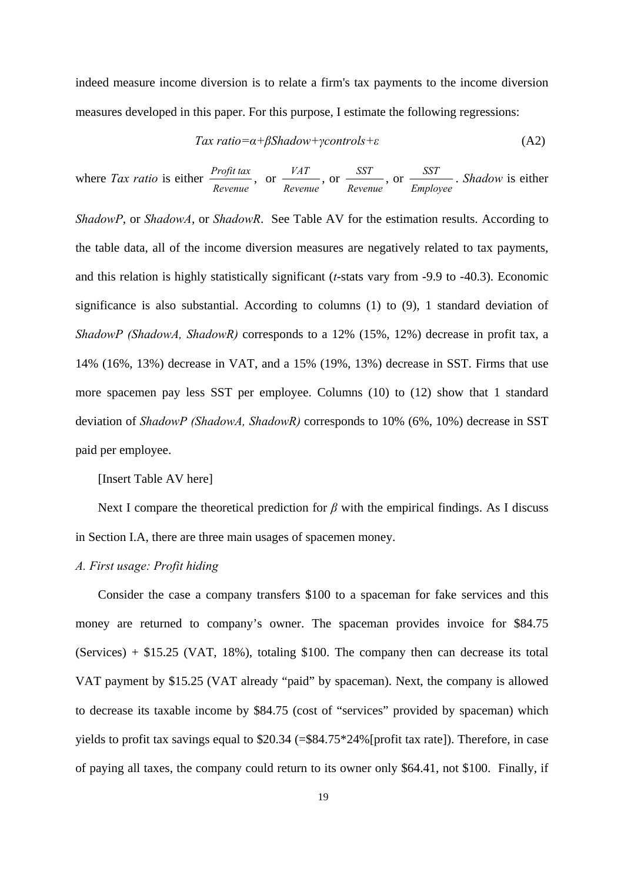indeed measure income diversion is to relate a firm's tax payments to the income diversion measures developed in this paper. For this purpose, I estimate the following regressions:

$$
Tax ratio = \alpha + \beta Shadow + \gamma controls + \varepsilon \tag{A2}
$$

where *Tax ratio* is either *Profit tax Revenue*  $\lambda$  or  $\frac{VAT}{V}$ *Revenue* , or *SST Revenue* , or *SST Employee* . *Shadow* is either

*ShadowP*, or *ShadowA*, or *ShadowR*. See Table AV for the estimation results. According to the table data, all of the income diversion measures are negatively related to tax payments, and this relation is highly statistically significant (*t*-stats vary from -9.9 to -40.3). Economic significance is also substantial. According to columns (1) to (9), 1 standard deviation of *ShadowP (ShadowA, ShadowR)* corresponds to a 12% (15%, 12%) decrease in profit tax, a 14% (16%, 13%) decrease in VAT, and a 15% (19%, 13%) decrease in SST. Firms that use more spacemen pay less SST per employee. Columns (10) to (12) show that 1 standard deviation of *ShadowP (ShadowA, ShadowR)* corresponds to 10% (6%, 10%) decrease in SST paid per employee.

## [Insert Table AV here]

Next I compare the theoretical prediction for  $\beta$  with the empirical findings. As I discuss in Section I.A, there are three main usages of spacemen money.

## *A. First usage: Profit hiding*

Consider the case a company transfers \$100 to a spaceman for fake services and this money are returned to company's owner. The spaceman provides invoice for \$84.75 (Services)  $+$  \$15.25 (VAT, 18%), totaling \$100. The company then can decrease its total VAT payment by \$15.25 (VAT already "paid" by spaceman). Next, the company is allowed to decrease its taxable income by \$84.75 (cost of "services" provided by spaceman) which yields to profit tax savings equal to \$20.34 (=\$84.75\*24%[profit tax rate]). Therefore, in case of paying all taxes, the company could return to its owner only \$64.41, not \$100. Finally, if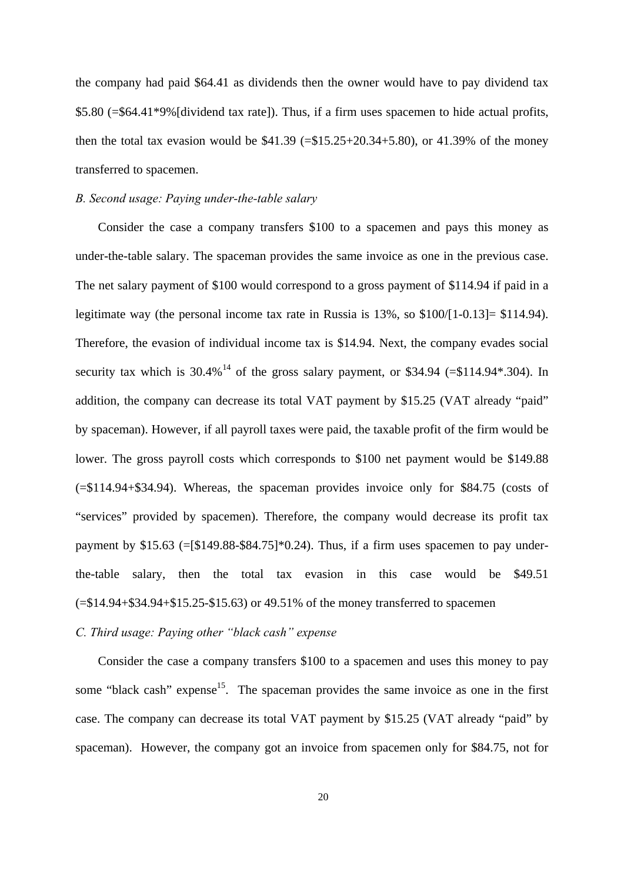the company had paid \$64.41 as dividends then the owner would have to pay dividend tax \$5.80 (=\$64.41\*9%[dividend tax rate]). Thus, if a firm uses spacemen to hide actual profits, then the total tax evasion would be  $$41.39 (= $15.25+20.34+5.80)$ , or  $41.39\%$  of the money transferred to spacemen.

## *B. Second usage: Paying under-the-table salary*

Consider the case a company transfers \$100 to a spacemen and pays this money as under-the-table salary. The spaceman provides the same invoice as one in the previous case. The net salary payment of \$100 would correspond to a gross payment of \$114.94 if paid in a legitimate way (the personal income tax rate in Russia is 13%, so \$100/[1-0.13]= \$114.94). Therefore, the evasion of individual income tax is \$14.94. Next, the company evades social security tax which is  $30.4\%$ <sup>14</sup> of the gross salary payment, or \$34.94 (=\$114.94\*.304). In addition, the company can decrease its total VAT payment by \$15.25 (VAT already "paid" by spaceman). However, if all payroll taxes were paid, the taxable profit of the firm would be lower. The gross payroll costs which corresponds to \$100 net payment would be \$149.88 (=\$114.94+\$34.94). Whereas, the spaceman provides invoice only for \$84.75 (costs of "services" provided by spacemen). Therefore, the company would decrease its profit tax payment by  $$15.63$  (=[\$149.88-\$84.75]\*0.24). Thus, if a firm uses spacemen to pay underthe-table salary, then the total tax evasion in this case would be \$49.51  $( = $14.94 + $34.94 + $15.25 - $15.63)$  or 49.51% of the money transferred to spacemen

## *C. Third usage: Paying other "black cash" expense*

Consider the case a company transfers \$100 to a spacemen and uses this money to pay some "black cash" expense<sup>15</sup>. The spaceman provides the same invoice as one in the first case. The company can decrease its total VAT payment by \$15.25 (VAT already "paid" by spaceman). However, the company got an invoice from spacemen only for \$84.75, not for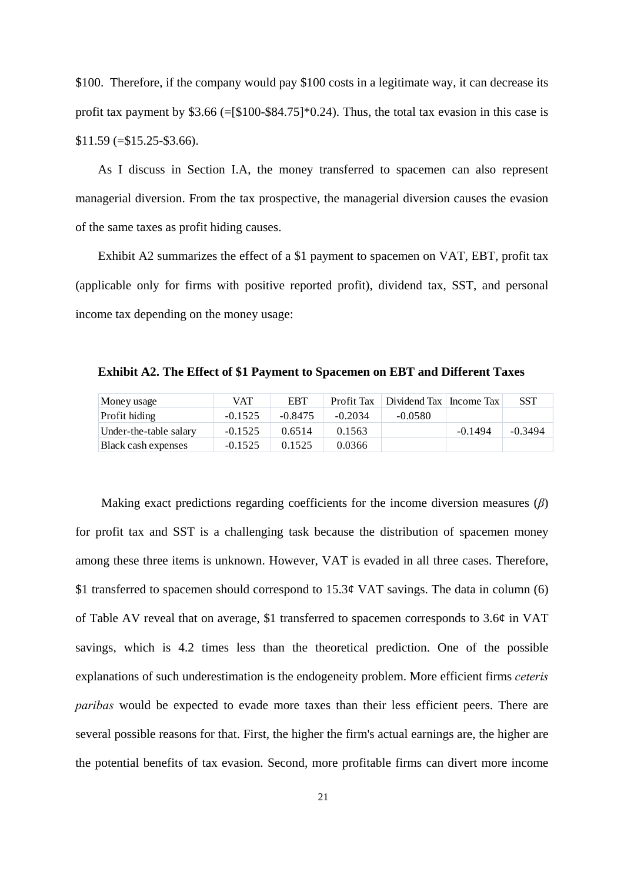\$100. Therefore, if the company would pay \$100 costs in a legitimate way, it can decrease its profit tax payment by \$3.66 (=[\$100-\$84.75]\*0.24). Thus, the total tax evasion in this case is  $$11.59$  (= $$15.25$ - $$3.66$ ).

As I discuss in Section I.A, the money transferred to spacemen can also represent managerial diversion. From the tax prospective, the managerial diversion causes the evasion of the same taxes as profit hiding causes.

Exhibit A2 summarizes the effect of a \$1 payment to spacemen on VAT, EBT, profit tax (applicable only for firms with positive reported profit), dividend tax, SST, and personal income tax depending on the money usage:

| Money usage            | VAT       | <b>EBT</b> | Profit Tax | Dividend Tax   Income Tax |           | <b>SST</b> |
|------------------------|-----------|------------|------------|---------------------------|-----------|------------|
| <b>Profit hiding</b>   | $-0.1525$ | $-0.8475$  | $-0.2034$  | $-0.0580$                 |           |            |
| Under-the-table salary | $-0.1525$ | 0.6514     | 0.1563     |                           | $-0.1494$ | $-0.3494$  |
| Black cash expenses    | $-0.1525$ | 0.1525     | 0.0366     |                           |           |            |

**Exhibit A2. The Effect of \$1 Payment to Spacemen on EBT and Different Taxes** 

 Making exact predictions regarding coefficients for the income diversion measures (*β*) for profit tax and SST is a challenging task because the distribution of spacemen money among these three items is unknown. However, VAT is evaded in all three cases. Therefore, \$1 transferred to spacemen should correspond to 15.3¢ VAT savings. The data in column (6) of Table AV reveal that on average, \$1 transferred to spacemen corresponds to 3.6¢ in VAT savings, which is 4.2 times less than the theoretical prediction. One of the possible explanations of such underestimation is the endogeneity problem. More efficient firms *ceteris paribas* would be expected to evade more taxes than their less efficient peers. There are several possible reasons for that. First, the higher the firm's actual earnings are, the higher are the potential benefits of tax evasion. Second, more profitable firms can divert more income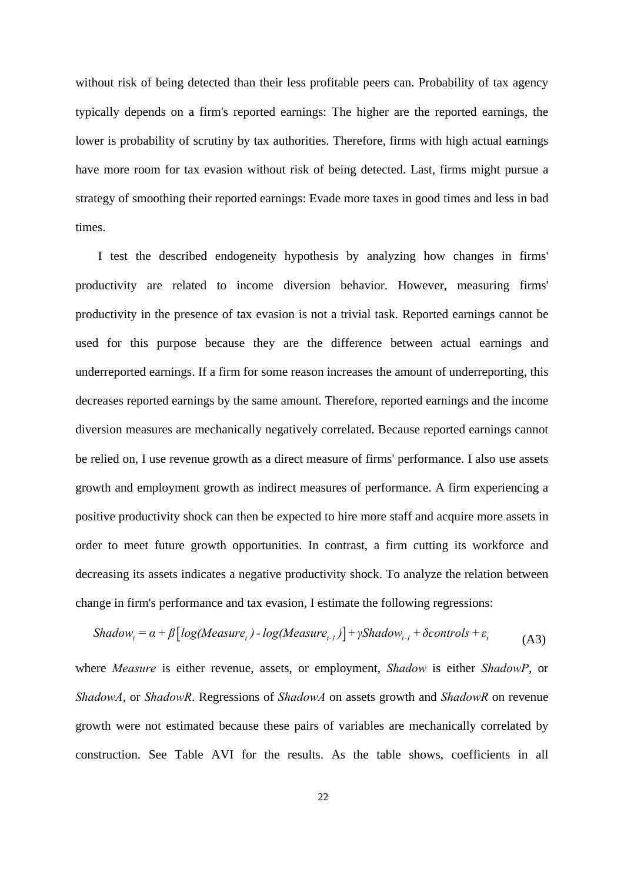without risk of being detected than their less profitable peers can. Probability of tax agency typically depends on a firm's reported earnings: The higher are the reported earnings, the lower is probability of scrutiny by tax authorities. Therefore, firms with high actual earnings have more room for tax evasion without risk of being detected. Last, firms might pursue a strategy of smoothing their reported earnings: Evade more taxes in good times and less in bad times.

I test the described endogeneity hypothesis by analyzing how changes in firms' productivity are related to income diversion behavior. However, measuring firms' productivity in the presence of tax evasion is not a trivial task. Reported earnings cannot be used for this purpose because they are the difference between actual earnings and underreported earnings. If a firm for some reason increases the amount of underreporting, this decreases reported earnings by the same amount. Therefore, reported earnings and the income diversion measures are mechanically negatively correlated. Because reported earnings cannot be relied on, I use revenue growth as a direct measure of firms' performance. I also use assets growth and employment growth as indirect measures of performance. A firm experiencing a positive productivity shock can then be expected to hire more staff and acquire more assets in order to meet future growth opportunities. In contrast, a firm cutting its workforce and decreasing its assets indicates a negative productivity shock. To analyze the relation between change in firm's performance and tax evasion, I estimate the following regressions:

$$
Shadow_t = \alpha + \beta \left[ log(Measure_t) - log(Measure_{t-1}) \right] + \gamma Shadow_{t-1} + \delta controls + \varepsilon_t
$$
\n(A3)

where *Measure* is either revenue, assets, or employment, *Shadow* is either *ShadowP*, or *ShadowA*, or *ShadowR*. Regressions of *ShadowA* on assets growth and *ShadowR* on revenue growth were not estimated because these pairs of variables are mechanically correlated by construction. See Table AVI for the results. As the table shows, coefficients in all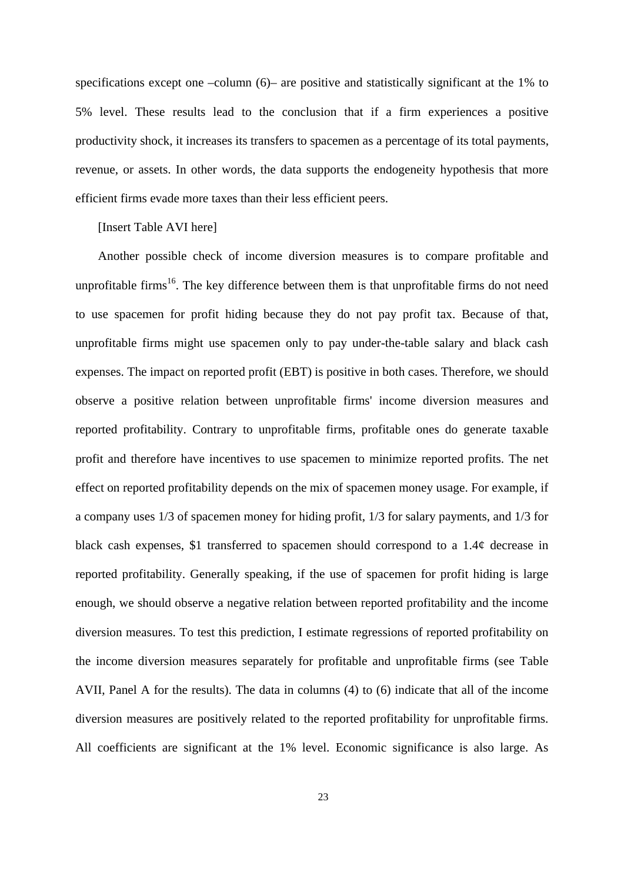specifications except one –column (6)– are positive and statistically significant at the 1% to 5% level. These results lead to the conclusion that if a firm experiences a positive productivity shock, it increases its transfers to spacemen as a percentage of its total payments, revenue, or assets. In other words, the data supports the endogeneity hypothesis that more efficient firms evade more taxes than their less efficient peers.

## [Insert Table AVI here]

Another possible check of income diversion measures is to compare profitable and unprofitable firms<sup>16</sup>. The key difference between them is that unprofitable firms do not need to use spacemen for profit hiding because they do not pay profit tax. Because of that, unprofitable firms might use spacemen only to pay under-the-table salary and black cash expenses. The impact on reported profit (EBT) is positive in both cases. Therefore, we should observe a positive relation between unprofitable firms' income diversion measures and reported profitability. Contrary to unprofitable firms, profitable ones do generate taxable profit and therefore have incentives to use spacemen to minimize reported profits. The net effect on reported profitability depends on the mix of spacemen money usage. For example, if a company uses 1/3 of spacemen money for hiding profit, 1/3 for salary payments, and 1/3 for black cash expenses, \$1 transferred to spacemen should correspond to a 1.4¢ decrease in reported profitability. Generally speaking, if the use of spacemen for profit hiding is large enough, we should observe a negative relation between reported profitability and the income diversion measures. To test this prediction, I estimate regressions of reported profitability on the income diversion measures separately for profitable and unprofitable firms (see Table AVII, Panel A for the results). The data in columns (4) to (6) indicate that all of the income diversion measures are positively related to the reported profitability for unprofitable firms. All coefficients are significant at the 1% level. Economic significance is also large. As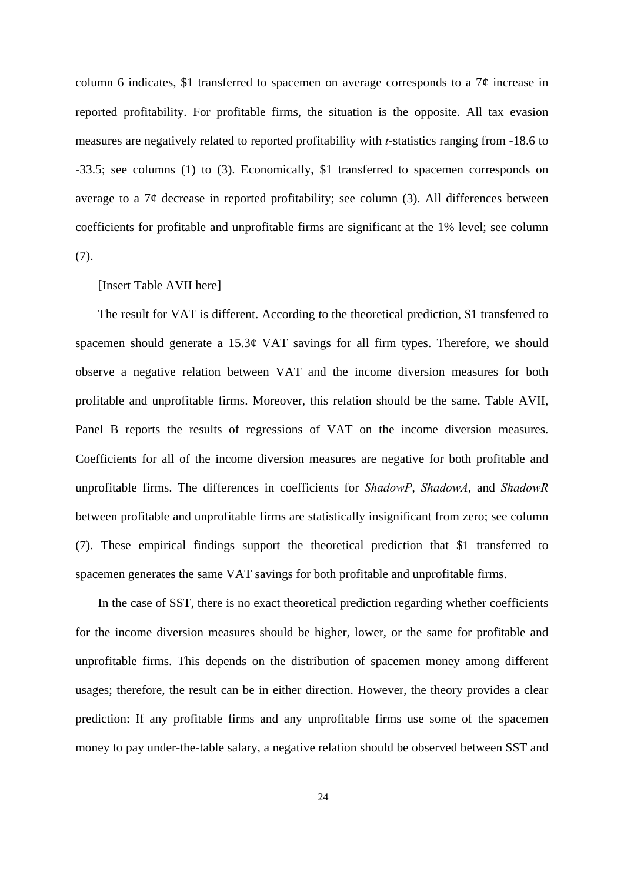column 6 indicates, \$1 transferred to spacemen on average corresponds to a  $7¢$  increase in reported profitability. For profitable firms, the situation is the opposite. All tax evasion measures are negatively related to reported profitability with *t*-statistics ranging from -18.6 to -33.5; see columns (1) to (3). Economically, \$1 transferred to spacemen corresponds on average to a  $7\phi$  decrease in reported profitability; see column (3). All differences between coefficients for profitable and unprofitable firms are significant at the 1% level; see column (7).

## [Insert Table AVII here]

The result for VAT is different. According to the theoretical prediction, \$1 transferred to spacemen should generate a 15.3¢ VAT savings for all firm types. Therefore, we should observe a negative relation between VAT and the income diversion measures for both profitable and unprofitable firms. Moreover, this relation should be the same. Table AVII, Panel B reports the results of regressions of VAT on the income diversion measures. Coefficients for all of the income diversion measures are negative for both profitable and unprofitable firms. The differences in coefficients for *ShadowP*, *ShadowA*, and *ShadowR* between profitable and unprofitable firms are statistically insignificant from zero; see column (7). These empirical findings support the theoretical prediction that \$1 transferred to spacemen generates the same VAT savings for both profitable and unprofitable firms.

In the case of SST, there is no exact theoretical prediction regarding whether coefficients for the income diversion measures should be higher, lower, or the same for profitable and unprofitable firms. This depends on the distribution of spacemen money among different usages; therefore, the result can be in either direction. However, the theory provides a clear prediction: If any profitable firms and any unprofitable firms use some of the spacemen money to pay under-the-table salary, a negative relation should be observed between SST and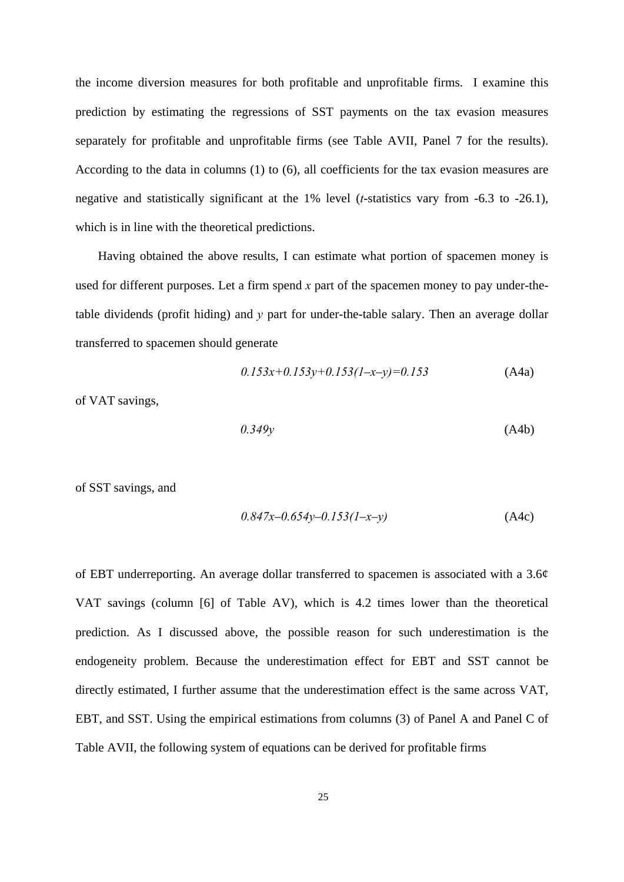the income diversion measures for both profitable and unprofitable firms. I examine this prediction by estimating the regressions of SST payments on the tax evasion measures separately for profitable and unprofitable firms (see Table AVII, Panel 7 for the results). According to the data in columns (1) to (6), all coefficients for the tax evasion measures are negative and statistically significant at the 1% level (*t*-statistics vary from -6.3 to -26.1), which is in line with the theoretical predictions.

Having obtained the above results, I can estimate what portion of spacemen money is used for different purposes. Let a firm spend *x* part of the spacemen money to pay under-thetable dividends (profit hiding) and *y* part for under-the-table salary. Then an average dollar transferred to spacemen should generate

$$
0.153x+0.153y+0.153(1-x-y)=0.153
$$
 (A4a)

of VAT savings,

$$
0.349y \tag{A4b}
$$

of SST savings, and

$$
0.847x - 0.654y - 0.153(1 - x - y) \tag{A4c}
$$

of EBT underreporting. An average dollar transferred to spacemen is associated with a 3.6¢ VAT savings (column [6] of Table AV), which is 4.2 times lower than the theoretical prediction. As I discussed above, the possible reason for such underestimation is the endogeneity problem. Because the underestimation effect for EBT and SST cannot be directly estimated, I further assume that the underestimation effect is the same across VAT, EBT, and SST. Using the empirical estimations from columns (3) of Panel A and Panel C of Table AVII, the following system of equations can be derived for profitable firms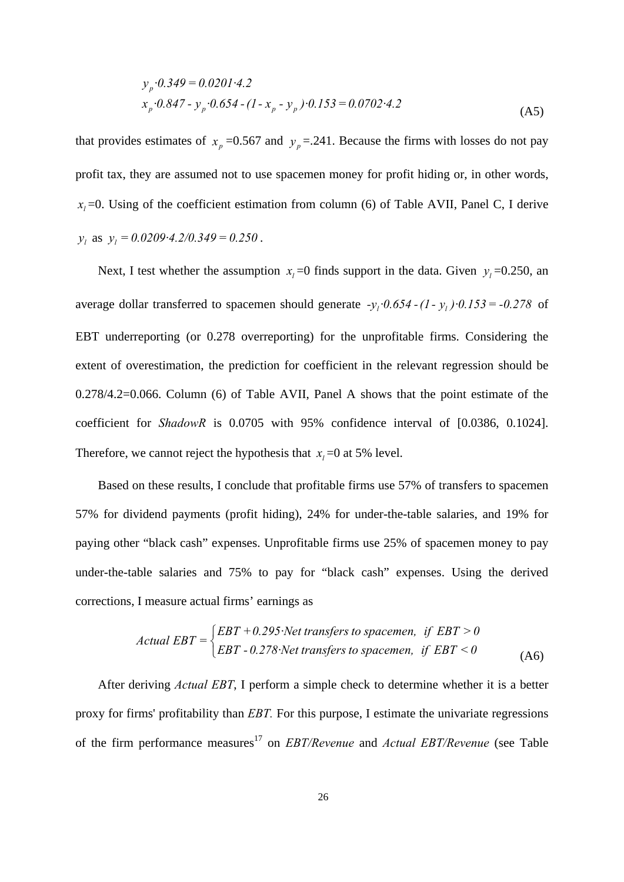$$
y_p \cdot 0.349 = 0.0201 \cdot 4.2
$$
  
\n
$$
x_p \cdot 0.847 - y_p \cdot 0.654 - (1 - x_p - y_p) \cdot 0.153 = 0.0702 \cdot 4.2
$$
 (A5)

that provides estimates of  $x_p = 0.567$  and  $y_p = 0.241$ . Because the firms with losses do not pay profit tax, they are assumed not to use spacemen money for profit hiding or, in other words, *. Using of the coefficient estimation from column (6) of Table AVII, Panel C, I derive*  $y_l$  as  $y_l = 0.0209 \cdot 4.2/0.349 = 0.250$ .

Next, I test whether the assumption  $x_i = 0$  finds support in the data. Given  $y_i = 0.250$ , an average dollar transferred to spacemen should generate  $-y_i \cdot 0.654 - (1-y_i) \cdot 0.153 = -0.278$  of EBT underreporting (or 0.278 overreporting) for the unprofitable firms. Considering the extent of overestimation, the prediction for coefficient in the relevant regression should be 0.278/4.2=0.066. Column (6) of Table AVII, Panel A shows that the point estimate of the coefficient for *ShadowR* is 0.0705 with 95% confidence interval of [0.0386, 0.1024]. Therefore, we cannot reject the hypothesis that  $x_i = 0$  at 5% level.

Based on these results, I conclude that profitable firms use 57% of transfers to spacemen 57% for dividend payments (profit hiding), 24% for under-the-table salaries, and 19% for paying other "black cash" expenses. Unprofitable firms use 25% of spacemen money to pay under-the-table salaries and 75% to pay for "black cash" expenses. Using the derived corrections, I measure actual firms' earnings as

Actual EBT = 
$$
\begin{cases} EBT + 0.295 \text{ Net transfers to spacemen, if EBT > 0} \\ EBT - 0.278 \text{ Net transfers to spacemen, if EBT < 0} \end{cases}
$$
 (A6)

After deriving *Actual EBT*, I perform a simple check to determine whether it is a better proxy for firms' profitability than *EBT.* For this purpose, I estimate the univariate regressions of the firm performance measures<sup>17</sup> on *EBT/Revenue* and *Actual EBT/Revenue* (see Table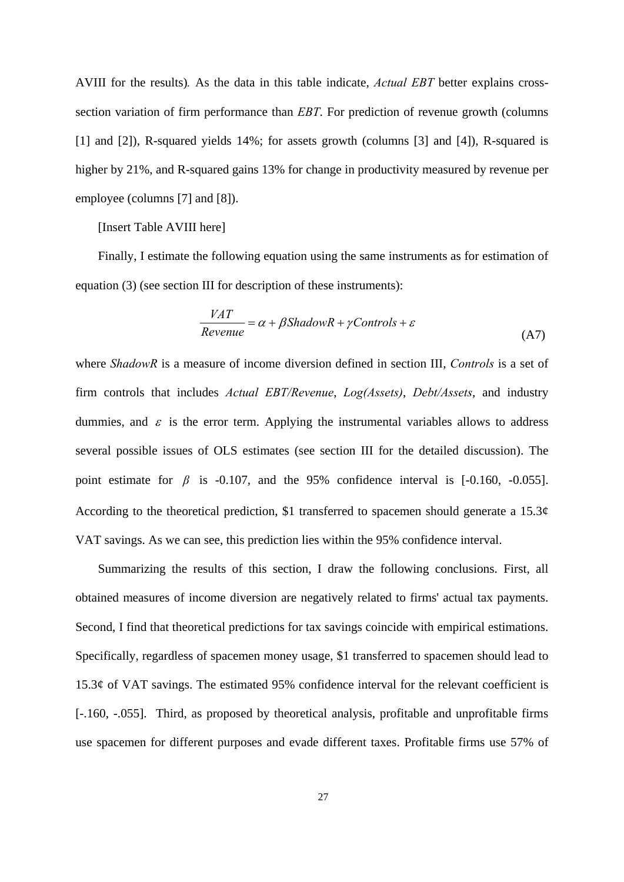AVIII for the results)*.* As the data in this table indicate, *Actual EBT* better explains crosssection variation of firm performance than *EBT*. For prediction of revenue growth (columns [1] and [2]), R-squared yields 14%; for assets growth (columns [3] and [4]), R-squared is higher by 21%, and R-squared gains 13% for change in productivity measured by revenue per employee (columns [7] and [8]).

## [Insert Table AVIII here]

Finally, I estimate the following equation using the same instruments as for estimation of equation (3) (see section III for description of these instruments):

$$
\frac{VAT}{Revenue} = \alpha + \beta \text{ShadowR} + \gamma \text{Controls} + \varepsilon \tag{A7}
$$

where *ShadowR* is a measure of income diversion defined in section III, *Controls* is a set of firm controls that includes *Actual EBT/Revenue*, *Log(Assets)*, *Debt/Assets*, and industry dummies, and  $\varepsilon$  is the error term. Applying the instrumental variables allows to address several possible issues of OLS estimates (see section III for the detailed discussion). The point estimate for  $\beta$  is -0.107, and the 95% confidence interval is [-0.160, -0.055]. According to the theoretical prediction, \$1 transferred to spacemen should generate a  $15.3¢$ VAT savings. As we can see, this prediction lies within the 95% confidence interval.

Summarizing the results of this section, I draw the following conclusions. First, all obtained measures of income diversion are negatively related to firms' actual tax payments. Second, I find that theoretical predictions for tax savings coincide with empirical estimations. Specifically, regardless of spacemen money usage, \$1 transferred to spacemen should lead to 15.3¢ of VAT savings. The estimated 95% confidence interval for the relevant coefficient is [-.160, -.055]. Third, as proposed by theoretical analysis, profitable and unprofitable firms use spacemen for different purposes and evade different taxes. Profitable firms use 57% of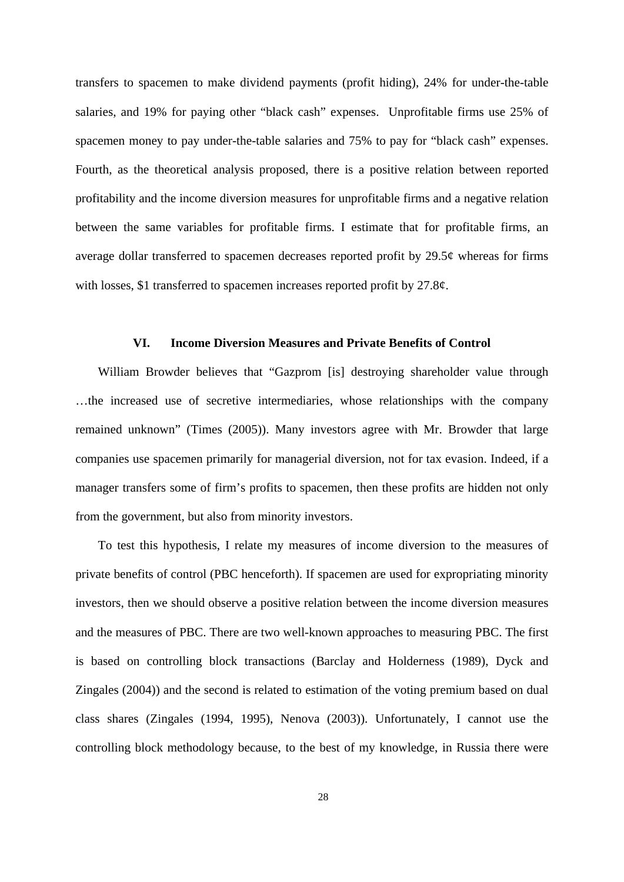transfers to spacemen to make dividend payments (profit hiding), 24% for under-the-table salaries, and 19% for paying other "black cash" expenses. Unprofitable firms use 25% of spacemen money to pay under-the-table salaries and 75% to pay for "black cash" expenses. Fourth, as the theoretical analysis proposed, there is a positive relation between reported profitability and the income diversion measures for unprofitable firms and a negative relation between the same variables for profitable firms. I estimate that for profitable firms, an average dollar transferred to spacemen decreases reported profit by  $29.5¢$  whereas for firms with losses, \$1 transferred to spacemen increases reported profit by 27.8¢.

## **VI. Income Diversion Measures and Private Benefits of Control**

William Browder believes that "Gazprom [is] destroying shareholder value through …the increased use of secretive intermediaries, whose relationships with the company remained unknown" (Times (2005)). Many investors agree with Mr. Browder that large companies use spacemen primarily for managerial diversion, not for tax evasion. Indeed, if a manager transfers some of firm's profits to spacemen, then these profits are hidden not only from the government, but also from minority investors.

To test this hypothesis, I relate my measures of income diversion to the measures of private benefits of control (PBC henceforth). If spacemen are used for expropriating minority investors, then we should observe a positive relation between the income diversion measures and the measures of PBC. There are two well-known approaches to measuring PBC. The first is based on controlling block transactions (Barclay and Holderness (1989), Dyck and Zingales (2004)) and the second is related to estimation of the voting premium based on dual class shares (Zingales (1994, 1995), Nenova (2003)). Unfortunately, I cannot use the controlling block methodology because, to the best of my knowledge, in Russia there were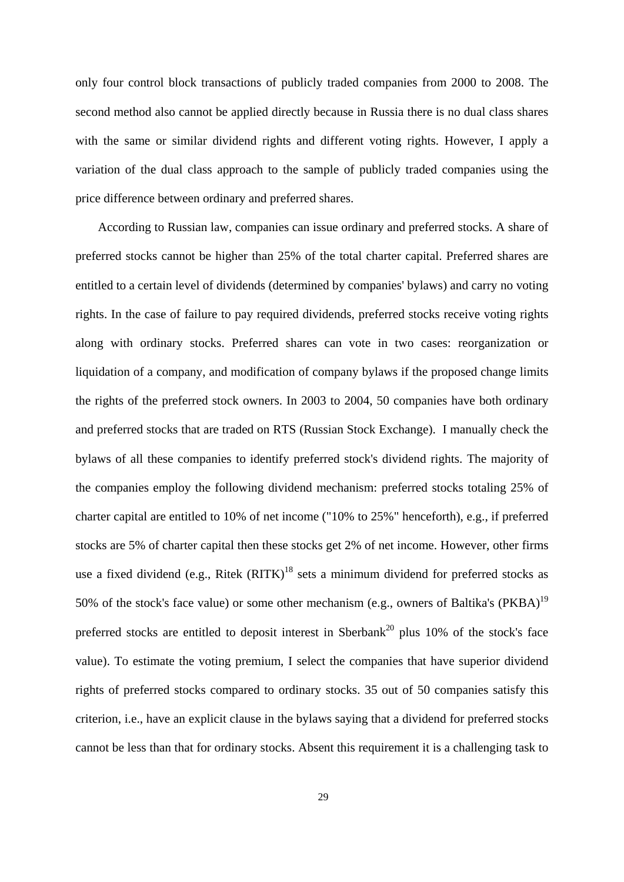only four control block transactions of publicly traded companies from 2000 to 2008. The second method also cannot be applied directly because in Russia there is no dual class shares with the same or similar dividend rights and different voting rights. However, I apply a variation of the dual class approach to the sample of publicly traded companies using the price difference between ordinary and preferred shares.

According to Russian law, companies can issue ordinary and preferred stocks. A share of preferred stocks cannot be higher than 25% of the total charter capital. Preferred shares are entitled to a certain level of dividends (determined by companies' bylaws) and carry no voting rights. In the case of failure to pay required dividends, preferred stocks receive voting rights along with ordinary stocks. Preferred shares can vote in two cases: reorganization or liquidation of a company, and modification of company bylaws if the proposed change limits the rights of the preferred stock owners. In 2003 to 2004, 50 companies have both ordinary and preferred stocks that are traded on RTS (Russian Stock Exchange). I manually check the bylaws of all these companies to identify preferred stock's dividend rights. The majority of the companies employ the following dividend mechanism: preferred stocks totaling 25% of charter capital are entitled to 10% of net income ("10% to 25%" henceforth), e.g., if preferred stocks are 5% of charter capital then these stocks get 2% of net income. However, other firms use a fixed dividend (e.g., Ritek  $(RITK)^{18}$  sets a minimum dividend for preferred stocks as 50% of the stock's face value) or some other mechanism (e.g., owners of Baltika's  $(PKBA)^{19}$ preferred stocks are entitled to deposit interest in Sberbank<sup>20</sup> plus 10% of the stock's face value). To estimate the voting premium, I select the companies that have superior dividend rights of preferred stocks compared to ordinary stocks. 35 out of 50 companies satisfy this criterion, i.e., have an explicit clause in the bylaws saying that a dividend for preferred stocks cannot be less than that for ordinary stocks. Absent this requirement it is a challenging task to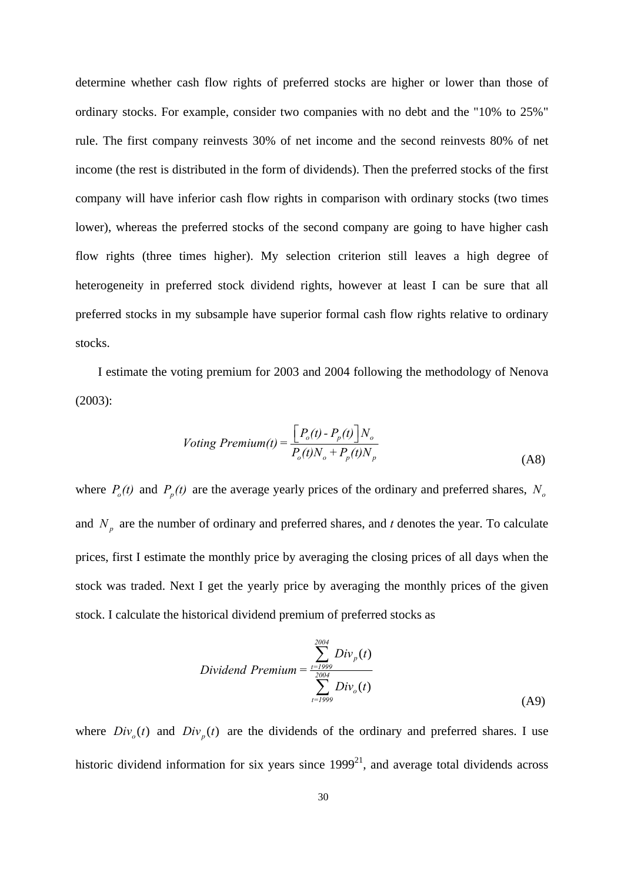determine whether cash flow rights of preferred stocks are higher or lower than those of ordinary stocks. For example, consider two companies with no debt and the "10% to 25%" rule. The first company reinvests 30% of net income and the second reinvests 80% of net income (the rest is distributed in the form of dividends). Then the preferred stocks of the first company will have inferior cash flow rights in comparison with ordinary stocks (two times lower), whereas the preferred stocks of the second company are going to have higher cash flow rights (three times higher). My selection criterion still leaves a high degree of heterogeneity in preferred stock dividend rights, however at least I can be sure that all preferred stocks in my subsample have superior formal cash flow rights relative to ordinary stocks.

I estimate the voting premium for 2003 and 2004 following the methodology of Nenova (2003):

$$
Voting\ Premium(t) = \frac{\left[P_o(t) - P_p(t)\right]N_o}{P_o(t)N_o + P_p(t)N_p}
$$
\n(A8)

where  $P_o(t)$  and  $P_p(t)$  are the average yearly prices of the ordinary and preferred shares,  $N_o$ and  $N_p$  are the number of ordinary and preferred shares, and *t* denotes the year. To calculate prices, first I estimate the monthly price by averaging the closing prices of all days when the stock was traded. Next I get the yearly price by averaging the monthly prices of the given stock. I calculate the historical dividend premium of preferred stocks as

Dividend Premium = 
$$
\frac{\sum_{t=1999}^{2004} Div_{p}(t)}{\sum_{t=1999}^{2004}Div_{o}(t)}
$$
 (A9)

where  $Div_a(t)$  and  $Div_a(t)$  are the dividends of the ordinary and preferred shares. I use historic dividend information for six years since  $1999^{21}$ , and average total dividends across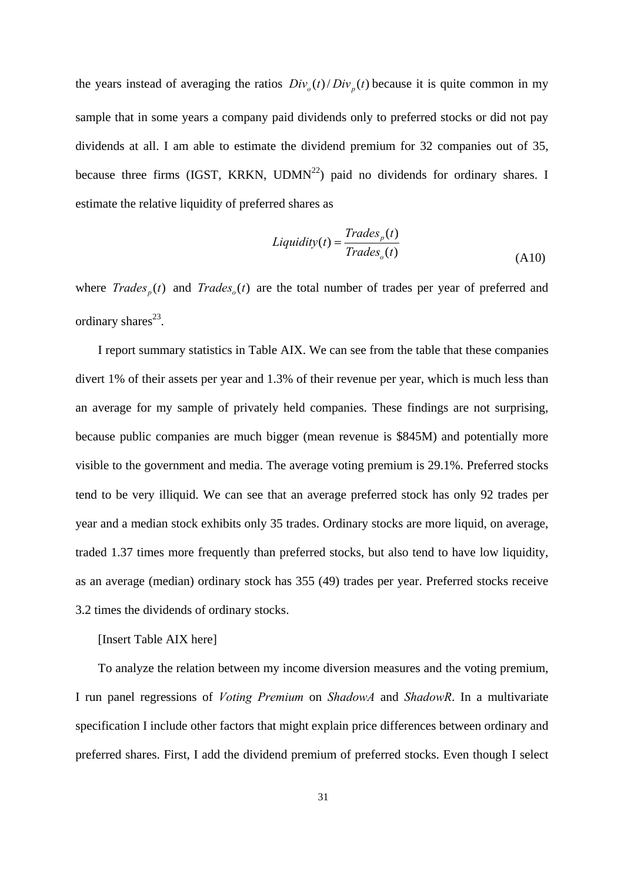the years instead of averaging the ratios  $Div_{\rho}(t) / Div_{\rho}(t)$  because it is quite common in my sample that in some years a company paid dividends only to preferred stocks or did not pay dividends at all. I am able to estimate the dividend premium for 32 companies out of 35, because three firms (IGST, KRKN,  $UDMN^{22}$ ) paid no dividends for ordinary shares. I estimate the relative liquidity of preferred shares as

$$
Liquidity(t) = \frac{Trades_p(t)}{Trades_o(t)}
$$
\n(A10)

where  $Trades_{n}(t)$  and  $Trades_{n}(t)$  are the total number of trades per year of preferred and ordinary shares<sup>23</sup>.

I report summary statistics in Table AIX. We can see from the table that these companies divert 1% of their assets per year and 1.3% of their revenue per year, which is much less than an average for my sample of privately held companies. These findings are not surprising, because public companies are much bigger (mean revenue is \$845M) and potentially more visible to the government and media. The average voting premium is 29.1%. Preferred stocks tend to be very illiquid. We can see that an average preferred stock has only 92 trades per year and a median stock exhibits only 35 trades. Ordinary stocks are more liquid, on average, traded 1.37 times more frequently than preferred stocks, but also tend to have low liquidity, as an average (median) ordinary stock has 355 (49) trades per year. Preferred stocks receive 3.2 times the dividends of ordinary stocks.

[Insert Table AIX here]

To analyze the relation between my income diversion measures and the voting premium, I run panel regressions of *Voting Premium* on *ShadowA* and *ShadowR*. In a multivariate specification I include other factors that might explain price differences between ordinary and preferred shares. First, I add the dividend premium of preferred stocks. Even though I select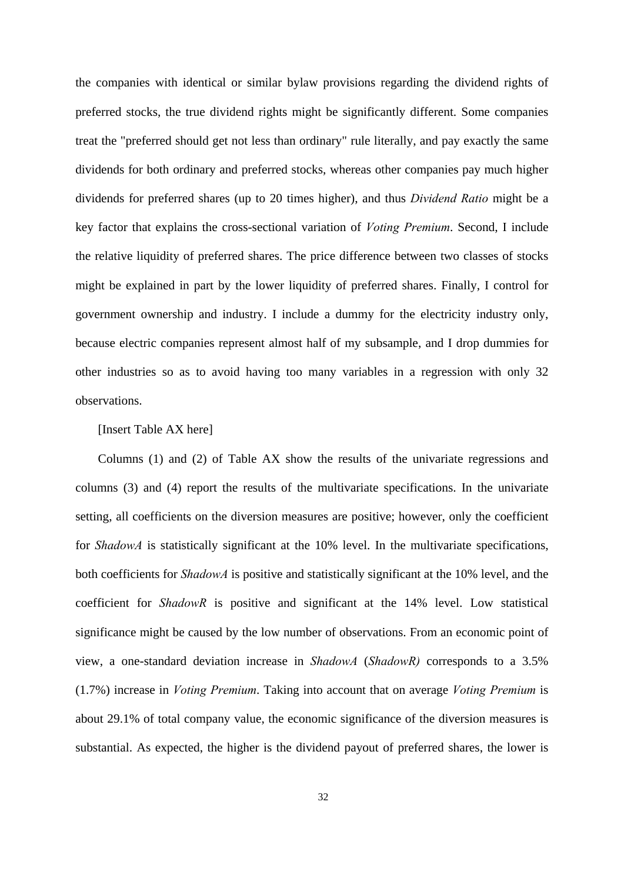the companies with identical or similar bylaw provisions regarding the dividend rights of preferred stocks, the true dividend rights might be significantly different. Some companies treat the "preferred should get not less than ordinary" rule literally, and pay exactly the same dividends for both ordinary and preferred stocks, whereas other companies pay much higher dividends for preferred shares (up to 20 times higher), and thus *Dividend Ratio* might be a key factor that explains the cross-sectional variation of *Voting Premium*. Second, I include the relative liquidity of preferred shares. The price difference between two classes of stocks might be explained in part by the lower liquidity of preferred shares. Finally, I control for government ownership and industry. I include a dummy for the electricity industry only, because electric companies represent almost half of my subsample, and I drop dummies for other industries so as to avoid having too many variables in a regression with only 32 observations.

# [Insert Table AX here]

Columns (1) and (2) of Table AX show the results of the univariate regressions and columns (3) and (4) report the results of the multivariate specifications. In the univariate setting, all coefficients on the diversion measures are positive; however, only the coefficient for *ShadowA* is statistically significant at the 10% level. In the multivariate specifications, both coefficients for *ShadowA* is positive and statistically significant at the 10% level, and the coefficient for *ShadowR* is positive and significant at the 14% level. Low statistical significance might be caused by the low number of observations. From an economic point of view, a one-standard deviation increase in *ShadowA* (*ShadowR)* corresponds to a 3.5% (1.7%) increase in *Voting Premium*. Taking into account that on average *Voting Premium* is about 29.1% of total company value, the economic significance of the diversion measures is substantial. As expected, the higher is the dividend payout of preferred shares, the lower is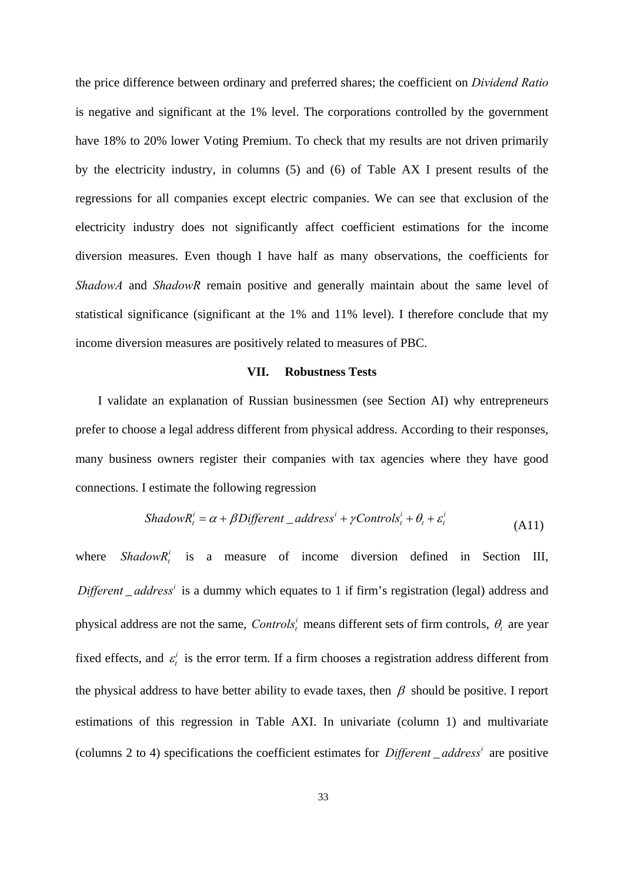the price difference between ordinary and preferred shares; the coefficient on *Dividend Ratio* is negative and significant at the 1% level. The corporations controlled by the government have 18% to 20% lower Voting Premium. To check that my results are not driven primarily by the electricity industry, in columns (5) and (6) of Table AX I present results of the regressions for all companies except electric companies. We can see that exclusion of the electricity industry does not significantly affect coefficient estimations for the income diversion measures. Even though I have half as many observations, the coefficients for *ShadowA* and *ShadowR* remain positive and generally maintain about the same level of statistical significance (significant at the 1% and 11% level). I therefore conclude that my income diversion measures are positively related to measures of PBC.

## **VII. Robustness Tests**

I validate an explanation of Russian businessmen (see Section AI) why entrepreneurs prefer to choose a legal address different from physical address. According to their responses, many business owners register their companies with tax agencies where they have good connections. I estimate the following regression

$$
ShadowR_i^i = \alpha + \beta Different\_address^i + \gamma Controls_i^i + \theta_i + \varepsilon_i^i
$$
\n(A11)

where  $ShadowR_t^i$  is a measure of income diversion defined in Section III, *Different \_address<sup>i</sup>* is a dummy which equates to 1 if firm's registration (legal) address and physical address are not the same, *Controls*<sup>*i*</sup> means different sets of firm controls,  $\theta$ , are year fixed effects, and  $\varepsilon_t^i$  is the error term. If a firm chooses a registration address different from the physical address to have better ability to evade taxes, then  $\beta$  should be positive. I report estimations of this regression in Table AXI. In univariate (column 1) and multivariate (columns 2 to 4) specifications the coefficient estimates for *Different*  $\alpha$  *address<sup>i</sup>* are positive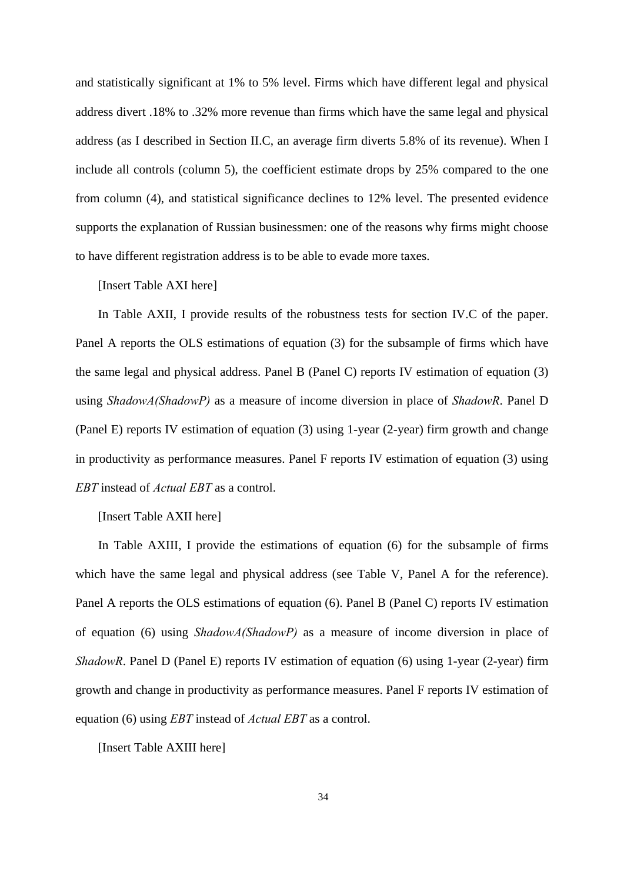and statistically significant at 1% to 5% level. Firms which have different legal and physical address divert .18% to .32% more revenue than firms which have the same legal and physical address (as I described in Section II.C, an average firm diverts 5.8% of its revenue). When I include all controls (column 5), the coefficient estimate drops by 25% compared to the one from column (4), and statistical significance declines to 12% level. The presented evidence supports the explanation of Russian businessmen: one of the reasons why firms might choose to have different registration address is to be able to evade more taxes.

[Insert Table AXI here]

In Table AXII, I provide results of the robustness tests for section IV.C of the paper. Panel A reports the OLS estimations of equation (3) for the subsample of firms which have the same legal and physical address. Panel B (Panel C) reports IV estimation of equation (3) using *ShadowA(ShadowP)* as a measure of income diversion in place of *ShadowR*. Panel D (Panel E) reports IV estimation of equation (3) using 1-year (2-year) firm growth and change in productivity as performance measures. Panel F reports IV estimation of equation (3) using *EBT* instead of *Actual EBT* as a control.

[Insert Table AXII here]

In Table AXIII, I provide the estimations of equation (6) for the subsample of firms which have the same legal and physical address (see Table V, Panel A for the reference). Panel A reports the OLS estimations of equation (6). Panel B (Panel C) reports IV estimation of equation (6) using *ShadowA(ShadowP)* as a measure of income diversion in place of *ShadowR*. Panel D (Panel E) reports IV estimation of equation (6) using 1-year (2-year) firm growth and change in productivity as performance measures. Panel F reports IV estimation of equation (6) using *EBT* instead of *Actual EBT* as a control.

[Insert Table AXIII here]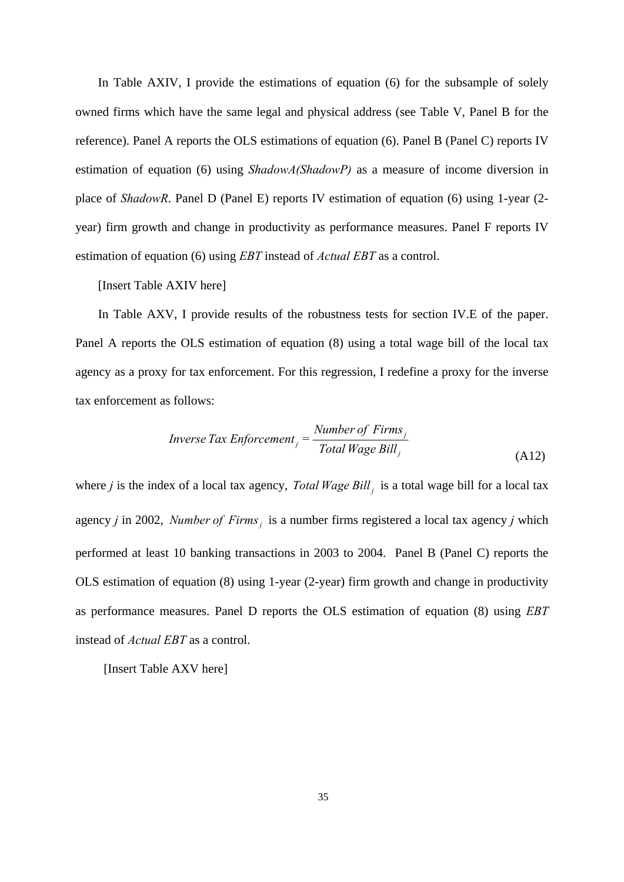In Table AXIV, I provide the estimations of equation (6) for the subsample of solely owned firms which have the same legal and physical address (see Table V, Panel B for the reference). Panel A reports the OLS estimations of equation (6). Panel B (Panel C) reports IV estimation of equation (6) using *ShadowA(ShadowP)* as a measure of income diversion in place of *ShadowR*. Panel D (Panel E) reports IV estimation of equation (6) using 1-year (2 year) firm growth and change in productivity as performance measures. Panel F reports IV estimation of equation (6) using *EBT* instead of *Actual EBT* as a control.

[Insert Table AXIV here]

In Table AXV, I provide results of the robustness tests for section IV.E of the paper. Panel A reports the OLS estimation of equation (8) using a total wage bill of the local tax agency as a proxy for tax enforcement. For this regression, I redefine a proxy for the inverse tax enforcement as follows:

$$
Inverse\ Tax\ Enforcement_j = \frac{Number\ of\ Firms_j}{Total\ Wage\ Bill_j}
$$
\n(A12)

where *j* is the index of a local tax agency, *Total Wage Bill<sub>i</sub>* is a total wage bill for a local tax agency *j* in 2002, *Number of Firms*, is a number firms registered a local tax agency *j* which performed at least 10 banking transactions in 2003 to 2004. Panel B (Panel C) reports the OLS estimation of equation (8) using 1-year (2-year) firm growth and change in productivity as performance measures. Panel D reports the OLS estimation of equation (8) using *EBT* instead of *Actual EBT* as a control.

[Insert Table AXV here]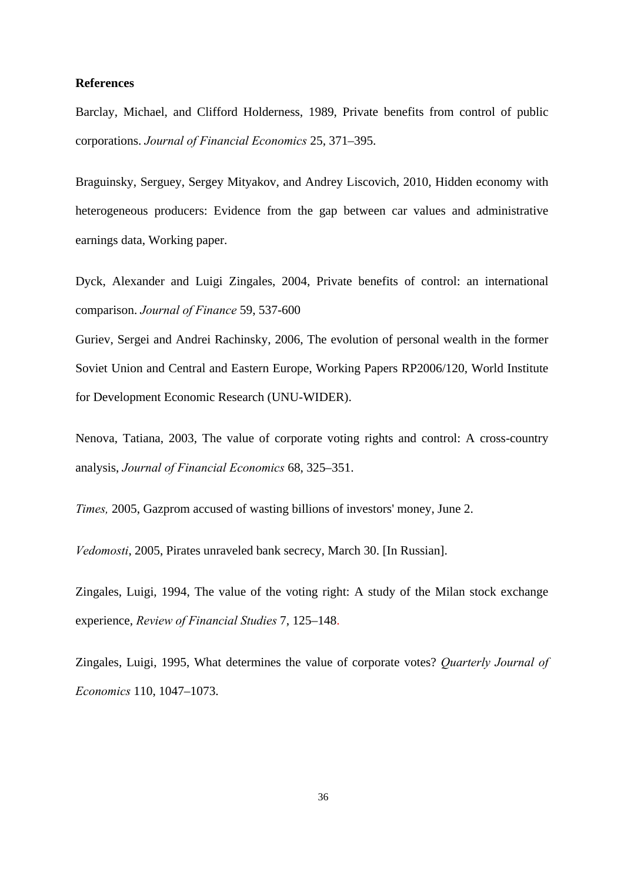## **References**

Barclay, Michael, and Clifford Holderness, 1989, Private benefits from control of public corporations. *Journal of Financial Economics* 25, 371–395.

Braguinsky, Serguey, Sergey Mityakov, and Andrey Liscovich, 2010, Hidden economy with heterogeneous producers: Evidence from the gap between car values and administrative earnings data, Working paper.

Dyck, Alexander and Luigi Zingales, 2004, Private benefits of control: an international comparison. *Journal of Finance* 59, 537-600

Guriev, Sergei and Andrei Rachinsky, 2006, The evolution of personal wealth in the former Soviet Union and Central and Eastern Europe, Working Papers RP2006/120, World Institute for Development Economic Research (UNU-WIDER).

Nenova, Tatiana, 2003, The value of corporate voting rights and control: A cross-country analysis, *Journal of Financial Economics* 68, 325–351.

*Times,* 2005, Gazprom accused of wasting billions of investors' money, June 2.

*Vedomosti*, 2005, Pirates unraveled bank secrecy, March 30. [In Russian].

Zingales, Luigi, 1994, The value of the voting right: A study of the Milan stock exchange experience, *Review of Financial Studies* 7, 125–148.

Zingales, Luigi, 1995, What determines the value of corporate votes? *Quarterly Journal of Economics* 110, 1047–1073.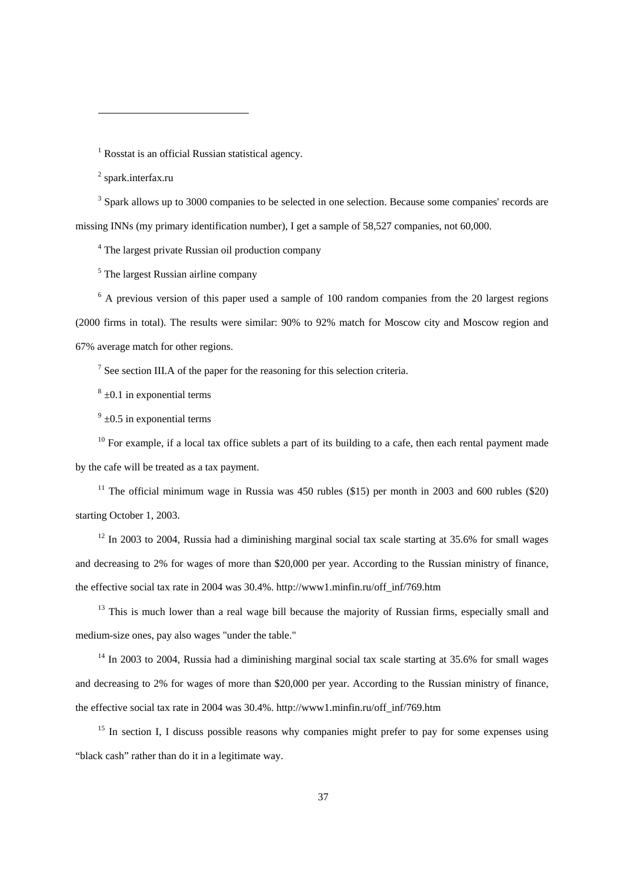<sup>1</sup> Rosstat is an official Russian statistical agency.

<sup>2</sup> spark.interfax.ru

 $\overline{a}$ 

<sup>3</sup> Spark allows up to 3000 companies to be selected in one selection. Because some companies' records are missing INNs (my primary identification number), I get a sample of 58,527 companies, not 60,000.

<sup>4</sup> The largest private Russian oil production company

<sup>5</sup> The largest Russian airline company

<sup>6</sup> A previous version of this paper used a sample of 100 random companies from the 20 largest regions (2000 firms in total). The results were similar: 90% to 92% match for Moscow city and Moscow region and 67% average match for other regions.

<sup>7</sup> See section III.A of the paper for the reasoning for this selection criteria.

 $8 \pm 0.1$  in exponential terms

 $9^9$   $\pm 0.5$  in exponential terms

 $10$  For example, if a local tax office sublets a part of its building to a cafe, then each rental payment made by the cafe will be treated as a tax payment.

<sup>11</sup> The official minimum wage in Russia was 450 rubles (\$15) per month in 2003 and 600 rubles (\$20) starting October 1, 2003.

 $12$  In 2003 to 2004, Russia had a diminishing marginal social tax scale starting at 35.6% for small wages and decreasing to 2% for wages of more than \$20,000 per year. According to the Russian ministry of finance, the effective social tax rate in 2004 was 30.4%. http://www1.minfin.ru/off\_inf/769.htm

 $13$  This is much lower than a real wage bill because the majority of Russian firms, especially small and medium-size ones, pay also wages "under the table."

 $14$  In 2003 to 2004, Russia had a diminishing marginal social tax scale starting at 35.6% for small wages and decreasing to 2% for wages of more than \$20,000 per year. According to the Russian ministry of finance, the effective social tax rate in 2004 was 30.4%. http://www1.minfin.ru/off\_inf/769.htm

<sup>15</sup> In section I, I discuss possible reasons why companies might prefer to pay for some expenses using "black cash" rather than do it in a legitimate way.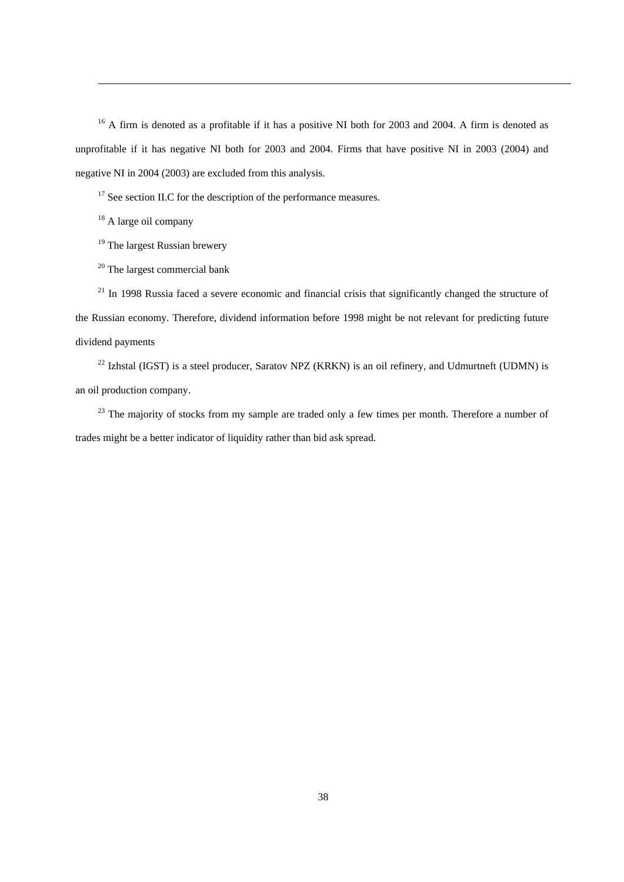<sup>16</sup> A firm is denoted as a profitable if it has a positive NI both for 2003 and 2004. A firm is denoted as unprofitable if it has negative NI both for 2003 and 2004. Firms that have positive NI in 2003 (2004) and negative NI in 2004 (2003) are excluded from this analysis.

<sup>17</sup> See section II.C for the description of the performance measures.

<sup>18</sup> A large oil company

 $\overline{a}$ 

<sup>19</sup> The largest Russian brewery

<sup>20</sup> The largest commercial bank

 $21$  In 1998 Russia faced a severe economic and financial crisis that significantly changed the structure of the Russian economy. Therefore, dividend information before 1998 might be not relevant for predicting future dividend payments

 $^{22}$  Izhstal (IGST) is a steel producer, Saratov NPZ (KRKN) is an oil refinery, and Udmurtneft (UDMN) is an oil production company.

<sup>23</sup> The majority of stocks from my sample are traded only a few times per month. Therefore a number of trades might be a better indicator of liquidity rather than bid ask spread.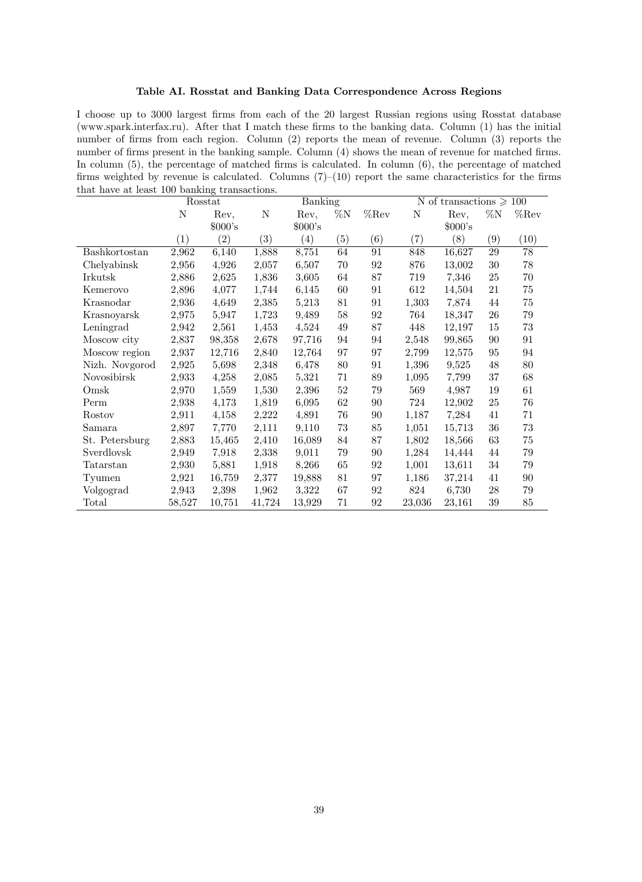### Table AI. Rosstat and Banking Data Correspondence Across Regions

I choose up to 3000 largest Örms from each of the 20 largest Russian regions using Rosstat database (www.spark.interfax.ru). After that I match these Örms to the banking data. Column (1) has the initial number of firms from each region. Column (2) reports the mean of revenue. Column (3) reports the number of firms present in the banking sample. Column (4) shows the mean of revenue for matched firms. In column  $(5)$ , the percentage of matched firms is calculated. In column  $(6)$ , the percentage of matched firms weighted by revenue is calculated. Columns  $(7)-(10)$  report the same characteristics for the firms that have at least 100 banking transactions.

|                |        | Rosstat           |                   | Banking  |                |         | N of transactions $\geq 100$ |          |        |         |
|----------------|--------|-------------------|-------------------|----------|----------------|---------|------------------------------|----------|--------|---------|
|                | N      | Rev,              | N                 | Rev,     | $\%\mathrm{N}$ | $%$ Rev | $\mathbf N$                  | Rev,     | $\%N$  | $%$ Rev |
|                |        | $000$ 's          |                   | $000$ 's |                |         |                              | $000$ 's |        |         |
|                | (1)    | $\left( 2\right)$ | $\left( 3\right)$ | (4)      | (5)            | (6)     | (7)                          | (8)      | (9)    | (10)    |
| Bashkortostan  | 2,962  | 6,140             | 1,888             | 8,751    | 64             | 91      | 848                          | 16,627   | 29     | 78      |
| Chelyabinsk    | 2,956  | 4,926             | 2,057             | 6,507    | 70             | 92      | 876                          | 13,002   | 30     | 78      |
| Irkutsk        | 2,886  | 2,625             | 1,836             | 3,605    | 64             | 87      | 719                          | 7,346    | 25     | 70      |
| Kemerovo       | 2,896  | 4,077             | 1,744             | 6,145    | 60             | 91      | 612                          | 14,504   | 21     | 75      |
| Krasnodar      | 2,936  | 4,649             | 2,385             | 5,213    | 81             | 91      | 1,303                        | 7,874    | 44     | 75      |
| Krasnoyarsk    | 2,975  | 5,947             | 1,723             | 9,489    | 58             | 92      | 764                          | 18,347   | 26     | 79      |
| Leningrad      | 2,942  | 2,561             | 1,453             | 4,524    | 49             | 87      | 448                          | 12,197   | 15     | 73      |
| Moscow city    | 2,837  | 98,358            | 2,678             | 97,716   | 94             | 94      | 2,548                        | 99,865   | 90     | 91      |
| Moscow region  | 2,937  | 12,716            | 2,840             | 12,764   | 97             | 97      | 2,799                        | 12,575   | 95     | 94      |
| Nizh. Novgorod | 2,925  | 5,698             | 2,348             | 6,478    | 80             | 91      | 1,396                        | 9,525    | 48     | 80      |
| Novosibirsk    | 2,933  | 4,258             | 2,085             | 5,321    | 71             | 89      | 1,095                        | 7,799    | $37\,$ | 68      |
| Omsk           | 2,970  | 1,559             | 1,530             | 2,396    | $52\,$         | 79      | 569                          | 4,987    | 19     | 61      |
| Perm           | 2,938  | 4,173             | 1,819             | 6,095    | 62             | 90      | 724                          | 12,902   | 25     | 76      |
| Rostov         | 2,911  | 4,158             | 2,222             | 4,891    | 76             | 90      | 1,187                        | 7,284    | 41     | 71      |
| Samara         | 2,897  | 7,770             | 2,111             | 9,110    | 73             | 85      | 1,051                        | 15,713   | 36     | 73      |
| St. Petersburg | 2,883  | 15,465            | 2,410             | 16,089   | 84             | 87      | 1,802                        | 18,566   | 63     | 75      |
| Sverdlovsk     | 2,949  | 7,918             | 2,338             | 9,011    | $79\,$         | 90      | 1,284                        | 14,444   | 44     | $79\,$  |
| Tatarstan      | 2,930  | 5,881             | 1,918             | 8,266    | 65             | 92      | 1,001                        | 13,611   | 34     | 79      |
| Tyumen         | 2,921  | 16,759            | 2,377             | 19,888   | 81             | 97      | 1,186                        | 37,214   | 41     | 90      |
| Volgograd      | 2,943  | 2,398             | 1,962             | 3,322    | 67             | 92      | 824                          | 6,730    | 28     | 79      |
| Total          | 58,527 | 10,751            | 41,724            | 13,929   | 71             | 92      | 23,036                       | 23,161   | 39     | 85      |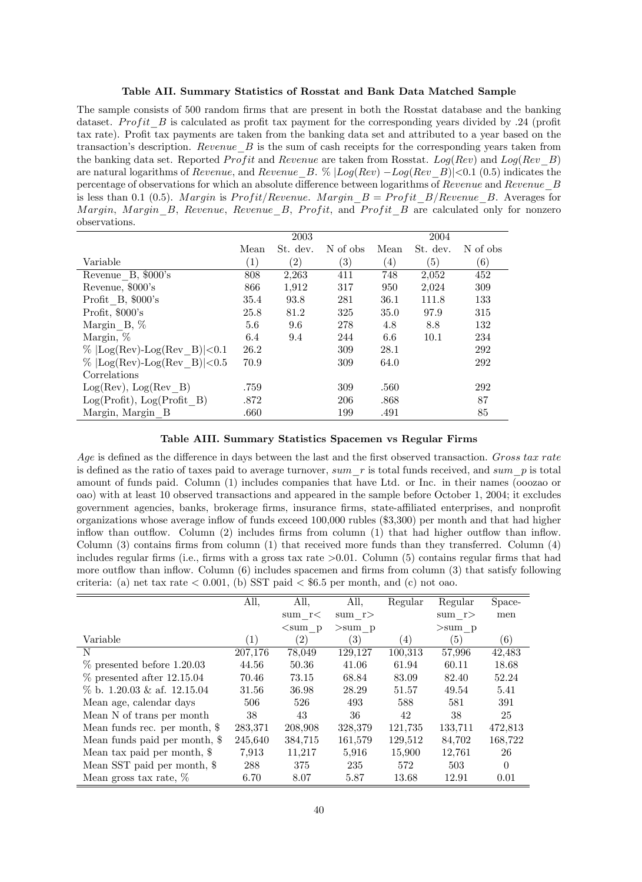Table AII. Summary Statistics of Rosstat and Bank Data Matched Sample

The sample consists of 500 random firms that are present in both the Rosstat database and the banking dataset. Profit B is calculated as profit tax payment for the corresponding years divided by .24 (profit tax rate). Profit tax payments are taken from the banking data set and attributed to a year based on the transaction's description. Revenue  $B$  is the sum of cash receipts for the corresponding years taken from the banking data set. Reported *Profit* and *Revenue* are taken from Rosstat. Log(Rev) and Log(Rev-B) are natural logarithms of Revenue, and Revenue  $B. \%$   $\lfloor Log(Rev) - Log(Rev-B) \rfloor$  (0.5) indicates the percentage of observations for which an absolute difference between logarithms of Revenue and Revenue  $B$ is less than 0.1 (0.5). Margin is Profit/Revenue. Margin  $B = Profit\ B/ Revenue\ B$ . Averages for Margin, Margin, B, Revenue, Revenue, B, Profit, and Profit  $B$  are calculated only for nonzero observations.

|                                |                  | 2003              |                   |                  | 2004     |          |
|--------------------------------|------------------|-------------------|-------------------|------------------|----------|----------|
|                                | Mean             | St. dev.          | N of obs          | Mean             | St. dev. | N of obs |
| Variable                       | $\left(1\right)$ | $\left( 2\right)$ | $\left( 3\right)$ | $\left(4\right)$ | (5)      | (6)      |
| Revenue B, \$000's             | 808              | 2,263             | 411               | 748              | 2,052    | 452      |
| Revenue, \$000's               | 866              | 1,912             | 317               | 950              | 2,024    | 309      |
| Profit B, \$000's              | 35.4             | 93.8              | 281               | 36.1             | 111.8    | 133      |
| Profit, $$000$ 's              | 25.8             | 81.2              | 325               | 35.0             | 97.9     | 315      |
| Margin $B, \%$                 | 5.6              | 9.6               | 278               | 4.8              | 8.8      | 132      |
| Margin, %                      | 6.4              | 9.4               | 244               | 6.6              | 10.1     | 234      |
| $\%$ [Log(Rev)-Log(Rev B) <0.1 | 26.2             |                   | 309               | 28.1             |          | 292      |
| $\%$ [Log(Rev)-Log(Rev B) <0.5 | 70.9             |                   | 309               | 64.0             |          | 292      |
| Correlations                   |                  |                   |                   |                  |          |          |
| $Log(Rev), Log(Rev \t B)$      | .759             |                   | 309               | .560             |          | 292      |
| Log(Profit), Log(Profit B)     | .872             |                   | 206               | .868             |          | 87       |
| Margin, Margin B               | .660             |                   | 199               | .491             |          | 85       |

Table AIII. Summary Statistics Spacemen vs Regular Firms

Age is defined as the difference in days between the last and the first observed transaction. Gross tax rate is defined as the ratio of taxes paid to average turnover, sum  $r$  is total funds received, and sum  $p$  is total amount of funds paid. Column (1) includes companies that have Ltd. or Inc. in their names (ooozao or oao) with at least 10 observed transactions and appeared in the sample before October 1, 2004; it excludes government agencies, banks, brokerage firms, insurance firms, state-affiliated enterprises, and nonprofit organizations whose average ináow of funds exceed 100,000 rubles (\$3,300) per month and that had higher inflow than outflow. Column  $(2)$  includes firms from column  $(1)$  that had higher outflow than inflow. Column  $(3)$  contains firms from column  $(1)$  that received more funds than they transferred. Column  $(4)$ includes regular firms (i.e., firms with a gross tax rate  $>0.01$ . Column (5) contains regular firms that had more outflow than inflow. Column (6) includes spacemen and firms from column (3) that satisfy following criteria: (a) net tax rate  $\lt$  0.001, (b) SST paid  $\lt$  \$6.5 per month, and (c) not oao.

|                                | All,    | All,         | All,     | Regular | Regular  | Space-   |
|--------------------------------|---------|--------------|----------|---------|----------|----------|
|                                |         | sum $r<$     | sum $r$  |         | sum $r$  | men      |
|                                |         | $\leq$ sum p | $>sum$ p |         | $>sum$ p |          |
| Variable                       | (1)     | (2)          | (3)      | (4)     | (5)      | (6)      |
| N                              | 207,176 | 78,049       | 129,127  | 100,313 | 57,996   | 42,483   |
| $\%$ presented before 1.20.03  | 44.56   | 50.36        | 41.06    | 61.94   | 60.11    | 18.68    |
| $\%$ presented after 12.15.04  | 70.46   | 73.15        | 68.84    | 83.09   | 82.40    | 52.24    |
| $\%$ b. 1.20.03 & af. 12.15.04 | 31.56   | 36.98        | 28.29    | 51.57   | 49.54    | 5.41     |
| Mean age, calendar days        | 506     | 526          | 493      | 588     | 581      | 391      |
| Mean N of trans per month      | 38      | 43           | 36       | 42      | 38       | 25       |
| Mean funds rec. per month, \$  | 283,371 | 208,908      | 328,379  | 121,735 | 133,711  | 472,813  |
| Mean funds paid per month, \$  | 245,640 | 384,715      | 161,579  | 129,512 | 84,702   | 168,722  |
| Mean tax paid per month, \$    | 7.913   | 11,217       | 5,916    | 15,900  | 12,761   | 26       |
| Mean SST paid per month, \$    | 288     | 375          | 235      | 572     | 503      | $\Omega$ |
| Mean gross tax rate, $\%$      | 6.70    | 8.07         | 5.87     | 13.68   | 12.91    | 0.01     |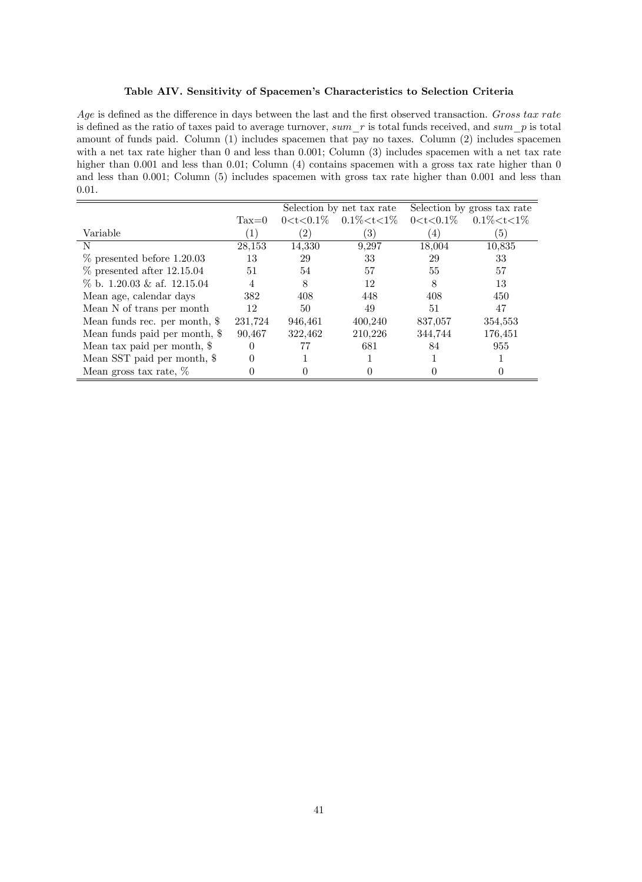### Table AIV. Sensitivity of Spacemen's Characteristics to Selection Criteria

Age is defined as the difference in days between the last and the first observed transaction. Gross tax rate is defined as the ratio of taxes paid to average turnover,  $sum\_r$  is total funds received, and  $sum\_p$  is total amount of funds paid. Column (1) includes spacemen that pay no taxes. Column (2) includes spacemen with a net tax rate higher than 0 and less than 0.001; Column (3) includes spacemen with a net tax rate higher than 0.001 and less than 0.01; Column (4) contains spacemen with a gross tax rate higher than 0 and less than 0.001; Column (5) includes spacemen with gross tax rate higher than 0.001 and less than 0.01.

|                                |                  |                   | Selection by net tax rate         |                  | Selection by gross tax rate |
|--------------------------------|------------------|-------------------|-----------------------------------|------------------|-----------------------------|
|                                | $\text{Tax}=0$   |                   | $0 < t < 0.1\%$ $0.1\% < t < 1\%$ | $0 < t < 0.1\%$  | $0.1\% < t < 1\%$           |
| Variable                       | $\left(1\right)$ | $\left( 2\right)$ | 3)                                | $\left(4\right)$ | (5)                         |
| N                              | 28,153           | 14,330            | 9,297                             | 18,004           | 10,835                      |
| $\%$ presented before 1.20.03  | 13               | 29                | 33                                | 29               | 33                          |
| $\%$ presented after 12.15.04  | 51               | 54                | 57                                | 55               | 57                          |
| $\%$ b. 1.20.03 & af. 12.15.04 | $\overline{4}$   | 8                 | 12                                | 8                | 13                          |
| Mean age, calendar days        | 382              | 408               | 448                               | 408              | 450                         |
| Mean N of trans per month      | 12               | 50                | 49                                | 51               | 47                          |
| Mean funds rec. per month, \$  | 231,724          | 946,461           | 400,240                           | 837,057          | 354,553                     |
| Mean funds paid per month, \$  | 90,467           | 322,462           | 210,226                           | 344,744          | 176,451                     |
| Mean tax paid per month, \$    | $\theta$         |                   | 681                               | 84               | 955                         |
| Mean SST paid per month, \$    |                  |                   |                                   |                  |                             |
| Mean gross tax rate, $\%$      |                  |                   |                                   |                  |                             |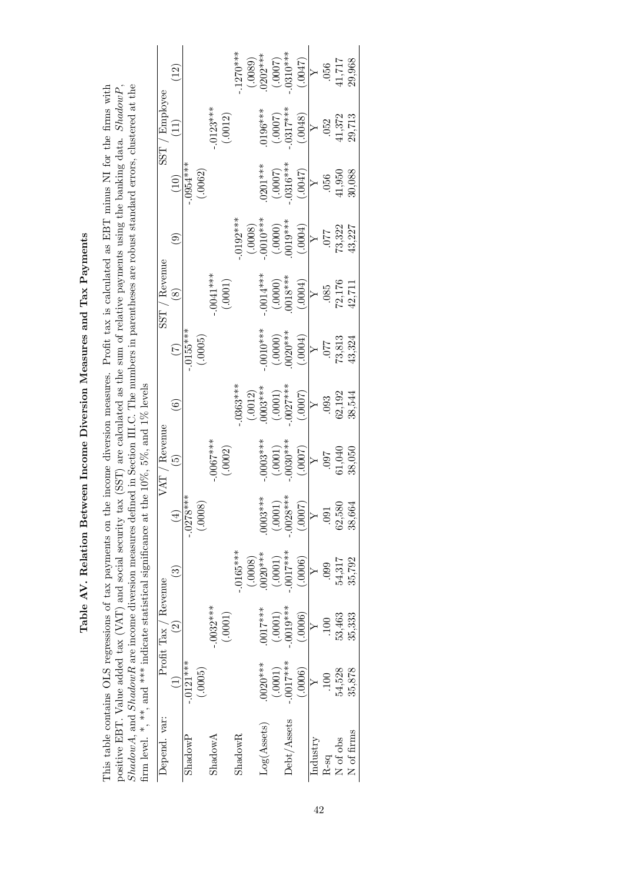Table AV. Relation Between Income Diversion Measures and Tax Payments Table AV. Relation Between Income Diversion Measures and Tax Payments

positive EBT. Value added tax (VAT) and social security tax (SST) are calculated as the sum of relative payments using the banking data. ShadowP, This table contains OLS regressions of tax payments on the income diversion measures. Profit tax is calculated as EBT minus NI for the firms with This table contains OLS regressions of tax payments on the income diversion measures. Profit tax is calculated as EBT minus NI for the firms with positive EBT. Value added tax (VAT) and social security tax (SST) are calculated as the sum of relative payments using the banking data. ShadowP, ShadowA, and ShadowR are income diversion measures defined in Section III.C. The numbers in parentheses are robust standard errors, clustered at the  $S$ firm level. \*, \*\*, and \*\*\* indicate statistical significance at the  $10\%$ ,  $5\%$ , and  $1\%$  levels

|                                                                   |                      | $\widetilde{\mathcal{L}}$ |                   |         |              |                         | $.1270***$     |         | $(0.0089)$<br>$(0.0007)$<br>$(0.0007)$<br>$(0.0007)$<br>$(0.0047)$                                                    |                                                         |             |                                                          |          |                                                         | $\begin{array}{c} .056 \\ 41,717 \\ 29,968 \end{array}$ |                                                         |
|-------------------------------------------------------------------|----------------------|---------------------------|-------------------|---------|--------------|-------------------------|----------------|---------|-----------------------------------------------------------------------------------------------------------------------|---------------------------------------------------------|-------------|----------------------------------------------------------|----------|---------------------------------------------------------|---------------------------------------------------------|---------------------------------------------------------|
|                                                                   | SST / Employee       | $\Xi$                     |                   |         |              | $-0.0123***$<br>(.0012) |                |         |                                                                                                                       | $(0.196***\n(0.0007)\n0.317***\n(0.048)$                |             |                                                          |          |                                                         |                                                         | $\begin{array}{c} .052 \\ 41,372 \\ 29,713 \end{array}$ |
|                                                                   |                      |                           | $-0.0054***$      | (.0062) |              |                         |                |         |                                                                                                                       |                                                         |             | $(0.001^{***}$<br>$(0.0007)$<br>$(0.0007)$<br>$(0.0047)$ |          | .056                                                    | $41,950$                                                | 30,088                                                  |
|                                                                   |                      | $\widehat{\mathbf{e}}$    |                   |         |              |                         | $.0192***$     |         | $\begin{array}{c} (.0008) \\ (.0010^{***}) \\ (.0000) \\ (.0000) \\ (0.019^{***}) \\ (0.004) \\ \end{array}$          |                                                         |             |                                                          | $\geq$   | 120                                                     | 73,322<br>43,227                                        |                                                         |
|                                                                   | SST / Revenue        | $\circledast$             |                   |         |              | $-0.0041***$<br>(.0001) |                |         |                                                                                                                       | $-0014***$<br>(.0000)<br>(.0000)<br>0018***             |             |                                                          |          | $\begin{array}{c} .085 \\ 72,176 \\ 42,711 \end{array}$ |                                                         |                                                         |
|                                                                   |                      | E                         | $-0155***$        | (.0005) |              |                         |                |         |                                                                                                                       | $(0.0010***)$<br>$(0.0000)$<br>$(0.0000)$<br>$(0.0004)$ |             |                                                          |          | $\begin{array}{c} .077 \\ 73,813 \\ 43,324 \end{array}$ |                                                         |                                                         |
|                                                                   |                      | فَ                        |                   |         |              |                         | $.0363***$     |         | $\begin{array}{c} (0.012) \\ 0.003^{***} \\ (0.001) \\ (-0.001)^{*} \\ (0.007)^{*} \\ (0.007) \\ (0.007) \end{array}$ |                                                         |             |                                                          |          |                                                         | $.093$<br>$62,192$<br>$38,544$                          |                                                         |
| the $10\%$ , $5\%$ , and $1\%$ levels                             | $VAT /$ Revenue      | $\widetilde{5}$           |                   |         |              | $-0.0067***$            |                |         | $.0003***$                                                                                                            | $(1000)$<br>***8000.<br>(1000)                          |             |                                                          |          |                                                         | $\frac{097}{61,040}$                                    |                                                         |
|                                                                   |                      | $\widehat{\mathbb{E}}$    | ****<br>$-0.0278$ | (.0008) |              |                         |                |         | $0003***$                                                                                                             | (.0001)                                                 | $-.0028***$ | (7000.)                                                  |          | <b>D91</b>                                              | 62,580                                                  | 38,664                                                  |
|                                                                   |                      | စြ                        |                   |         |              |                         | $-.0165***$    | (.0008) | $0020***$                                                                                                             | (.0001)                                                 | $-0.017***$ | (.0006)                                                  |          | $099$ .                                                 | 54,317                                                  | 35,792                                                  |
|                                                                   | Profit Tax / Revenue | $\widehat{c}$             |                   |         | $-0.0032***$ | (.0001)                 |                |         | 0017***                                                                                                               | $(.0001)$                                               | $-.0019***$ | (.0006)                                                  |          |                                                         | 53,463                                                  | 35,333                                                  |
|                                                                   |                      |                           | $-.0121***$       | (.0005) |              |                         |                |         | $0020***$                                                                                                             | (.0001)                                                 | $-.0017***$ | (0006)                                                   |          |                                                         | 54,528                                                  | 35,878                                                  |
| hrm level. ", ", ", ", and ", and statistical signification is at | Depend. var:         |                           | ShadowP           |         | ShadowA      |                         | $\rm{ShadowR}$ |         | Log(Assets)                                                                                                           |                                                         | Debt/Assets |                                                          | Industry | R-sq                                                    | N of obs                                                | $\rm N$ of firms                                        |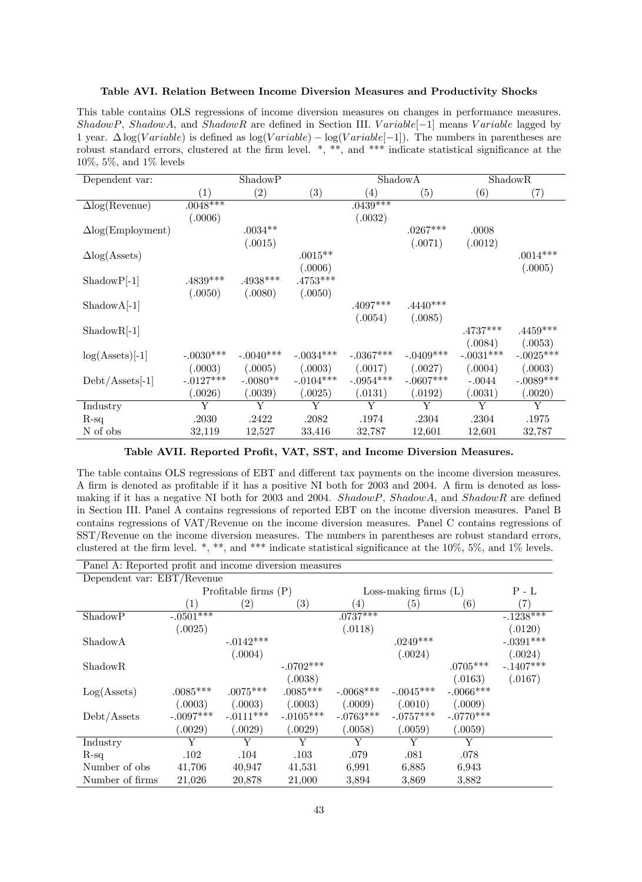#### Table AVI. Relation Between Income Diversion Measures and Productivity Shocks

This table contains OLS regressions of income diversion measures on changes in performance measures. ShadowP, ShadowA, and ShadowR are defined in Section III. Variable<sup>[-1]</sup> means Variable lagged by 1 year.  $\Delta \log(Variable)$  is defined as  $\log(Variable) - \log(Variable-1])$ . The numbers in parentheses are robust standard errors, clustered at the firm level.  $*,$  \*\*, and \*\*\* indicate statistical significance at the 10%, 5%, and 1% levels

| Dependent var:           |             | ShadowP         |             |             | ShadowA     |             | ShadowR     |
|--------------------------|-------------|-----------------|-------------|-------------|-------------|-------------|-------------|
|                          | (1)         | (2)             | (3)         | (4)         | (5)         | (6)         | (7)         |
| $\Delta$ log(Revenue)    | $.0048***$  |                 |             | $.0439***$  |             |             |             |
|                          | (.0006)     |                 |             | (.0032)     |             |             |             |
| $\Delta$ log(Employment) |             | $.0034**$       |             |             | $.0267***$  | .0008       |             |
|                          |             | (.0015)         |             |             | (.0071)     | (.0012)     |             |
| $\Delta$ log(Assets)     |             |                 | $.0015**$   |             |             |             | $.0014***$  |
|                          |             |                 | (.0006)     |             |             |             | (.0005)     |
| $ShadowP[-1]$            | $.4839***$  | $.4938^{***}\;$ | $.4753***$  |             |             |             |             |
|                          | (.0050)     | (.0080)         | (.0050)     |             |             |             |             |
| $ShadowA[-1]$            |             |                 |             | $.4097***$  | $.4440***$  |             |             |
|                          |             |                 |             | (.0054)     | (.0085)     |             |             |
| $ShadowR[-1]$            |             |                 |             |             |             | $.4737***$  | $.4459***$  |
|                          |             |                 |             |             |             | (.0084)     | (.0053)     |
| $log(Asets)[-1]$         | $-.0030***$ | $-.0040***$     | $-.0034***$ | $-.0367***$ | $-.0409***$ | $-.0031***$ | $-.0025***$ |
|                          | (.0003)     | (.0005)         | (.0003)     | (.0017)     | (.0027)     | (.0004)     | (.0003)     |
| $Debt/Assets[-1]$        | $-.0127***$ | $-.0080**$      | $-.0104***$ | $-.0954***$ | $-.0607***$ | $-.0044$    | $-.0089***$ |
|                          | .0026)      | (.0039)         | (.0025)     | (.0131)     | (.0192)     | (.0031)     | (.0020)     |
| Industry                 | Y           | Y               | Y           | Y           | Y           | Y           | Y           |
| $R-sq$                   | .2030       | .2422           | .2082       | .1974       | .2304       | .2304       | $.1975\,$   |
| N of obs                 | 32,119      | 12,527          | 33,416      | 32,787      | 12,601      | 12,601      | 32,787      |

Table AVII. Reported Profit, VAT, SST, and Income Diversion Measures.

The table contains OLS regressions of EBT and different tax payments on the income diversion measures. A firm is denoted as profitable if it has a positive NI both for 2003 and 2004. A firm is denoted as lossmaking if it has a negative NI both for 2003 and 2004. ShadowP, ShadowA, and ShadowR are defined in Section III. Panel A contains regressions of reported EBT on the income diversion measures. Panel B contains regressions of VAT/Revenue on the income diversion measures. Panel C contains regressions of SST/Revenue on the income diversion measures. The numbers in parentheses are robust standard errors, clustered at the firm level. \*, \*\*, and \*\*\* indicate statistical significance at the 10%, 5%, and 1% levels.

Panel A: Reported profit and income diversion measures

| Dependent var: EBT/Revenue |                  |                        |                   |                         |             |                   |             |
|----------------------------|------------------|------------------------|-------------------|-------------------------|-------------|-------------------|-------------|
|                            |                  | Profitable firms $(P)$ |                   | Loss-making firms $(L)$ |             | $P - L$           |             |
|                            | $\left(1\right)$ | $\left( 2\right)$      | $\left( 3\right)$ | $\left(4\right)$        | (5)         | $\left( 6\right)$ | (7)         |
| ShadowP                    | $-.0501***$      |                        |                   | $.0737***$              |             |                   | $-.1238***$ |
|                            | (.0025)          |                        |                   | (.0118)                 |             |                   | (.0120)     |
| ShadowA                    |                  | $-.0142***$            |                   |                         | $.0249***$  |                   | $-.0391***$ |
|                            |                  | (.0004)                |                   |                         | (.0024)     |                   | (.0024)     |
| <b>ShadowR</b>             |                  |                        | $-.0702***$       |                         |             | $.0705***$        | $-.1407***$ |
|                            |                  |                        | (.0038)           |                         |             | (.0163)           | (.0167)     |
| Log(A <sub>sets</sub> )    | $.0085***$       | $.0075***$             | $.0085***$        | $-.0068***$             | $-.0045***$ | $-.0066***$       |             |
|                            | (.0003)          | (.0003)                | (.0003)           | (.0009)                 | (.0010)     | (.0009)           |             |
| Debt/Assets                | $-.0097***$      | $-.0111***$            | $-.0105***$       | $-.0763***$             | $-.0757***$ | $-.0770***$       |             |
|                            | (.0029)          | (.0029)                | (.0029)           | (.0058)                 | (.0059)     | (.0059)           |             |
| Industry                   | Y                | Y                      | Y                 | Y                       | Y           | Y                 |             |
| $R$ -sq                    | .102             | .104                   | .103              | .079                    | .081        | .078              |             |
| Number of obs              | 41,706           | 40,947                 | 41,531            | 6,991                   | 6,885       | 6,943             |             |
| Number of firms            | 21,026           | 20,878                 | 21,000            | 3,894                   | 3,869       | 3,882             |             |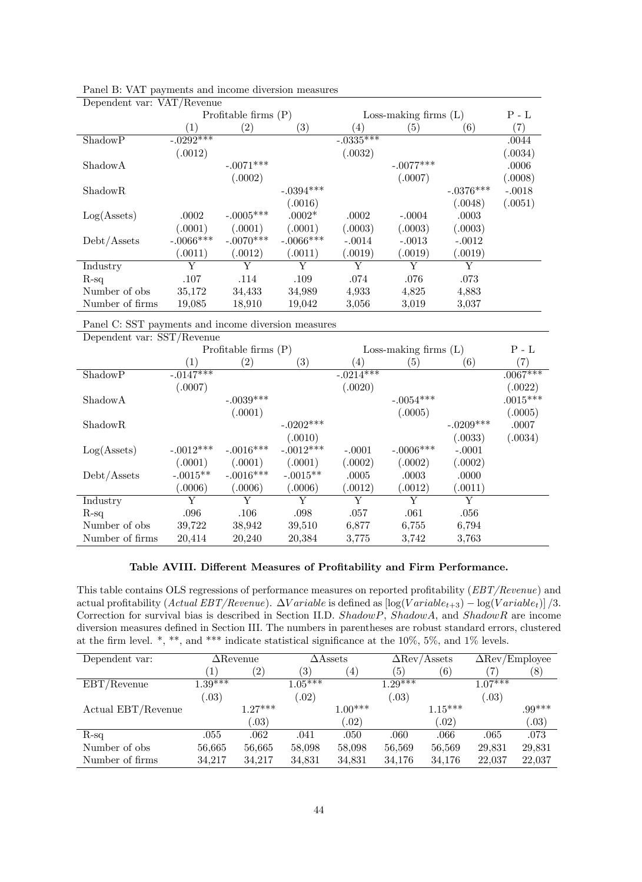| Dependent var. VAI/Itevende |                  |                        |                   |                        |                         |             |                   |
|-----------------------------|------------------|------------------------|-------------------|------------------------|-------------------------|-------------|-------------------|
|                             |                  | Profitable firms $(P)$ |                   |                        | Loss-making firms $(L)$ |             | $P - L$           |
|                             | $\left(1\right)$ | $\left( 2\right)$      | $\left( 3\right)$ | $\left(4\right)$       | $\left( 5\right)$       | (6)         | $\left( 7\right)$ |
| ShadowP                     | $-.0292***$      |                        |                   | $-.033\overline{5***}$ |                         |             | .0044             |
|                             | (.0012)          |                        |                   | (.0032)                |                         |             | (.0034)           |
| ShadowA                     |                  | $-.0071***$            |                   |                        | $-.0077***$             |             | .0006             |
|                             |                  | (.0002)                |                   |                        | (.0007)                 |             | (.0008)           |
| <b>ShadowR</b>              |                  |                        | $-.0394***$       |                        |                         | $-.0376***$ | $-.0018$          |
|                             |                  |                        | (.0016)           |                        |                         | (.0048)     | (.0051)           |
| Log(A <sub>sets</sub> )     | .0002            | $-.0005***$            | $.0002*$          | .0002                  | $-.0004$                | .0003       |                   |
|                             | (.0001)          | (.0001)                | (.0001)           | (.0003)                | (.0003)                 | (.0003)     |                   |
| Debt/Assets                 | $-.0066***$      | $-.0070$ ***           | $-.0066***$       | $-.0014$               | $-.0013$                | $-.0012$    |                   |
|                             | (.0011)          | (.0012)                | (.0011)           | (.0019)                | (.0019)                 | (.0019)     |                   |
| Industry                    | Y                | Y                      | Y                 | Y                      | Y                       | Y           |                   |
| $R$ -sq                     | .107             | .114                   | .109              | .074                   | .076                    | .073        |                   |
| Number of obs.              | 35,172           | 34,433                 | 34,989            | 4,933                  | 4,825                   | 4,883       |                   |
| Number of firms             | 19,085           | 18,910                 | 19,042            | 3.056                  | 3,019                   | 3,037       |                   |

Panel B: VAT payments and income diversion measures Dependent var: VAT/Revenue

Panel C: SST payments and income diversion measures

| Dependent var: SST/Revenue |             |                        |                   |             |                         |                   |            |
|----------------------------|-------------|------------------------|-------------------|-------------|-------------------------|-------------------|------------|
|                            |             | Profitable firms $(P)$ |                   |             | Loss-making firms $(L)$ |                   | $P - L$    |
|                            | (1)         | $\left( 2\right)$      | $\left( 3\right)$ | (4)         | (5)                     | $\left( 6\right)$ | (7)        |
| ShadowP                    | $-.0147***$ |                        |                   | $-.0214***$ |                         |                   | $.0067***$ |
|                            | (.0007)     |                        |                   | (.0020)     |                         |                   | (.0022)    |
| ShadowA                    |             | $-.0039***$            |                   |             | $-.0054***$             |                   | $.0015***$ |
|                            |             | (.0001)                |                   |             | (.0005)                 |                   | (.0005)    |
| ShadowR                    |             |                        | $-.0202***$       |             |                         | $-.0209***$       | .0007      |
|                            |             |                        | (.0010)           |             |                         | (.0033)           | (.0034)    |
| Log(A <sub>sets</sub> )    | $-.0012***$ | $-.0016***$            | $-.0012***$       | $-.0001$    | $-.0006***$             | $-.0001$          |            |
|                            | (.0001)     | (.0001)                | (.0001)           | (.0002)     | (.0002)                 | (.0002)           |            |
| Debt/Assets                | $-.0015**$  | $-.0016***$            | $-.0015**$        | .0005       | .0003                   | .0000             |            |
|                            | (.0006)     | (.0006)                | (.0006)           | (.0012)     | (.0012)                 | (.0011)           |            |
| Industry                   | Y           | Y                      | Y                 | Y           | Y                       | Y                 |            |
| $R$ -sq                    | .096        | .106                   | .098              | .057        | .061                    | .056              |            |
| Number of obs              | 39,722      | 38,942                 | 39,510            | 6,877       | 6,755                   | 6,794             |            |
| Number of firms            | 20,414      | 20,240                 | 20,384            | 3.775       | 3.742                   | 3.763             |            |

### Table AVIII. Different Measures of Profitability and Firm Performance.

This table contains OLS regressions of performance measures on reported profitability  $(EBT/Revenue)$  and actual profitability (Actual EBT/Revenue).  $\Delta Variable$  is defined as  $\log(Variable_{t+3}) - \log(Variable_t)] / 3$ . Correction for survival bias is described in Section II.D. ShadowP, ShadowA, and ShadowR are income diversion measures defined in Section III. The numbers in parentheses are robust standard errors, clustered at the firm level. \*, \*\*, and \*\*\* indicate statistical significance at the 10%, 5%, and 1% levels.

| Dependent var:     | $\Delta$ Revenue |                   |                   | $\Delta \text{Assets}$ |           | $\Delta$ Rev/Assets | $\Delta \text{Rev}/\text{Employee}$ |          |  |
|--------------------|------------------|-------------------|-------------------|------------------------|-----------|---------------------|-------------------------------------|----------|--|
|                    | 1                | $\left( 2\right)$ | $\left( 3\right)$ | $\left(4\right)$       | (5)       | (6)                 | 7                                   | (8)      |  |
| EBT/Revenue        | $1.39***$        |                   | $1.05***$         |                        | $1.29***$ |                     | $1.07***$                           |          |  |
|                    | (0.03)           |                   | .02)              |                        | (.03)     |                     | (0.3)                               |          |  |
| Actual EBT/Revenue |                  | $1.27***$         |                   | $1.00***$              |           | $1.15***$           |                                     | $.99***$ |  |
|                    |                  | (0.3)             |                   | (0.02)                 |           | (0.02)              |                                     | .03)     |  |
| $R-sq$             | .055             | .062              | .041              | .050                   | .060      | .066                | .065                                | .073     |  |
| Number of obs.     | 56,665           | 56,665            | 58,098            | 58,098                 | 56,569    | 56,569              | 29,831                              | 29,831   |  |
| Number of firms    | 34,217           | 34,217            | 34,831            | 34,831                 | 34,176    | 34,176              | 22,037                              | 22,037   |  |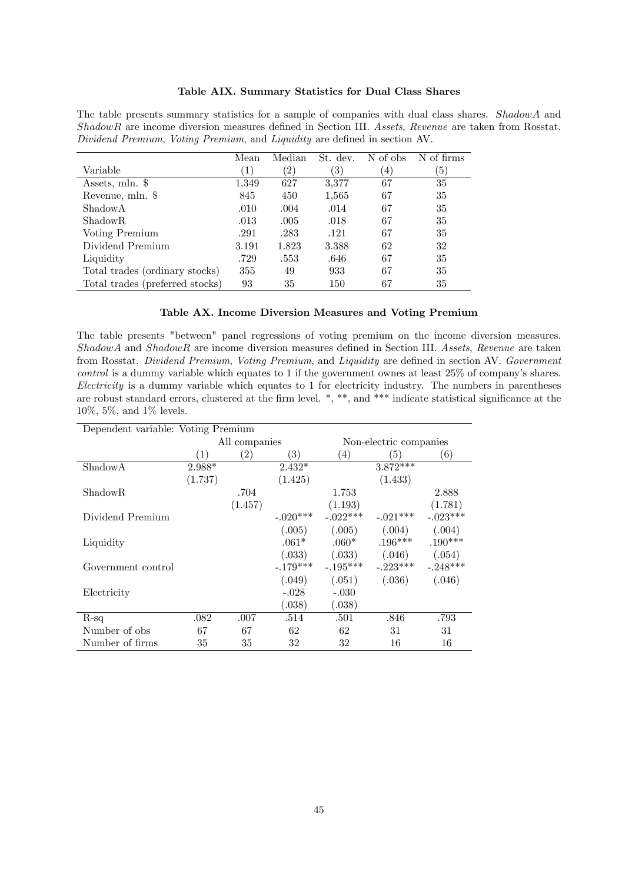### Table AIX. Summary Statistics for Dual Class Shares

The table presents summary statistics for a sample of companies with dual class shares. ShadowA and ShadowR are income diversion measures defined in Section III. Assets, Revenue are taken from Rosstat. Dividend Premium, Voting Premium, and Liquidity are defined in section AV.

|                                 | Mean         | Median        | St. dev. | N of obs       | N of firms        |
|---------------------------------|--------------|---------------|----------|----------------|-------------------|
| Variable                        | $\mathbf{1}$ | $^{\prime}2)$ | 3)       | $\overline{4}$ | $\vert 5 \rangle$ |
| Assets, mln. \$                 | 1,349        | 627           | 3,377    | 67             | 35                |
| Revenue, mln. \$                | 845          | 450           | 1,565    | 67             | 35                |
| ShadowA                         | .010         | .004          | .014     | 67             | 35                |
| ShadowR.                        | .013         | .005          | .018     | 67             | 35                |
| Voting Premium                  | .291         | .283          | .121     | 67             | 35                |
| Dividend Premium                | 3.191        | 1.823         | 3.388    | 62             | 32                |
| Liquidity                       | .729         | .553          | .646     | 67             | 35                |
| Total trades (ordinary stocks)  | 355          | 49            | 933      | 67             | 35                |
| Total trades (preferred stocks) | 93           | 35            | 150      | 67             | 35                |

#### Table AX. Income Diversion Measures and Voting Premium

The table presents "between" panel regressions of voting premium on the income diversion measures.  $ShadowA$  and  $ShadowR$  are income diversion measures defined in Section III. Assets, Revenue are taken from Rosstat. Dividend Premium, Voting Premium, and Liquidity are defined in section AV. Government  $control$  is a dummy variable which equates to 1 if the government ownes at least  $25\%$  of company's shares. Electricity is a dummy variable which equates to 1 for electricity industry. The numbers in parentheses are robust standard errors, clustered at the firm level.  $*, **$ , and  $***$  indicate statistical significance at the 10%, 5%, and 1% levels.

| Dependent variable: Voting Premium |          |               |            |            |                        |            |  |  |  |
|------------------------------------|----------|---------------|------------|------------|------------------------|------------|--|--|--|
|                                    |          | All companies |            |            | Non-electric companies |            |  |  |  |
|                                    | (1)      | (2)           | (3)        | (4)        | (5)                    | (6)        |  |  |  |
| ShadowA                            | $2.988*$ |               | $2.432*$   |            | $3.872***$             |            |  |  |  |
|                                    | (1.737)  |               | (1.425)    |            | (1.433)                |            |  |  |  |
| ShadowR                            |          | .704          |            | 1.753      |                        | 2.888      |  |  |  |
|                                    |          | (1.457)       |            | (1.193)    |                        | (1.781)    |  |  |  |
| Dividend Premium                   |          |               | $-.020***$ | $-.022***$ | $-.021***$             | $-.023***$ |  |  |  |
|                                    |          |               | (.005)     | (.005)     | (.004)                 | (.004)     |  |  |  |
| Liquidity                          |          |               | $.061*$    | $.060*$    | $.196***$              | $.190***$  |  |  |  |
|                                    |          |               | (.033)     | (.033)     | (.046)                 | (.054)     |  |  |  |
| Government control                 |          |               | $-.179***$ | $-.195***$ | $-0.223***$            | $-.248***$ |  |  |  |
|                                    |          |               | (.049)     | (.051)     | (.036)                 | (.046)     |  |  |  |
| Electricity                        |          |               | $-.028$    | $-.030$    |                        |            |  |  |  |
|                                    |          |               | (.038)     | (.038)     |                        |            |  |  |  |
| $R$ -sq                            | .082     | .007          | .514       | .501       | .846                   | .793       |  |  |  |
| Number of obs.                     | 67       | 67            | 62         | 62         | 31                     | 31         |  |  |  |
| Number of firms                    | 35       | 35            | 32         | 32         | 16                     | 16         |  |  |  |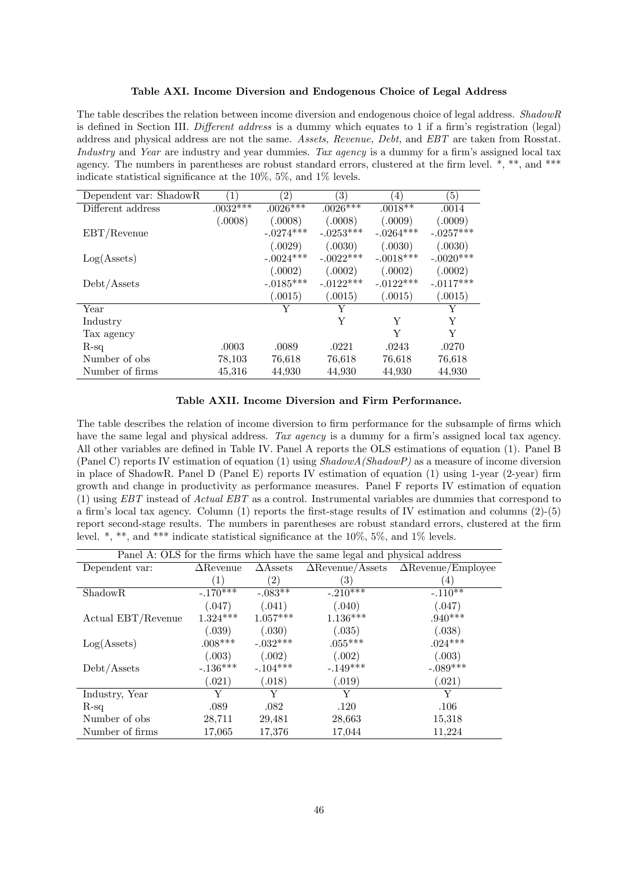#### Table AXI. Income Diversion and Endogenous Choice of Legal Address

The table describes the relation between income diversion and endogenous choice of legal address. ShadowR is defined in Section III. Different address is a dummy which equates to 1 if a firm's registration (legal) address and physical address are not the same. Assets, Revenue, Debt, and EBT are taken from Rosstat. Industry and Year are industry and year dummies. Tax agency is a dummy for a firm's assigned local tax agency. The numbers in parentheses are robust standard errors, clustered at the firm level.  $*,$  \*\*, and \*\*\* indicate statistical significance at the  $10\%, 5\%,$  and  $1\%$  levels.

| Dependent var: ShadowR  | (1)        | $\left( 2\right)$ | 3)          | $\left(4\right)$ | $\left(5\right)$ |
|-------------------------|------------|-------------------|-------------|------------------|------------------|
| Different address       | $.0032***$ | $.0026***$        | $.0026***$  | $.0018**$        | .0014            |
|                         | (.0008)    | (.0008)           | (.0008)     | (.0009)          | (.0009)          |
| EBT/Revenue             |            | $-.0274***$       | $-.0253***$ | $-.0264***$      | $-.0257***$      |
|                         |            | (.0029)           | (.0030)     | (.0030)          | (.0030)          |
| Log(A <sub>sets</sub> ) |            | $-.0024***$       | $-.0022***$ | $-.0018***$      | $-.0020***$      |
|                         |            | (.0002)           | (.0002)     | (.0002)          | (.0002)          |
| Debt/Assets             |            | $-.0185***$       | $-.0122***$ | $-.0122***$      | $-.0117***$      |
|                         |            | (.0015)           | (.0015)     | (.0015)          | (.0015)          |
| Year                    |            | Y                 | Y           |                  | Y                |
| Industry                |            |                   | Y           | Y                | Y                |
| Tax agency              |            |                   |             | Y                | Y                |
| $R$ -sq                 | .0003      | .0089             | .0221       | .0243            | .0270            |
| Number of obs.          | 78,103     | 76,618            | 76,618      | 76,618           | 76,618           |
| Number of firms         | 45,316     | 44,930            | 44,930      | 44,930           | 44,930           |

#### Table AXII. Income Diversion and Firm Performance.

The table describes the relation of income diversion to firm performance for the subsample of firms which have the same legal and physical address. Tax agency is a dummy for a firm's assigned local tax agency. All other variables are defined in Table IV. Panel A reports the OLS estimations of equation (1). Panel B (Panel C) reports IV estimation of equation (1) using  $ShadowA(ShadowP)$  as a measure of income diversion in place of ShadowR. Panel D (Panel E) reports IV estimation of equation (1) using 1-year (2-year) firm growth and change in productivity as performance measures. Panel F reports IV estimation of equation  $(1)$  using EBT instead of Actual EBT as a control. Instrumental variables are dummies that correspond to a firm's local tax agency. Column  $(1)$  reports the first-stage results of IV estimation and columns  $(2)-(5)$ report second-stage results. The numbers in parentheses are robust standard errors, clustered at the firm level. \*, \*\*, and \*\*\* indicate statistical significance at the  $10\%$ , 5%, and 1% levels.

| Panel A: OLS for the firms which have the same legal and physical address |                  |                   |                         |                           |  |  |  |  |
|---------------------------------------------------------------------------|------------------|-------------------|-------------------------|---------------------------|--|--|--|--|
| Dependent var:                                                            | $\Delta$ Revenue | $\Delta$ Assets   | $\Delta$ Revenue/Assets | $\Delta$ Revenue/Employee |  |  |  |  |
|                                                                           | (1)              | $\left( 2\right)$ | $\left( 3\right)$       | 4                         |  |  |  |  |
| <b>ShadowR</b>                                                            | $-.170***$       | $-.083**$         | $-.210***$              | $-.110**$                 |  |  |  |  |
|                                                                           | (.047)           | (.041)            | (.040)                  | (.047)                    |  |  |  |  |
| Actual EBT/Revenue                                                        | $1.324***$       | $1.057***$        | $1.136***$              | $.940***$                 |  |  |  |  |
|                                                                           | (.039)           | (.030)            | (.035)                  | (.038)                    |  |  |  |  |
| Log(A <sub>sets</sub> )                                                   | $.008***$        | $-.032***$        | $.055***$               | $.024***$                 |  |  |  |  |
|                                                                           | (.003)           | (.002)            | (.002)                  | (.003)                    |  |  |  |  |
| Debt/Assets                                                               | $-.136***$       | $-.104***$        | $-149***$               | $-.089***$                |  |  |  |  |
|                                                                           | (.021)           | (.018)            | (.019)                  | (.021)                    |  |  |  |  |
| Industry, Year                                                            | Y                | Y                 | Y                       | Y                         |  |  |  |  |
| $R$ -sq                                                                   | .089             | .082              | .120                    | .106                      |  |  |  |  |
| Number of obs.                                                            | 28,711           | 29,481            | 28,663                  | 15,318                    |  |  |  |  |
| Number of firms                                                           | 17,065           | 17,376            | 17,044                  | 11,224                    |  |  |  |  |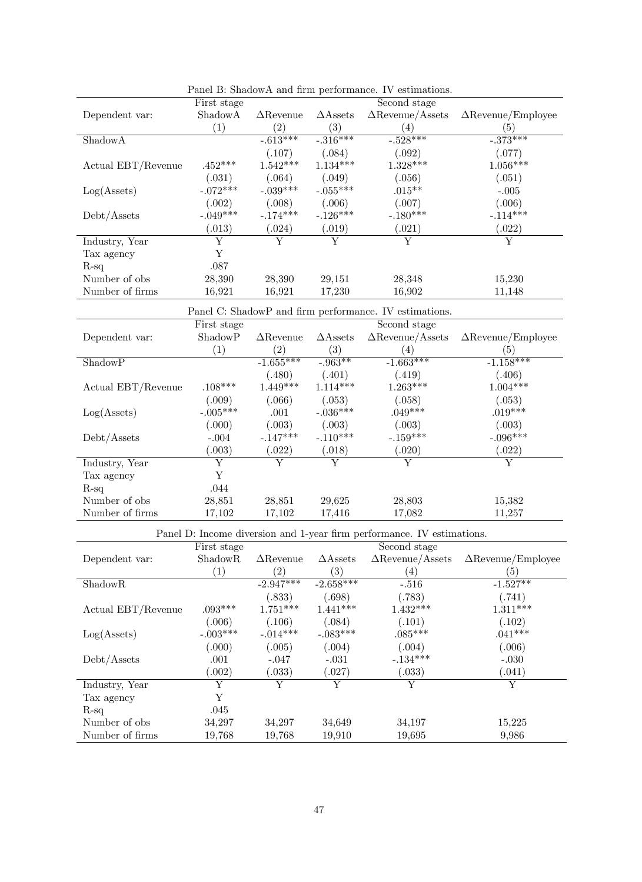|                                                    |                         |                         |                         | r aner D. Shadow A and firm performance. Tv estimations.               |                                                                                                        |
|----------------------------------------------------|-------------------------|-------------------------|-------------------------|------------------------------------------------------------------------|--------------------------------------------------------------------------------------------------------|
|                                                    | First stage             |                         |                         | Second stage                                                           |                                                                                                        |
| Dependent var:                                     | ShadowA                 | $\Delta$ Revenue        | $\triangle$ Assets      | $\Delta$ Revenue/Assets                                                | $\Delta$ Revenue/Employee                                                                              |
|                                                    | (1)                     | (2)                     | (3)                     | (4)                                                                    | (5)                                                                                                    |
| ShadowA                                            |                         | $-0.613***$             | $-316***$               | $-0.528***$                                                            | $-373***$                                                                                              |
|                                                    |                         | (.107)                  | (.084)                  | (.092)                                                                 | (.077)                                                                                                 |
| Actual $\operatorname{EBT}/\operatorname{Revenue}$ | $.452***$               | $1.542***$              | $1.134***$              | $1.328***$                                                             | $1.056***$                                                                                             |
|                                                    | (.031)                  | (.064)                  | (.049)                  | (.056)                                                                 | (.051)                                                                                                 |
|                                                    | $-.072***$              | $-.039***$              | $-.055***$              | $.015***$                                                              |                                                                                                        |
| Log(A <sub>sets</sub> )                            |                         |                         |                         |                                                                        | $-.005$                                                                                                |
|                                                    | (.002)                  | (.008)                  | (.006)                  | (.007)                                                                 | (.006)                                                                                                 |
| Debt/Assets                                        | $-.049***$              | $-.174***$              | $-.126***$              | $-.180***$                                                             | $-.114***$                                                                                             |
|                                                    | (.013)                  | (.024)                  | (.019)                  | (.021)                                                                 | (.022)                                                                                                 |
| Industry, Year                                     | $\overline{\mathrm{Y}}$ | Y                       | $\overline{\text{Y}}$   | $\overline{\mathrm{Y}}$                                                | $\overline{\mathrm{Y}}$                                                                                |
| Tax agency                                         | $\mathbf Y$             |                         |                         |                                                                        |                                                                                                        |
| $R-sq$                                             | $.087\,$                |                         |                         |                                                                        |                                                                                                        |
| Number of obs                                      | 28,390                  | 28,390                  | 29,151                  | 28,348                                                                 | 15,230                                                                                                 |
| Number of firms                                    | 16,921                  |                         | 17,230                  | 16,902                                                                 | 11,148                                                                                                 |
|                                                    |                         | 16,921                  |                         |                                                                        |                                                                                                        |
|                                                    |                         |                         |                         | Panel C: ShadowP and firm performance. IV estimations.                 |                                                                                                        |
|                                                    | First stage             |                         |                         | Second stage                                                           |                                                                                                        |
| Dependent var:                                     | ShadowP                 | $\Delta$ Revenue        | $\triangle$ Assets      | $\Delta$ Revenue/Assets                                                | $\Delta$ Revenue/Employee                                                                              |
|                                                    | (1)                     | (2)                     | (3)                     | (4)                                                                    | (5)                                                                                                    |
| ShadowP                                            |                         | $-1.655***$             | $-0.963**$              | $-1.663***$                                                            | $-1.158***$                                                                                            |
|                                                    |                         | (.480)                  | (.401)                  | (.419)                                                                 | (.406)                                                                                                 |
|                                                    |                         | $1.449***$              | $1.114***$              |                                                                        | $1.004***$                                                                                             |
| Actual EBT/Revenue                                 | $.108***$               |                         |                         | $1.263***$                                                             |                                                                                                        |
|                                                    | (.009)                  | (.066)                  | (.053)                  | (.058)                                                                 | (.053)                                                                                                 |
| Log(A <sub>sets</sub> )                            | $-.005***$              | .001                    | $-.036***$              | $.049***$                                                              | $.019***$                                                                                              |
|                                                    | (.000)                  | (.003)                  | (.003)                  | (.003)                                                                 | (.003)                                                                                                 |
| Debt/Assets                                        | $-.004$                 | $-.147***$              | $-.110***$              | $-.159***$                                                             | $-.096***$                                                                                             |
|                                                    | (.003)                  | (.022)                  | (.018)                  | (.020)                                                                 | (.022)                                                                                                 |
| Industry, Year                                     | $\overline{\mathrm{Y}}$ | $\overline{\text{Y}}$   | Y                       | Υ                                                                      | $\overline{\mathrm{Y}}$                                                                                |
| Tax agency                                         | Y                       |                         |                         |                                                                        |                                                                                                        |
| $R-sq$                                             | .044                    |                         |                         |                                                                        |                                                                                                        |
| Number of obs                                      |                         |                         |                         |                                                                        |                                                                                                        |
|                                                    | 28,851                  | 28,851                  | 29,625                  | 28,803                                                                 | 15,382                                                                                                 |
| Number of firms                                    | 17,102                  | 17,102                  | 17,416                  | 17,082                                                                 | 11,257                                                                                                 |
|                                                    |                         |                         |                         | Panel D: Income diversion and 1-year firm performance. IV estimations. |                                                                                                        |
|                                                    | First stage             |                         |                         | Second stage                                                           |                                                                                                        |
| Dependent var:                                     |                         |                         |                         |                                                                        | ShadowR $\triangle$ Revenue $\triangle$ Assets $\triangle$ Revenue/Assets $\triangle$ Revenue/Employee |
|                                                    | (1)                     | (2)                     | (3)                     | (4)                                                                    | (5)                                                                                                    |
| ShadowR                                            |                         | $-2.947***$             | $-2.658***$             | $-.516$                                                                | $-1.527**$                                                                                             |
|                                                    |                         |                         |                         |                                                                        |                                                                                                        |
|                                                    |                         | (.833)                  | (.698)                  | (.783)                                                                 | (.741)                                                                                                 |
| Actual EBT/Revenue                                 | $.093***$               | $1.751***$              | $1.441***$              | $1.432***$                                                             | $1.311***$                                                                                             |
|                                                    | (.006)                  | (.106)                  | (.084)                  | (.101)                                                                 | (.102)                                                                                                 |
| Log(A <sub>ssets</sub> )                           | $-.003***$              | $-.014***$              | $-.083***$              | $.085***$                                                              | $.041***$                                                                                              |
|                                                    | (.000)                  | (.005)                  | (.004)                  | (.004)                                                                 | (.006)                                                                                                 |
| Debt/Assets                                        | .001                    | $-.047$                 | $-.031\,$               | $-.134***$                                                             | $-.030$                                                                                                |
|                                                    | (.002)                  | (.033)                  | (.027)                  | (.033)                                                                 | (.041)                                                                                                 |
| Industry, Year                                     | $\overline{\mathrm{Y}}$ | $\overline{\mathrm{Y}}$ | $\overline{\mathrm{Y}}$ | Y                                                                      | $\overline{\mathrm{Y}}$                                                                                |
|                                                    | Y                       |                         |                         |                                                                        |                                                                                                        |
| Tax agency                                         |                         |                         |                         |                                                                        |                                                                                                        |
| $R-sq$                                             | .045                    |                         |                         |                                                                        |                                                                                                        |

Panel B: ShadowA and firm performance. IV estimations.

Number of obs 34,297 34,297 34,649 34,197 15,225 Number of firms 19,768 19,768 19,910 19,695 9,986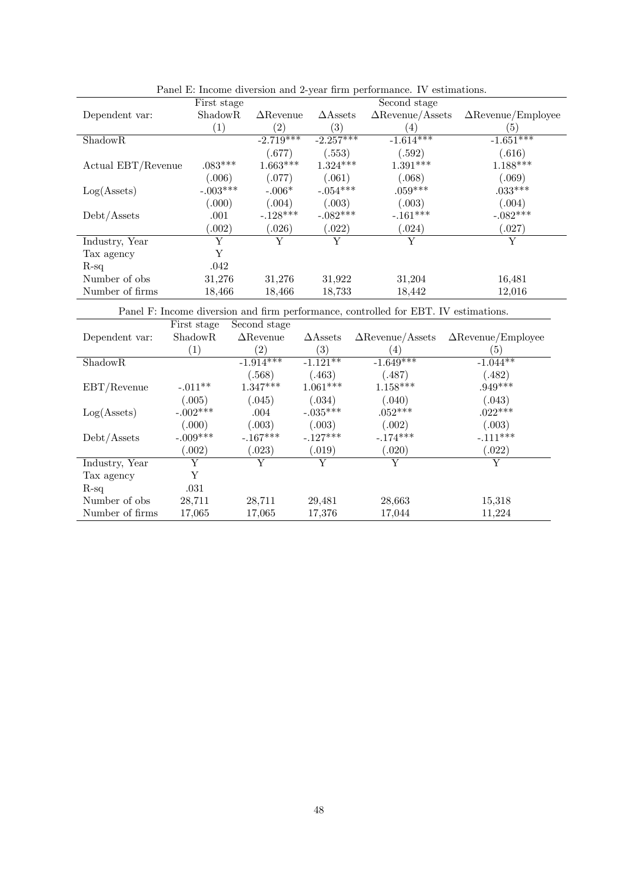|                         | First stage         |                  |                    | Second stage            |                           |
|-------------------------|---------------------|------------------|--------------------|-------------------------|---------------------------|
| Dependent var:          | Shadow <sub>R</sub> | $\Delta$ Revenue | $\triangle$ Assets | $\Delta$ Revenue/Assets | $\Delta$ Revenue/Employee |
|                         | $\left( 1\right)$   | (2)              | $\left( 3\right)$  | (4)                     | (5)                       |
| ShadowR                 |                     | $-2.719***$      | $-2.257***$        | $-1.614***$             | $-1.651***$               |
|                         |                     | (.677)           | (.553)             | (.592)                  | (.616)                    |
| Actual EBT/Revenue      | $.083***$           | $1.663***$       | $1.324***$         | $1.391***$              | $1.188***$                |
|                         | (.006)              | (.077)           | (.061)             | (.068)                  | (.069)                    |
| Log(A <sub>sets</sub> ) | $-.003***$          | $-.006*$         | $-.054***$         | $.059***$               | $.033***$                 |
|                         | (.000)              | (.004)           | (.003)             | (.003)                  | (.004)                    |
| Debt/Assets             | .001                | $-.128***$       | $-.082***$         | $-.161***$              | $-.082***$                |
|                         | (.002)              | (.026)           | (.022)             | (.024)                  | (.027)                    |
| Industry, Year          | Y                   | Y                | Y                  |                         | Y                         |
| Tax agency              | Y                   |                  |                    |                         |                           |
| $R-sq$                  | .042                |                  |                    |                         |                           |
| Number of obs.          | 31,276              | 31,276           | 31,922             | 31,204                  | 16,481                    |
| Number of firms         | 18,466              | 18,466           | 18,733             | 18,442                  | 12,016                    |

Panel E: Income diversion and 2-year firm performance. IV estimations.

Panel F: Income diversion and firm performance, controlled for EBT. IV estimations.

|                         | First stage       | Second stage      |                          |                         |                           |
|-------------------------|-------------------|-------------------|--------------------------|-------------------------|---------------------------|
| Dependent var:          | ShadowR           | $\Delta$ Revenue  | $\triangle$ Assets       | $\Delta$ Revenue/Assets | $\Delta$ Revenue/Employee |
|                         | $\left( 1\right)$ | $\left( 2\right)$ | $\left( 3\right)$        | (4)                     | (5)                       |
| ShadowR                 |                   | $-1.914***$       | $-1.12\overline{1^{**}}$ | $-1.\overline{649***}$  | $-1.044**$                |
|                         |                   | (.568)            | (.463)                   | (0.487)                 | (.482)                    |
| EBT/Revenue             | $-.011**$         | $1.347***$        | $1.061***$               | $1.158***$              | $.949***$                 |
|                         | (.005)            | (.045)            | (.034)                   | (.040)                  | (.043)                    |
| Log(A <sub>sets</sub> ) | $-.002***$        | .004              | $-.035***$               | $.052***$               | $.022***$                 |
|                         | (.000)            | (.003)            | (.003)                   | (.002)                  | (.003)                    |
| Debt/Assets             | $-.009***$        | $-.167***$        | $-.127***$               | $-.174***$              | $-.111***$                |
|                         | (.002)            | (.023)            | (.019)                   | (.020)                  | (.022)                    |
| Industry, Year          | Y                 | Y                 | Y                        | Y                       | Y                         |
| Tax agency              | Y                 |                   |                          |                         |                           |
| $R$ -sq                 | .031              |                   |                          |                         |                           |
| Number of obs.          | 28,711            | 28,711            | 29,481                   | 28,663                  | 15,318                    |
| Number of firms         | 17,065            | 17,065            | 17,376                   | 17,044                  | 11,224                    |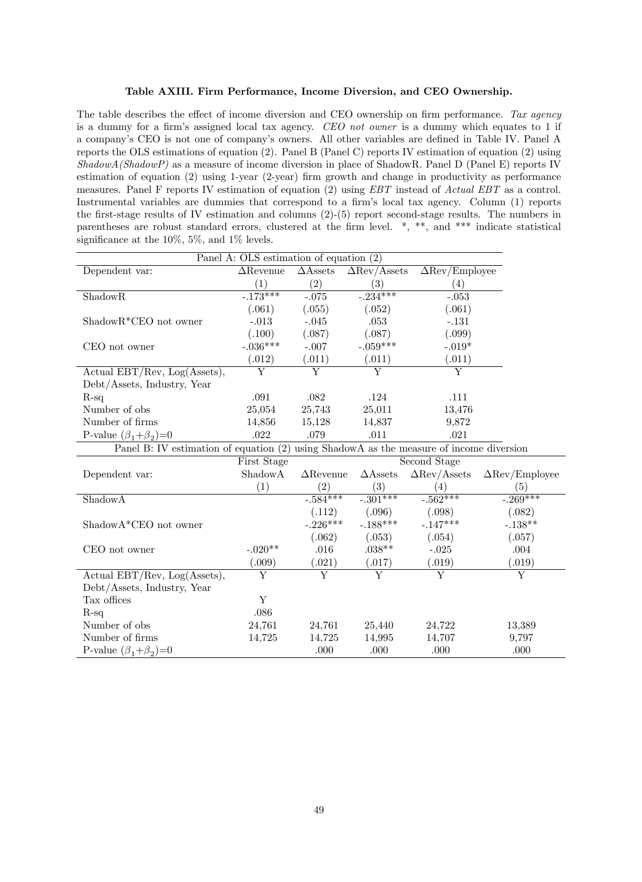#### Table AXIII. Firm Performance, Income Diversion, and CEO Ownership.

The table describes the effect of income diversion and CEO ownership on firm performance. Tax agency is a dummy for a firm's assigned local tax agency. CEO not owner is a dummy which equates to 1 if a company's CEO is not one of company's owners. All other variables are defined in Table IV. Panel A reports the OLS estimations of equation (2). Panel B (Panel C) reports IV estimation of equation (2) using ShadowA(ShadowP) as a measure of income diversion in place of ShadowR. Panel D (Panel E) reports IV estimation of equation (2) using 1-year (2-year) firm growth and change in productivity as performance measures. Panel F reports IV estimation of equation (2) using EBT instead of Actual EBT as a control. Instrumental variables are dummies that correspond to a firm's local tax agency. Column (1) reports the first-stage results of IV estimation and columns  $(2)-(5)$  report second-stage results. The numbers in parentheses are robust standard errors, clustered at the Örm level. \*, \*\*, and \*\*\* indicate statistical significance at the  $10\%, 5\%,$  and  $1\%$  levels.

|                                          | Panel A: OLS estimation of equation (2) |                           |                           |                                                    |                                     |  |  |  |  |
|------------------------------------------|-----------------------------------------|---------------------------|---------------------------|----------------------------------------------------|-------------------------------------|--|--|--|--|
| Dependent var:                           | $\Delta$ Revenue                        | $\triangle$ Assets        | $\Delta$ Rev/Assets       | $\overline{\Delta \mathrm{Rev}/\mathrm{Employee}}$ |                                     |  |  |  |  |
|                                          | (1)                                     | (2)                       | (3)                       | (4)                                                |                                     |  |  |  |  |
| ShadowR                                  | $-0.173***$                             | $-0.075$                  | $-0.234***$               | $-.053$                                            |                                     |  |  |  |  |
|                                          | (.061)                                  | (.055)                    | (.052)                    | (.061)                                             |                                     |  |  |  |  |
| ShadowR*CEO not owner                    | $-.013$                                 | $-.045$                   | .053                      | $-.131$                                            |                                     |  |  |  |  |
|                                          | (.100)                                  | (.087)                    | (.087)                    | (.099)                                             |                                     |  |  |  |  |
| CEO not owner                            | $-.036***$                              | $-.007$                   | $-.059***$                | $-.019*$                                           |                                     |  |  |  |  |
|                                          | (.012)                                  | (.011)                    | (.011)                    | (.011)                                             |                                     |  |  |  |  |
| Actual $EBT/Rev$ , $Log(Asets)$ ,        | $\overline{\mathrm{Y}}$                 | $\overline{\mathrm{Y}}$   | $\overline{\mathrm{Y}}$   | $\overline{\mathrm{Y}}$                            |                                     |  |  |  |  |
| Debt/Assets, Industry, Year              |                                         |                           |                           |                                                    |                                     |  |  |  |  |
| $R-sq$                                   | .091                                    | .082                      | .124                      | .111                                               |                                     |  |  |  |  |
| Number of obs                            | 25,054                                  | 25,743                    | 25,011                    | 13,476                                             |                                     |  |  |  |  |
| Number of firms                          | 14,856                                  | 15,128                    | 14,837                    | 9,872                                              |                                     |  |  |  |  |
| P-value $(\beta_1+\beta_2)=0$            | .022                                    | .079                      | .011                      | .021                                               |                                     |  |  |  |  |
| Panel B: IV estimation of equation $(2)$ |                                         |                           |                           | using ShadowA as the measure of income diversion   |                                     |  |  |  |  |
|                                          | First Stage                             |                           |                           | Second Stage                                       |                                     |  |  |  |  |
| Dependent var:                           | ShadowA                                 | $\Delta$ Revenue          | $\triangle$ Assets        | $\Delta \text{Rev}/\text{Assets}$                  | $\Delta \text{Rev}/\text{Employee}$ |  |  |  |  |
|                                          | (1)                                     | (2)                       | (3)                       | (4)                                                | (5)                                 |  |  |  |  |
| ShadowA                                  |                                         | $-0.584***$               | $-0.301***$               | $-0.562***$                                        | $-0.269***$                         |  |  |  |  |
|                                          |                                         | (.112)                    | (.096)                    | (.098)                                             | (.082)                              |  |  |  |  |
| ShadowA*CEO not owner                    |                                         | $-.226***$                | $-.188***$                | $-.147***$                                         | $-.138**$                           |  |  |  |  |
|                                          |                                         | (.062)                    | (.053)                    | (.054)                                             | (.057)                              |  |  |  |  |
| CEO not owner                            | $-.020**$                               | .016                      | $.038**$                  | $-.025$                                            | $.004$                              |  |  |  |  |
|                                          | (.009)                                  | (.021)                    | (.017)                    | (.019)                                             | (.019)                              |  |  |  |  |
| Actual EBT/Rev, $Log(Assets)$ ,          | $\overline{\rm Y}$                      | $\overline{\overline{Y}}$ | $\overline{\overline{Y}}$ | $\overline{\overline{Y}}$                          | $\overline{\mathrm{Y}}$             |  |  |  |  |
| Debt/Assets, Industry, Year              |                                         |                           |                           |                                                    |                                     |  |  |  |  |
| Tax offices                              | Y                                       |                           |                           |                                                    |                                     |  |  |  |  |
| $R$ -sq                                  | .086                                    |                           |                           |                                                    |                                     |  |  |  |  |
| Number of obs                            | 24,761                                  | 24,761                    | 25,440                    | 24,722                                             | 13,389                              |  |  |  |  |
| Number of firms                          | 14,725                                  | 14,725                    | 14,995                    | 14,707                                             | 9,797                               |  |  |  |  |
| P-value $(\beta_1+\beta_2)=0$            |                                         | .000                      | .000                      | .000                                               | .000                                |  |  |  |  |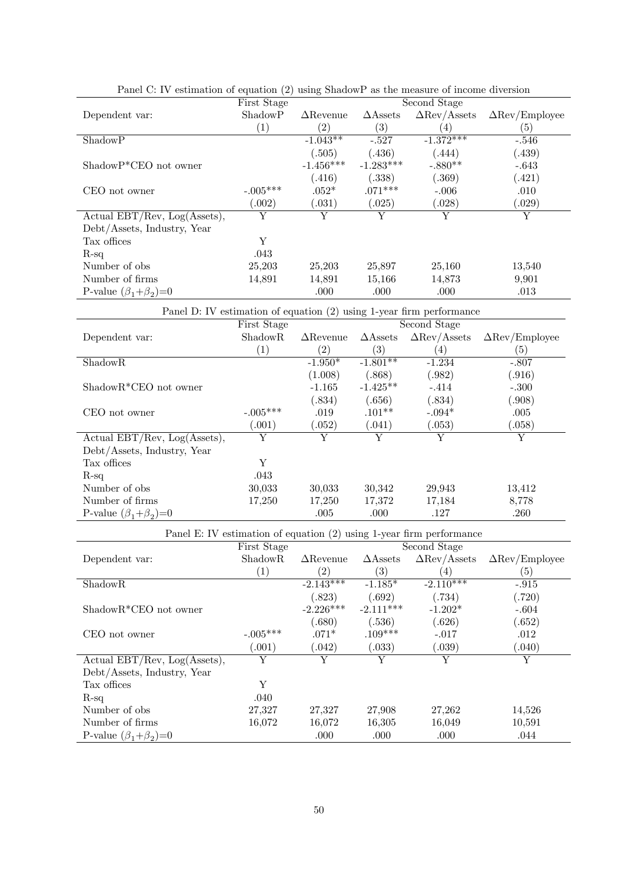|                                   | First Stage      |                  |                    | Second Stage        |                       |
|-----------------------------------|------------------|------------------|--------------------|---------------------|-----------------------|
| Dependent var:                    | ShadowP          | $\Delta$ Revenue | $\triangle$ Assets | $\Delta$ Rev/Assets | $\Delta$ Rev/Employee |
|                                   | $\left(1\right)$ | (2)              | $\left( 3\right)$  | 4                   | $\left( 5\right)$     |
| ShadowP                           |                  | $-1.043**$       | $-.527$            | $-1.372***$         | $-.546$               |
|                                   |                  | (.505)           | (.436)             | (.444)              | (.439)                |
| $ShadowP*CEO$ not owner           |                  | $-1.456***$      | $-1.283***$        | $-.880**$           | $-.643$               |
|                                   |                  | (.416)           | (.338)             | (.369)              | (.421)                |
| CEO not owner                     | $-.005***$       | $.052*$          | $.071***$          | $-.006$             | .010                  |
|                                   | (.002)           | (.031)           | (.025)             | (.028)              | (.029)                |
| Actual $EBT/Rev$ , $Log(Asets)$ , | Y                | Y                | Y                  | Y                   | Y                     |
| Debt/Assets, Industry, Year       |                  |                  |                    |                     |                       |
| Tax offices                       | Υ                |                  |                    |                     |                       |
| $R$ -sq                           | .043             |                  |                    |                     |                       |
| Number of obs.                    | 25,203           | 25,203           | 25,897             | 25,160              | 13,540                |
| Number of firms                   | 14,891           | 14,891           | 15,166             | 14,873              | 9,901                 |
| P-value $(\beta_1+\beta_2)=0$     |                  | .000             | .000               | .000                | .013                  |

| Panel C: IV estimation of equation (2) using ShadowP as the measure of income diversion |  |  |  |  |  |  |  |  |
|-----------------------------------------------------------------------------------------|--|--|--|--|--|--|--|--|
|-----------------------------------------------------------------------------------------|--|--|--|--|--|--|--|--|

| Panel D: IV estimation of equation (2) using 1-year firm performance |                   |                  |                    |                     |                                     |  |  |
|----------------------------------------------------------------------|-------------------|------------------|--------------------|---------------------|-------------------------------------|--|--|
|                                                                      | First Stage       |                  | Second Stage       |                     |                                     |  |  |
| Dependent var:                                                       | <b>ShadowR</b>    | $\Delta$ Revenue | $\triangle$ Assets | $\Delta$ Rev/Assets | $\Delta \text{Rev}/\text{Employee}$ |  |  |
|                                                                      | $\left( 1\right)$ | (2)              | (3)                | (4)                 | (5)                                 |  |  |
| ShadowR                                                              |                   | $-1.950*$        | $-1.801**$         | $-1.234$            | $-.807$                             |  |  |
|                                                                      |                   | (1.008)          | (.868)             | (.982)              | (.916)                              |  |  |
| $ShadowR*CEO$ not owner                                              |                   | $-1.165$         | $-1.425**$         | $-.414$             | $-.300$                             |  |  |
|                                                                      |                   | (.834)           | (.656)             | (.834)              | (.908)                              |  |  |
| CEO not owner                                                        | $-.005***$        | .019             | $.101**$           | $-.094*$            | .005                                |  |  |
|                                                                      | .001)             | (.052)           | (.041)             | (.053)              | (0.058)                             |  |  |
| Actual $EBT/Rev$ , $Log(Asets)$ ,                                    | Y                 | Y                | Y                  | Y                   | Y                                   |  |  |
| Debt/Assets, Industry, Year                                          |                   |                  |                    |                     |                                     |  |  |
| Tax offices                                                          | Y                 |                  |                    |                     |                                     |  |  |
| $R-sq$                                                               | .043              |                  |                    |                     |                                     |  |  |
| Number of obs.                                                       | 30,033            | 30,033           | 30,342             | 29,943              | 13,412                              |  |  |
| Number of firms                                                      | 17,250            | 17,250           | 17,372             | 17,184              | 8,778                               |  |  |
| P-value $(\beta_1+\beta_2)=0$                                        |                   | .005             | .000               | .127                | .260                                |  |  |

| Panel E: IV estimation of equation (2) using 1-year firm performance |                |                  |                    |                     |                                     |  |  |
|----------------------------------------------------------------------|----------------|------------------|--------------------|---------------------|-------------------------------------|--|--|
|                                                                      | First Stage    |                  |                    |                     |                                     |  |  |
| Dependent var:                                                       | <b>ShadowR</b> | $\Delta$ Revenue | $\triangle$ Assets | $\Delta$ Rev/Assets | $\Delta \text{Rev}/\text{Employee}$ |  |  |
|                                                                      | (1)            | (2)              | (3)                | (4)                 | $\left( 5\right)$                   |  |  |
| <b>ShadowR</b>                                                       |                | $-2.143***$      | $-1.185*$          | $-2.110***$         | $-.915$                             |  |  |
|                                                                      |                | (.823)           | (.692)             | (.734)              | (.720)                              |  |  |
| $ShadowR*CEO$ not owner                                              |                | $-2.226***$      | $-2.111***$        | $-1.202*$           | $-.604$                             |  |  |
|                                                                      |                | (.680)           | (.536)             | (.626)              | (.652)                              |  |  |
| CEO not owner                                                        | $-.005***$     | $.071*$          | $.109***$          | $-.017$             | .012                                |  |  |
|                                                                      | (.001)         | (.042)           | (.033)             | (.039)              | (.040)                              |  |  |
| Actual $EBT/Rev$ , $Log(Asets)$ ,                                    | Y              | Y                | Y                  | Y                   | Y                                   |  |  |
| Debt/Assets, Industry, Year                                          |                |                  |                    |                     |                                     |  |  |
| Tax offices                                                          | Y              |                  |                    |                     |                                     |  |  |
| $R$ -sq                                                              | .040           |                  |                    |                     |                                     |  |  |
| Number of obs                                                        | 27,327         | 27,327           | 27,908             | 27,262              | 14,526                              |  |  |
| Number of firms                                                      | 16,072         | 16,072           | 16,305             | 16,049              | 10,591                              |  |  |
| P-value $(\beta_1+\beta_2)=0$                                        |                | .000             | .000               | .000                | .044                                |  |  |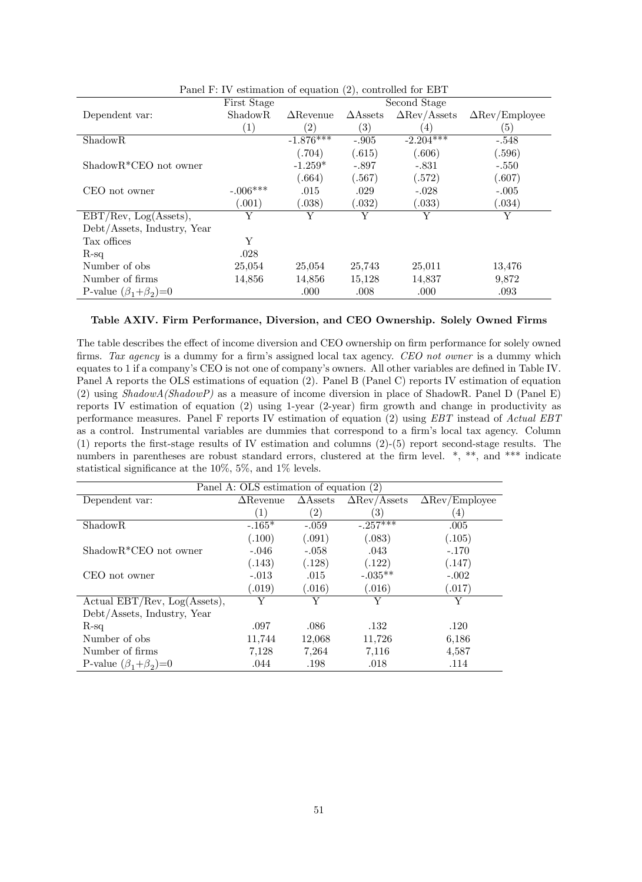|                               | First Stage<br>Second Stage |                   |                    |                     |                                     |
|-------------------------------|-----------------------------|-------------------|--------------------|---------------------|-------------------------------------|
| Dependent var:                | ShadowR                     | $\Delta$ Revenue  | $\triangle$ Assets | $\Delta$ Rev/Assets | $\Delta \text{Rev}/\text{Employee}$ |
|                               | (1)                         | $\left( 2\right)$ | $\left( 3\right)$  | (4)                 | (5)                                 |
| ShadowR                       |                             | $-1.876***$       | $-.905$            | $-2.204***$         | $-.548$                             |
|                               |                             | (.704)            | (.615)             | (.606)              | (.596)                              |
| $ShadowR*CEO$ not owner       |                             | $-1.259*$         | $-.897$            | $-.831$             | $-.550$                             |
|                               |                             | (.664)            | (.567)             | (.572)              | (.607)                              |
| CEO not owner                 | $-.006***$                  | .015              | .029               | $-.028$             | $-.005$                             |
|                               | (.001)                      | (.038)            | (.032)             | (.033)              | (.034)                              |
| EBT/Rev, Log(Asets),          | Y                           | Y                 | Y                  | Y                   | Y                                   |
| Debt/Assets, Industry, Year   |                             |                   |                    |                     |                                     |
| Tax offices                   | Υ                           |                   |                    |                     |                                     |
| $R$ -sq                       | .028                        |                   |                    |                     |                                     |
| Number of obs.                | 25,054                      | 25,054            | 25,743             | 25,011              | 13,476                              |
| Number of firms               | 14,856                      | 14,856            | 15,128             | 14,837              | 9,872                               |
| P-value $(\beta_1+\beta_2)=0$ |                             | .000              | .008               | .000                | .093                                |

Panel F: IV estimation of equation (2), controlled for EBT

#### Table AXIV. Firm Performance, Diversion, and CEO Ownership. Solely Owned Firms

The table describes the effect of income diversion and CEO ownership on firm performance for solely owned firms. Tax agency is a dummy for a firm's assigned local tax agency. CEO not owner is a dummy which equates to 1 if a company's CEO is not one of company's owners. All other variables are defined in Table IV. Panel A reports the OLS estimations of equation (2). Panel B (Panel C) reports IV estimation of equation (2) using ShadowA(ShadowP) as a measure of income diversion in place of ShadowR. Panel D (Panel E) reports IV estimation of equation (2) using 1-year (2-year) firm growth and change in productivity as performance measures. Panel F reports IV estimation of equation (2) using EBT instead of Actual EBT as a control. Instrumental variables are dummies that correspond to a firm's local tax agency. Column  $(1)$  reports the first-stage results of IV estimation and columns  $(2)-(5)$  report second-stage results. The numbers in parentheses are robust standard errors, clustered at the firm level.  $*,$  \*\*, and \*\*\* indicate statistical significance at the  $10\%, 5\%,$  and  $1\%$  levels.

|                                   | Panel A: OLS estimation of equation (2) |                    |                     |                       |
|-----------------------------------|-----------------------------------------|--------------------|---------------------|-----------------------|
| Dependent var:                    | $\Delta$ Revenue                        | $\triangle$ Assets | $\Delta$ Rev/Assets | $\Delta$ Rev/Employee |
|                                   | (1)                                     | $\left( 2\right)$  | 3)                  | $\overline{4}$        |
| <b>ShadowR</b>                    | $-.165*$                                | $-.059$            | $-.257***$          | .005                  |
|                                   | (.100)                                  | (.091)             | (.083)              | (.105)                |
| $ShadowR*CEO$ not owner           | $-.046$                                 | $-.058$            | .043                | $-.170$               |
|                                   | (.143)                                  | (.128)             | (.122)              | (.147)                |
| CEO not owner                     | $-.013$                                 | .015               | $-.035**$           | $-.002$               |
|                                   | (0.019)                                 | 0.016)             | (.016)              | (.017)                |
| Actual $EBT/Rev$ , $Log(Asets)$ , | Y                                       | Y                  | Y                   | Y                     |
| Debt/Assets, Industry, Year       |                                         |                    |                     |                       |
| $R$ -sq                           | .097                                    | .086               | .132                | .120                  |
| Number of obs.                    | 11,744                                  | 12,068             | 11,726              | 6,186                 |
| Number of firms                   | 7,128                                   | 7,264              | 7,116               | 4,587                 |
| P-value $(\beta_1+\beta_2)=0$     | .044                                    | .198               | .018                | .114                  |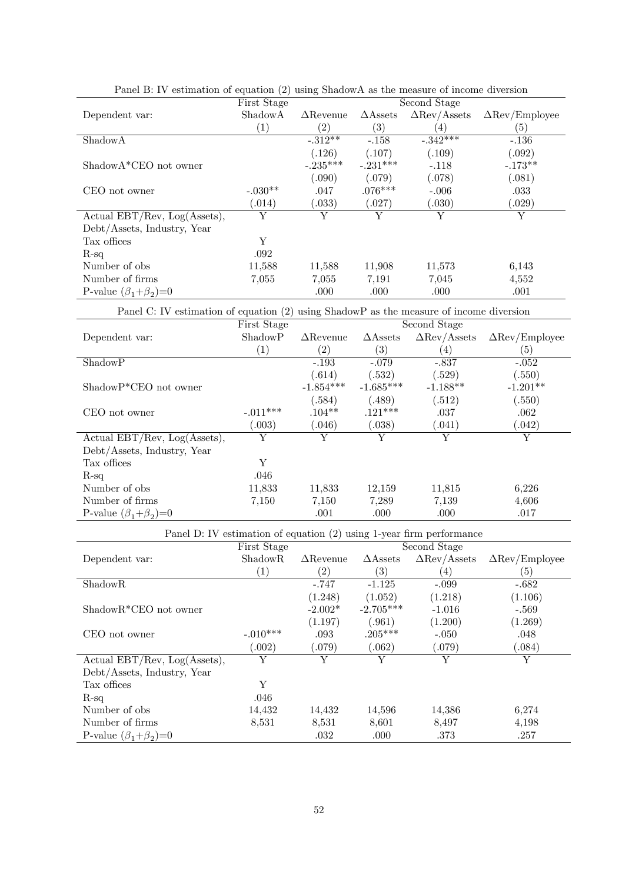|                                   | First Stage<br>Second Stage |                   |                    |                     |                       |  |
|-----------------------------------|-----------------------------|-------------------|--------------------|---------------------|-----------------------|--|
| Dependent var:                    | ShadowA                     | $\Delta$ Revenue  | $\triangle$ Assets | $\Delta$ Rev/Assets | $\Delta$ Rev/Employee |  |
|                                   | $\left( 1\right)$           | $\left( 2\right)$ | $\left( 3\right)$  | 4)                  | $\left( 5\right)$     |  |
| ShadowA                           |                             | $-312**$          | $-.158$            | $-342***$           | $-.136$               |  |
|                                   |                             | (.126)            | (.107)             | (.109)              | (.092)                |  |
| $ShadowA*CEO$ not owner           |                             | $-.235***$        | $-.231***$         | $-.118$             | $-.173**$             |  |
|                                   |                             | (.090)            | (.079)             | (.078)              | (.081)                |  |
| CEO not owner                     | $-.030**$                   | .047              | $.076***$          | $-.006$             | .033                  |  |
|                                   | (0.014)                     | (0.033)           | (.027)             | (.030)              | (.029)                |  |
| Actual $EBT/Rev$ , $Log(Asets)$ , | Y                           | Y                 |                    | Y                   | Y                     |  |
| Debt/Assets, Industry, Year       |                             |                   |                    |                     |                       |  |
| Tax offices                       | Y                           |                   |                    |                     |                       |  |
| $R-sq$                            | .092                        |                   |                    |                     |                       |  |
| Number of obs.                    | 11,588                      | 11,588            | 11,908             | 11,573              | 6,143                 |  |
| Number of firms                   | 7,055                       | 7,055             | 7,191              | 7,045               | 4,552                 |  |
| P-value $(\beta_1+\beta_2)=0$     |                             | .000              | .000               | .000                | .001                  |  |

| Panel B: IV estimation of equation (2) using ShadowA as the measure of income diversion |  |  |  |  |  |  |  |
|-----------------------------------------------------------------------------------------|--|--|--|--|--|--|--|
|-----------------------------------------------------------------------------------------|--|--|--|--|--|--|--|

Panel C: IV estimation of equation (2) using ShadowP as the measure of income diversion

|                                   | First Stage       |                  |                    | Second Stage        |                                     |
|-----------------------------------|-------------------|------------------|--------------------|---------------------|-------------------------------------|
| Dependent var:                    | ShadowP           | $\Delta$ Revenue | $\triangle$ Assets | $\Delta$ Rev/Assets | $\Delta \text{Rev}/\text{Employee}$ |
|                                   | $\left( 1\right)$ | (2)              | $\left( 3\right)$  | (4)                 | (5)                                 |
| ShadowP                           |                   | $-.193$          | $-.079$            | $-.837$             | $-.052$                             |
|                                   |                   | (.614)           | (.532)             | (.529)              | (.550)                              |
| ShadowP*CEO not owner             |                   | $-1.854***$      | $-1.685***$        | $-1.188**$          | $-1.201**$                          |
|                                   |                   | (.584)           | (.489)             | (.512)              | (.550)                              |
| CEO not owner                     | $-.011***$        | $.104**$         | $.121***$          | .037                | .062                                |
|                                   | (0.003)           | (0.046)          | (.038)             | (0.041)             | (.042)                              |
| Actual $EBT/Rev$ , $Log(Asets)$ , | Y                 | Y                | Y                  | Y                   | Y                                   |
| Debt/Assets, Industry, Year       |                   |                  |                    |                     |                                     |
| Tax offices                       | Y                 |                  |                    |                     |                                     |
| $R$ -sq                           | .046              |                  |                    |                     |                                     |
| Number of obs.                    | 11,833            | 11,833           | 12,159             | 11,815              | 6,226                               |
| Number of firms                   | 7,150             | 7.150            | 7,289              | 7.139               | 4,606                               |
| P-value $(\beta_1+\beta_2)=0$     |                   | .001             | .000               | .000                | .017                                |

| Panel D: IV estimation of equation (2) using 1-year firm performance |                      |                   |                    |                     |                       |  |  |
|----------------------------------------------------------------------|----------------------|-------------------|--------------------|---------------------|-----------------------|--|--|
|                                                                      | First Stage          |                   |                    |                     |                       |  |  |
| Dependent var:                                                       | ShadowR              | $\Delta$ Revenue  | $\triangle$ Assets | $\Delta$ Rev/Assets | $\Delta$ Rev/Employee |  |  |
|                                                                      | $\left( 1\right)$    | $\left( 2\right)$ | $\left( 3\right)$  | (4)                 | $\left( 5\right)$     |  |  |
| ShadowR                                                              |                      | $-.747$           | $-1.125$           | $-.099$             | $-.682$               |  |  |
|                                                                      |                      | (1.248)           | (1.052)            | (1.218)             | (1.106)               |  |  |
| $ShadowR*CEO$ not owner                                              |                      | $-2.002*$         | $-2.705***$        | $-1.016$            | $-.569$               |  |  |
|                                                                      |                      | (1.197)           | (.961)             | (1.200)             | (1.269)               |  |  |
| CEO not owner                                                        | $-.010***$           | .093              | $.205***$          | $-.050$             | .048                  |  |  |
|                                                                      | $\left(0.002\right)$ | (.079)            | (.062)             | (.079)              | (.084)                |  |  |
| Actual $EBT/Rev$ , $Log(Asets)$ ,                                    | Y                    | Y                 |                    | Y                   | Y                     |  |  |
| Debt/Assets, Industry, Year                                          |                      |                   |                    |                     |                       |  |  |
| Tax offices                                                          | Y                    |                   |                    |                     |                       |  |  |
| $R$ -sq                                                              | .046                 |                   |                    |                     |                       |  |  |
| Number of obs.                                                       | 14,432               | 14,432            | 14,596             | 14,386              | 6,274                 |  |  |
| Number of firms                                                      | 8,531                | 8,531             | 8,601              | 8,497               | 4,198                 |  |  |
| P-value $(\beta_1+\beta_2)=0$                                        |                      | .032              | .000               | .373                | .257                  |  |  |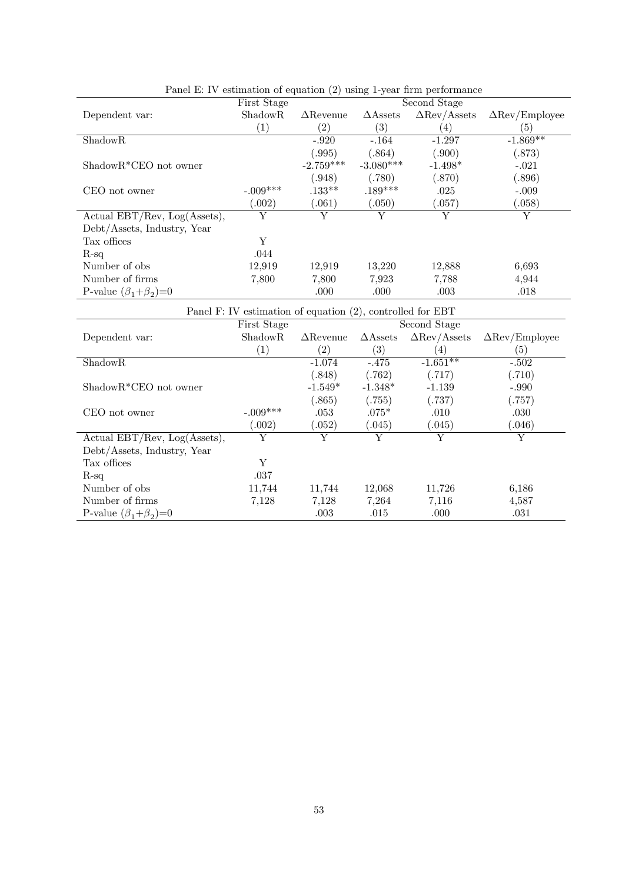|                                   | First Stage                                                |                  |                    | Second Stage        |                                     |
|-----------------------------------|------------------------------------------------------------|------------------|--------------------|---------------------|-------------------------------------|
| Dependent var:                    | ShadowR                                                    | $\Delta$ Revenue | $\triangle$ Assets | $\Delta$ Rev/Assets | $\Delta \text{Rev}/\text{Employee}$ |
|                                   | $\left(1\right)$                                           | (2)              | $\left( 3\right)$  | 4)                  | $\left( 5\right)$                   |
| ShadowR                           |                                                            | $-.920$          | $-.164$            | $-1.297$            | $-1.869**$                          |
|                                   |                                                            | (.995)           | (.864)             | (.900)              | (.873)                              |
| $ShadowR*CEO$ not owner           |                                                            | $-2.759***$      | $-3.080***$        | $-1.498*$           | $-.021$                             |
|                                   |                                                            | (0.948)          | (.780)             | (.870)              | (.896)                              |
| CEO not owner                     | $-.009***$                                                 | $.133***$        | $.189***$          | .025                | $-.009$                             |
|                                   | (.002)                                                     | (.061)           | (.050)             | (.057)              | (.058)                              |
| Actual $EBT/Rev$ , $Log(Asets)$ , | Y                                                          | Y                | Y                  | Y                   | Y                                   |
| Debt/Assets, Industry, Year       |                                                            |                  |                    |                     |                                     |
| Tax offices                       | Υ                                                          |                  |                    |                     |                                     |
| $R$ -sq                           | .044                                                       |                  |                    |                     |                                     |
| Number of obs.                    | 12,919                                                     | 12,919           | 13,220             | 12,888              | 6,693                               |
| Number of firms                   | 7,800                                                      | 7,800            | 7.923              | 7,788               | 4,944                               |
| P-value $(\beta_1+\beta_2)=0$     |                                                            | .000             | .000               | .003                | .018                                |
|                                   | Panel F: IV estimation of equation (2), controlled for EBT |                  |                    |                     |                                     |

| Panel E: IV estimation of equation $(2)$ using 1-year firm performance |  |  |  |  |
|------------------------------------------------------------------------|--|--|--|--|
|------------------------------------------------------------------------|--|--|--|--|

| $\frac{1}{2}$ and $\frac{1}{2}$ . To commation of equation (2), controlled for ED I<br>Second Stage |                   |                   |                    |                     |                                     |  |  |
|-----------------------------------------------------------------------------------------------------|-------------------|-------------------|--------------------|---------------------|-------------------------------------|--|--|
|                                                                                                     | First Stage       |                   |                    |                     |                                     |  |  |
| Dependent var:                                                                                      | ShadowR           | $\Delta$ Revenue  | $\triangle$ Assets | $\Delta$ Rev/Assets | $\Delta \text{Rev}/\text{Employee}$ |  |  |
|                                                                                                     | $\left( 1\right)$ | $\left( 2\right)$ | $\left( 3\right)$  | (4)                 | $\left( 5\right)$                   |  |  |
| <b>ShadowR</b>                                                                                      |                   | $-1.074$          | $-.475$            | $-1.651**$          | $-.502$                             |  |  |
|                                                                                                     |                   | (.848)            | (.762)             | (.717)              | (.710)                              |  |  |
| $ShadowR*CEO$ not owner                                                                             |                   | $-1.549*$         | $-1.348*$          | $-1.139$            | $-.990$                             |  |  |
|                                                                                                     |                   | (.865)            | (.755)             | (.737)              | (.757)                              |  |  |
| CEO not owner                                                                                       | $-.009***$        | .053              | $.075*$            | .010                | .030                                |  |  |
|                                                                                                     | .002)             | .052)             | (.045)             | (.045)              | (.046)                              |  |  |
| Actual $EBT/Rev$ , $Log(Asets)$ ,                                                                   | Y                 | Y                 | Y                  | Y                   | Y                                   |  |  |
| Debt/Assets, Industry, Year                                                                         |                   |                   |                    |                     |                                     |  |  |
| Tax offices                                                                                         | Υ                 |                   |                    |                     |                                     |  |  |
| $R-sq$                                                                                              | .037              |                   |                    |                     |                                     |  |  |
| Number of obs.                                                                                      | 11,744            | 11,744            | 12,068             | 11,726              | 6,186                               |  |  |
| Number of firms                                                                                     | 7,128             | 7,128             | 7,264              | 7,116               | 4,587                               |  |  |
| P-value $(\beta_1+\beta_2)=0$                                                                       |                   | .003              | .015               | .000                | .031                                |  |  |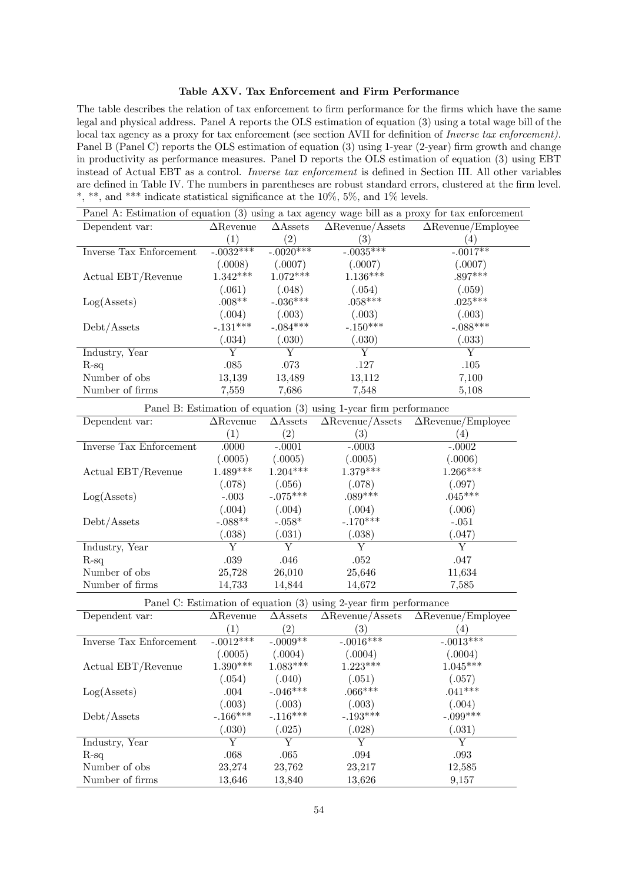### Table AXV. Tax Enforcement and Firm Performance

The table describes the relation of tax enforcement to firm performance for the firms which have the same legal and physical address. Panel A reports the OLS estimation of equation (3) using a total wage bill of the local tax agency as a proxy for tax enforcement (see section AVII for definition of *Inverse tax enforcement*). Panel B (Panel C) reports the OLS estimation of equation (3) using 1-year (2-year) firm growth and change in productivity as performance measures. Panel D reports the OLS estimation of equation (3) using EBT instead of Actual EBT as a control. Inverse tax enforcement is defined in Section III. All other variables are defined in Table IV. The numbers in parentheses are robust standard errors, clustered at the firm level. \*, \*\*, and \*\*\* indicate statistical significance at the  $10\%$ , 5%, and 1% levels.

| Panel A: Estimation of equation (3) using a tax agency wage bill as a proxy for tax enforcement |                  |                    |                         |                           |  |  |
|-------------------------------------------------------------------------------------------------|------------------|--------------------|-------------------------|---------------------------|--|--|
| Dependent var:                                                                                  | $\Delta$ Revenue | $\triangle$ Assets | $\Delta$ Revenue/Assets | $\Delta$ Revenue/Employee |  |  |
|                                                                                                 |                  | $\left( 2\right)$  | $\left( 3\right)$       | 4)                        |  |  |
| Inverse Tax Enforcement                                                                         | $-.0032***$      | $-.0020***$        | $-.0035***$             | $-.0017**$                |  |  |
|                                                                                                 | (.0008)          | (.0007)            | (.0007)                 | (.0007)                   |  |  |
| Actual EBT/Revenue                                                                              | $1.342***$       | $1.072***$         | $1.136***$              | $.897***$                 |  |  |
|                                                                                                 | (.061)           | (.048)             | (.054)                  | (.059)                    |  |  |
| Log(A <sub>sets</sub> )                                                                         | $.008**$         | $-.036***$         | $.058***$               | $.025***$                 |  |  |
|                                                                                                 | (.004)           | (.003)             | (.003)                  | (.003)                    |  |  |
| Debt/Assets                                                                                     | $-.131***$       | $-.084***$         | $-.150***$              | $-.088***$                |  |  |
|                                                                                                 | (.034)           | (.030)             | (.030)                  | (0.033)                   |  |  |
| Industry, Year                                                                                  | Y                | Y                  | Y                       | Y                         |  |  |
| $R$ -sq                                                                                         | .085             | .073               | .127                    | .105                      |  |  |
| Number of obs.                                                                                  | 13,139           | 13,489             | 13,112                  | 7,100                     |  |  |
| Number of firms                                                                                 | 7,559            | 7.686              | 7,548                   | 5,108                     |  |  |

Panel B: Estimation of equation (3) using 1-year firm performance

| Dependent var:          | $\Delta$ Revenue | $\triangle$ Assets | $\Delta$ Revenue/Assets | $\Delta$ Revenue/Employee |
|-------------------------|------------------|--------------------|-------------------------|---------------------------|
|                         |                  | $\left( 2\right)$  | $\left(3\right)$        | $\left( 4\right)$         |
| Inverse Tax Enforcement | .0000            | $-.0001$           | $-.0003$                | $-.0002$                  |
|                         | (.0005)          | (.0005)            | (.0005)                 | (.0006)                   |
| Actual EBT/Revenue      | $1.489***$       | $1.204***$         | $1.379***$              | $1.266***$                |
|                         | (.078)           | (.056)             | (.078)                  | (.097)                    |
| Log(A <sub>sets</sub> ) | $-.003$          | $-.075***$         | $.089***$               | $.045***$                 |
|                         | (.004)           | (.004)             | (.004)                  | (.006)                    |
| Debt/Assets             | $-.088**$        | $-.058*$           | $-.170***$              | $-.051$                   |
|                         | (.038)           | (.031)             | (.038)                  | (.047)                    |
| Industry, Year          | Y                | Y                  | Y                       | Y                         |
| $R$ -sq                 | .039             | .046               | .052                    | .047                      |
| Number of obs.          | 25,728           | 26,010             | 25,646                  | 11,634                    |
| Number of firms         | 14,733           | 14,844             | 14,672                  | 7,585                     |

Panel C: Estimation of equation (3) using 2-year firm performance

| Dependent var:          | $\Delta$ Revenue | $\triangle$ Assets | $\Delta$ Revenue/Assets | $\Delta$ Revenue/Employee |
|-------------------------|------------------|--------------------|-------------------------|---------------------------|
|                         |                  |                    |                         |                           |
|                         | $\left(1\right)$ | $\left( 2\right)$  | $\left(3\right)$        | $ 4\rangle$               |
| Inverse Tax Enforcement | $-.0012***$      | $-.0009**$         | $-.0016***$             | $-.0013***$               |
|                         | (.0005)          | (.0004)            | (.0004)                 | (.0004)                   |
| Actual EBT/Revenue      | $1.390***$       | $1.083***$         | $1.223***$              | $1.045***$                |
|                         | (.054)           | (.040)             | (.051)                  | (.057)                    |
| Log(A <sub>sets</sub> ) | .004             | $-.046***$         | $.066***$               | $.041***$                 |
|                         | (.003)           | (.003)             | (.003)                  | (.004)                    |
| Debt/Assets             | $-.166***$       | $-.116***$         | $-.193***$              | $-.099***$                |
|                         | (.030)           | (.025)             | (.028)                  | (.031)                    |
| Industry, Year          | Y                | Y                  | Y                       | Y                         |
| $R-sq$                  | .068             | .065               | .094                    | .093                      |
| Number of obs.          | 23,274           | 23,762             | 23,217                  | 12,585                    |
| Number of firms         | 13.646           | 13,840             | 13.626                  | 9,157                     |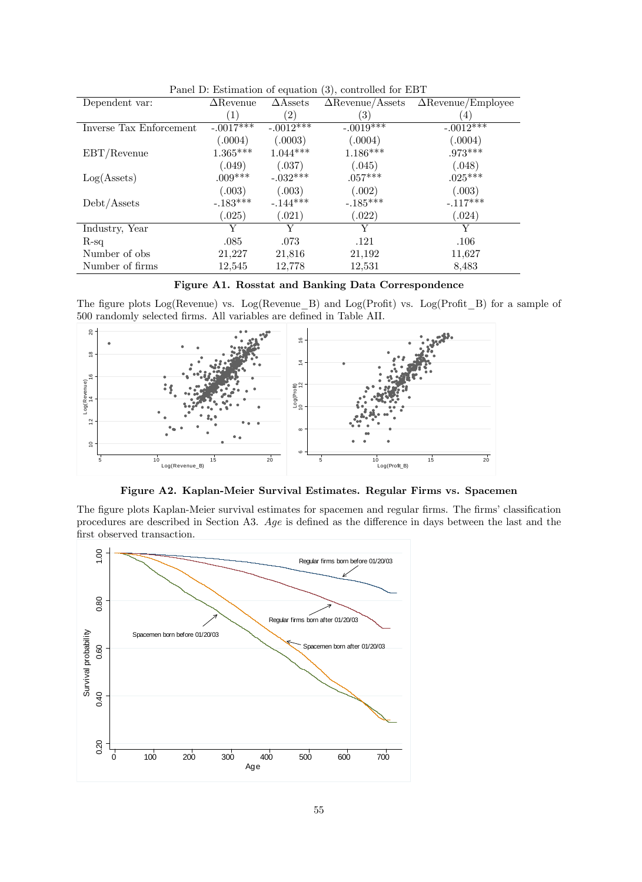|                         | $\frac{1}{2}$ . $\frac{1}{2}$ . $\frac{1}{2}$ |                    | $\frac{1}{2}$           |                           |
|-------------------------|-----------------------------------------------|--------------------|-------------------------|---------------------------|
| Dependent var:          | $\Delta$ Revenue                              | $\triangle$ Assets | $\Delta$ Revenue/Assets | $\Delta$ Revenue/Employee |
|                         | $\left( 1\right)$                             | $\left( 2\right)$  | $\left( 3\right)$       | $\left(4\right)$          |
| Inverse Tax Enforcement | $-.0017***$                                   | $-.0012***$        | $-.0019***$             | $-.0012***$               |
|                         | (.0004)                                       | (.0003)            | (.0004)                 | (.0004)                   |
| EBT/Revenue             | $1.365***$                                    | $1.044***$         | $1.186***$              | $.973***$                 |
|                         | (.049)                                        | (.037)             | (.045)                  | (.048)                    |
| Log(A <sub>sets</sub> ) | $.009***$                                     | $-.032***$         | $.057***$               | $.025***$                 |
|                         | (.003)                                        | (.003)             | (.002)                  | (.003)                    |
| Debt/Assets             | $-.183***$                                    | $-144***$          | $-.185***$              | $-.117***$                |
|                         | 0.025)                                        | (.021)             | (.022)                  | (0.024)                   |
| Industry, Year          | Y                                             | Y                  | Y                       | Y                         |
| $R$ -sq                 | .085                                          | .073               | .121                    | .106                      |
| Number of obs.          | 21,227                                        | 21,816             | 21,192                  | 11,627                    |
| Number of firms         | 12,545                                        | 12,778             | 12,531                  | 8,483                     |

Panel D: Estimation of equation (3), controlled for EBT



The figure plots Log(Revenue) vs. Log(Revenue\_B) and Log(Profit) vs. Log(Profit\_B) for a sample of 500 randomly selected Örms. All variables are deÖned in Table AII.



Figure A2. Kaplan-Meier Survival Estimates. Regular Firms vs. Spacemen

The figure plots Kaplan-Meier survival estimates for spacemen and regular firms. The firms' classification procedures are described in Section A3. Age is defined as the difference in days between the last and the first observed transaction.